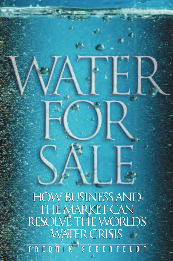How Business and How Business and THE MARKET CAN Resolve the World's WATER CRISIS & FREDRIK SEGERFELDT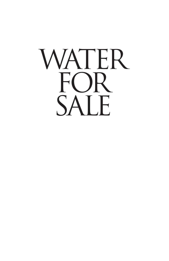# WATER FOR **SALE**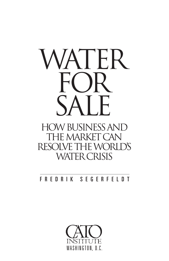# VATER FOR SAI F How Business and the Market Can Resolve the World's WATER CRISIS

# FREDRIK SEGERFELDT

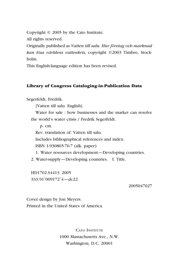Copyright © 2005 by the Cato Institute.

All rights reserved.

Originally published as *Vatten till salu. Hur företag och marknad* kan lösa världens vattenkris, copyright ©2003 Timbro, Stockholm.

This English-language edition has been revised.

#### **Library of Congress Cataloging-in-Publication Data**

Segerfeldt, Fredrik.

[Vatten till salu. English]

Water for sale  $\cdot$  how businesses and the market can resolve the world's water crisis / Fredrik Segerfeldt.

p. cm.

Rev. translation of: Vatten till salu.

Includes bibliographical references and index.

ISBN 1-930865-76-7 (alk. paper)

1. Water resources development—Developing countries.

2. Water-supply—Developing countries. I. Title.

HD1702.S4413 2005 333.91'009172'4-dc22

#### 2005047027

Cover design by Jon Meyers. Printed in the United States of America.

> CATO INSTITUTE 1000 Massachusetts Ave., N.W. Washington, D.C. 20001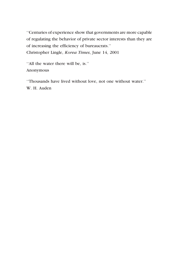''Centuries of experience show that governments are more capable of regulating the behavior of private sector interests than they are of increasing the efficiency of bureaucrats.'' Christopher Lingle, *Korea Times*, June 14, 2001

''All the water there will be, is.'' Anonymous

''Thousands have lived without love, not one without water.'' W. H. Auden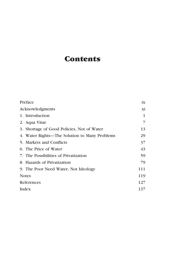# **Contents**

| Preface                                       | ix  |
|-----------------------------------------------|-----|
| Acknowledgments                               | xi  |
| 1. Introduction                               | 1   |
| 2. Aqua Vitae                                 | 7   |
| 3. Shortage of Good Policies, Not of Water    | 13  |
| 4. Water Rights—The Solution to Many Problems | 29  |
| 5. Markets and Conflicts                      | 37  |
| 6. The Price of Water                         | 43  |
| 7. The Possibilities of Privatization         | 59  |
| 8. Hazards of Privatization                   | 79  |
| 9. The Poor Need Water, Not Ideology          | 111 |
| <b>Notes</b>                                  | 119 |
| References                                    | 127 |
| Index                                         | 137 |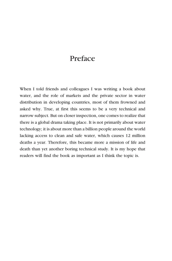# Preface

When I told friends and colleagues I was writing a book about water, and the role of markets and the private sector in water distribution in developing countries, most of them frowned and asked why. True, at first this seems to be a very technical and narrow subject. But on closer inspection, one comes to realize that there is a global drama taking place. It is not primarily about water technology; it is about more than a billion people around the world lacking access to clean and safe water, which causes 12 million deaths a year. Therefore, this became more a mission of life and death than yet another boring technical study. It is my hope that readers will find the book as important as I think the topic is.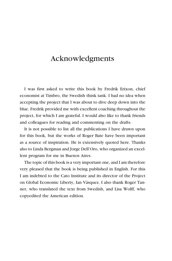# Acknowledgments

I was first asked to write this book by Fredrik Erixon, chief economist at Timbro, the Swedish think tank. I had no idea when accepting the project that I was about to dive deep down into the blue. Fredrik provided me with excellent coaching throughout the project, for which I am grateful. I would also like to thank friends and colleagues for reading and commenting on the drafts.

It is not possible to list all the publications I have drawn upon for this book, but the works of Roger Bate have been important as a source of inspiration. He is extensively quoted here. Thanks also to Linda Bergman and Jorge Dell'Oro, who organized an excellent program for me in Buenos Aires.

The topic of this book is a very important one, and I am therefore very pleased that the book is being published in English. For this I am indebted to the Cato Institute and its director of the Project on Global Economic Liberty, Ian Vásquez. I also thank Roger Tanner, who translated the text from Swedish, and Lisa Wolff, who copyedited the American edition.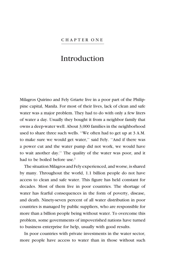#### CHAPTER ONE

# Introduction

Milagros Quirino and Fely Griarte live in a poor part of the Philippine capital, Manila. For most of their lives, lack of clean and safe water was a major problem. They had to do with only a few liters of water a day. Usually they bought it from a neighbor family that owns a deep-water well. About 3,000 families in the neighborhood used to share three such wells. ''We often had to get up at 3 A.M. to make sure we would get water,'' said Fely. ''And if there was a power cut and the water pump did not work, we would have to wait another day.'' The quality of the water was poor, and it had to be boiled before use  $<sup>1</sup>$ </sup>

The situation Milagros and Fely experienced, and worse, is shared by many. Throughout the world, 1.1 billion people do not have access to clean and safe water. This figure has held constant for decades. Most of them live in poor countries. The shortage of water has fearful consequences in the form of poverty, disease, and death. Ninety-seven percent of all water distribution in poor countries is managed by public suppliers, who are responsible for more than a billion people being without water. To overcome this problem, some governments of impoverished nations have turned to business enterprise for help, usually with good results.

In poor countries with private investments in the water sector, more people have access to water than in those without such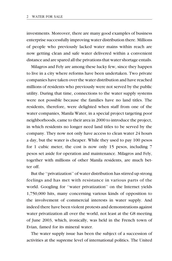investments. Moreover, there are many good examples of business enterprise successfully improving water distribution there. Millions of people who previously lacked water mains within reach are now getting clean and safe water delivered within a convenient distance and are spared all the privations that water shortage entails.

Milagros and Fely are among these lucky few, since they happen to live in a city where reforms have been undertaken. Two private companies have taken over the water distribution and have reached millions of residents who previously were not served by the public utility. During that time, connections to the water supply systems were not possible because the families have no land titles. The residents, therefore, were delighted when staff from one of the water companies, Manila Water, in a special project targeting poor neighborhoods, came to their area in 2000 to introduce the project, in which residents no longer need land titles to be served by the company. They now not only have access to clean water 24 hours a day, but the water is cheaper. While they used to pay 100 pesos for 1 cubic meter, the cost is now only 15 pesos, including 7 pesos set aside for operation and maintenance. Milagros and Fely, together with millions of other Manila residents, are much better off.

But the ''privatization'' of water distribution has stirred up strong feelings and has met with resistance in various parts of the world. Googling for ''water privatization'' on the Internet yields 1,750,000 hits, many concerning various kinds of opposition to the involvement of commercial interests in water supply. And indeed there have been violent protests and demonstrations against water privatization all over the world, not least at the G8 meeting of June 2003, which, ironically, was held in the French town of Evian, famed for its mineral water.

The water supply issue has been the subject of a succession of activities at the supreme level of international politics. The United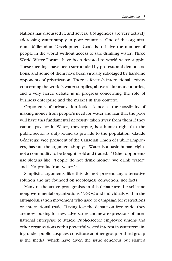Nations has discussed it, and several UN agencies are very actively addressing water supply in poor countries. One of the organization's Millennium Development Goals is to halve the number of people in the world without access to safe drinking water. Three World Water Forums have been devoted to world water supply. These meetings have been surrounded by protests and demonstrations, and some of them have been virtually sabotaged by hard-line opponents of privatization. There is feverish international activity concerning the world's water supplies, above all in poor countries, and a very fierce debate is in progress concerning the role of business enterprise and the market in this context.

Opponents of privatization look askance at the possibility of making money from people's need for water and fear that the poor will have this fundamental necessity taken away from them if they cannot pay for it. Water, they argue, is a human right that the public sector is duty-bound to provide to the population. Claude Généreux, vice president of the Canadian Union of Public Employees, has put the argument simply: ''Water is a basic human right, not a commodity to be bought, sold and traded.''2 Other opponents use slogans like ''People do not drink money, we drink water'' and ''No profits from water.''3

Simplistic arguments like this do not present any alternative solution and are founded on ideological conviction, not facts.

Many of the active protagonists in this debate are the selfsame nongovernmental organizations (NGOs) and individuals within the anti-globalization movement who used to campaign for restrictions on international trade. Having lost the debate on free trade, they are now looking for new adversaries and new expressions of international enterprise to attack. Public-sector employee unions and other organizations with a powerful vested interest in water remaining under public auspices constitute another group. A third group is the media, which have given the issue generous but slanted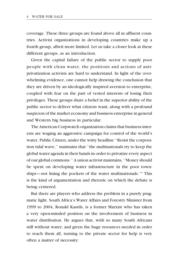coverage. These three groups are found above all in affluent countries. Activist organizations in developing countries make up a fourth group, albeit more limited. Let us take a closer look at these different groups, as an introduction.

Given the capital failure of the public sector to supply poor people with clean water, the positions and actions of antiprivatization activists are hard to understand. In light of the overwhelming evidence, one cannot help drawing the conclusion that they are driven by an ideologically inspired aversion to enterprise, coupled with fear on the part of vested interests of losing their privileges. These groups share a belief in the superior ability of the public sector to deliver what citizens want, along with a profound suspicion of the market economy and business enterprise in general and Western big business in particular.

The American Corpwatch organization claims that business interests are waging an aggressive campaign for control of the world's water. Public Citizen, under the witty headline ''Resist the corporation tidal wave,'' maintains that ''the multinationals try to keep the global water agenda in their hands in order to privatize every aspect of our global commons.'' A union activist maintains, ''Money should be spent on developing water infrastructure in the poor townships—not lining the pockets of the water multinationals.<sup>14</sup> This is the kind of argumentation and rhetoric on which the debate is being centered.

But there are players who address the problem in a purely pragmatic light. South Africa's Water Affairs and Forestry Minister from 1999 to 2004, Ronald Kasrils, is a former Marxist who has taken a very open-minded position on the involvement of business in water distribution. He argues that, with so many South Africans still without water, and given the huge resources needed in order to reach them all, turning to the private sector for help is very often a matter of necessity: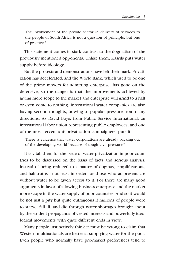The involvement of the private sector in delivery of services to the people of South Africa is not a question of principle, but one of practice.<sup>5</sup>

This statement comes in stark contrast to the dogmatism of the previously mentioned opponents. Unlike them, Kasrils puts water supply before ideology.

But the protests and demonstrations have left their mark. Privatization has decelerated, and the World Bank, which used to be one of the prime movers for admitting enterprise, has gone on the defensive, so the danger is that the improvements achieved by giving more scope to the market and enterprise will grind to a halt or even come to nothing. International water companies are also having second thoughts, bowing to popular pressure from many directions. As David Boys, from Public Service International, an international labor union representing public employees, and one of the most fervent anti-privatization campaigners, puts it:

There is evidence that water corporations are already backing out of the developing world because of tough civil pressure.6

It is vital, then, for the issue of water privatization in poor countries to be discussed on the basis of facts and serious analysis, instead of being reduced to a matter of dogmas, simplifications, and half-truths—not least in order for those who at present are without water to be given access to it. For there are many good arguments in favor of allowing business enterprise and the market more scope in the water supply of poor countries. And so it would be not just a pity but quite outrageous if millions of people were to starve, fall ill, and die through water shortages brought about by the strident propaganda of vested interests and powerfully ideological movements with quite different ends in view.

Many people instinctively think it must be wrong to claim that Western multinationals are better at supplying water for the poor. Even people who normally have pro-market preferences tend to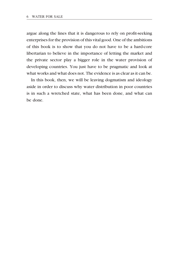argue along the lines that it is dangerous to rely on profit-seeking enterprises for the provision of this vital good. One of the ambitions of this book is to show that you do not have to be a hard-core libertarian to believe in the importance of letting the market and the private sector play a bigger role in the water provision of developing countries. You just have to be pragmatic and look at what works and what does not. The evidence is as clear as it can be.

In this book, then, we will be leaving dogmatism and ideology aside in order to discuss why water distribution in poor countries is in such a wretched state, what has been done, and what can be done.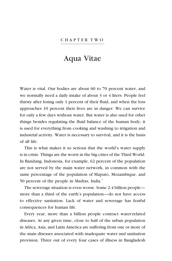# Aqua Vitae

Water is vital. Our bodies are about 60 to 70 percent water, and we normally need a daily intake of about 3 or 4 liters. People feel thirsty after losing only 1 percent of their fluid, and when the loss approaches 10 percent their lives are in danger. We can survive for only a few days without water. But water is also used for other things besides regulating the fluid balance of the human body; it is used for everything from cooking and washing to irrigation and industrial activity. Water is necessary to survival, and it is the basis of all life.

This is what makes it so serious that the world's water supply is in crisis. Things are the worst in the big cities of the Third World. In Bandung, Indonesia, for example, 62 percent of the population are not served by the main water network, in common with the same percentage of the population of Maputo, Mozambique, and 50 percent of the people in Madras, India.7

The sewerage situation is even worse. Some 2.4 billion people more than a third of the earth's population—do not have access to effective sanitation. Lack of water and sewerage has fearful consequences for human life.

Every year, more than a billion people contract water-related diseases. At any given time, close to half of the urban population in Africa, Asia, and Latin America are suffering from one or more of the main diseases associated with inadequate water and sanitation provision. Three out of every four cases of illness in Bangladesh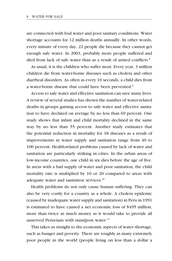are connected with foul water and poor sanitary conditions. Water shortage accounts for 12 million deaths annually. In other words, every minute of every day, 22 people die because they cannot get enough safe water. In 2003, probably more people suffered and died from lack of safe water than as a result of armed conflicts.<sup>8</sup>

As usual, it is the children who suffer most. Every year, 3 million children die from water-borne diseases such as cholera and other diarrheal disorders. As often as every 10 seconds, a child dies from a water-borne disease that could have been prevented.<sup>9</sup>

Access to safe water and effective sanitation can save many lives. A review of several studies has shown the number of water-related deaths in groups gaining access to safe water and effective sanitation to have declined on average by no less than 69 percent. One study shows that infant and child mortality declined in the same way by no less than 55 percent. Another study estimates that the potential reduction in mortality for 18 diseases as a result of improvements in water supply and sanitation range from 40 to 100 percent. Health-related problems caused by lack of water and sanitation are particularly striking in cities. In the urban areas of low-income countries, one child in six dies before the age of five. In areas with a bad supply of water and poor sanitation, the child mortality rate is multiplied by 10 or 20 compared to areas with adequate water and sanitation services.<sup>10</sup>

Health problems do not only cause human suffering. They can also be very costly for a country as a whole. A cholera epidemic (caused by inadequate water supply and sanitation) in Peru in 1991 is estimated to have caused a net economic loss of \$495 million, more than twice as much money as it would take to provide all unserved Peruvians with standpost water. $11$ 

This takes us straight to the economic aspects of water shortage, such as hunger and poverty. There are roughly as many extremely poor people in the world (people living on less than a dollar a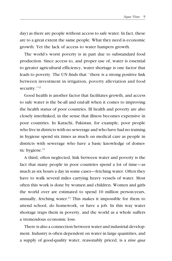day) as there are people without access to safe water. In fact, these are to a great extent the same people. What they need is economic growth. Yet the lack of access to water hampers growth.

The world's worst poverty is in part due to substandard food production. Since access to, and proper use of, water is essential to greater agricultural efficiency, water shortage is one factor that leads to poverty. The UN finds that ''there is a strong positive link between investment in irrigation, poverty alleviation and food security."<sup>12</sup>

Good health is another factor that facilitates growth, and access to safe water is the be-all and end-all when it comes to improving the health status of poor countries. Ill health and poverty are also closely interlinked, in the sense that illness becomes expensive in poor countries. In Karachi, Pakistan, for example, poor people who live in districts with no sewerage and who have had no training in hygiene spend six times as much on medical care as people in districts with sewerage who have a basic knowledge of domestic hygiene.<sup>13</sup>

A third, often neglected, link between water and poverty is the fact that many people in poor countries spend a lot of time—as much as six hours a day in some cases—fetching water. Often they have to walk several miles carrying heavy vessels of water. Most often this work is done by women and children. Women and girls the world over are estimated to spend 10 million person-years, annually, fetching water.14 This makes it impossible for them to attend school, do homework, or have a job. In this way water shortage traps them in poverty, and the world as a whole suffers a tremendous economic loss.

There is also a connection between water and industrial development. Industry is often dependent on water in large quantities, and a supply of good-quality water, reasonably priced, is a *sine qua*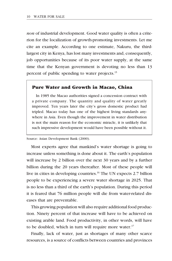*non* of industrial development. Good water quality is often a criterion for the localization of growth-promoting investments. Let me cite an example. According to one estimate, Nakuru, the thirdlargest city in Kenya, has lost many investments and, consequently, job opportunities because of its poor water supply, at the same time that the Kenyan government is devoting no less than 13 percent of public spending to water projects.15

#### **Pure Water and Growth in Macao, China**

In 1985 the Macao authorities signed a concession contract with a private company. The quantity and quality of water greatly improved. Ten years later the city's gross domestic product had tripled. Macao today has one of the highest living standards anywhere in Asia. Even though the improvement in water distribution is not the main reason for the economic miracle, it is unlikely that such impressive development would have been possible without it.

Source: Asian Development Bank (2000).

Most experts agree that mankind's water shortage is going to increase unless something is done about it. The earth's population will increase by 2 billion over the next 30 years and by a further billion during the 20 years thereafter. Most of these people will live in cities in developing countries.16 The UN expects 2.7 billion people to be experiencing a severe water shortage in 2025. That is no less than a third of the earth's population. During this period it is feared that 76 million people will die from water-related diseases that are preventable.

This growing population will also require additional food production. Ninety percent of that increase will have to be achieved on existing arable land. Food productivity, in other words, will have to be doubled, which in turn will require more water.17

Finally, lack of water, just as shortages of many other scarce resources, is a source of conflicts between countries and provinces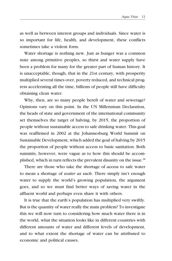as well as between interest groups and individuals. Since water is so important for life, health, and development, these conflicts sometimes take a violent form.

Water shortage is nothing new. Just as hunger was a common state among primitive peoples, so thirst and water supply have been a problem for many for the greater part of human history. It is unacceptable, though, that in the 21st century, with prosperity multiplied several times over, poverty reduced, and technical progress accelerating all the time, billions of people still have difficulty obtaining clean water.

Why, then, are so many people bereft of water and sewerage? Opinions vary on this point. In the UN Millennium Declaration, the heads of state and government of the international community set themselves the target of halving, by 2015, the proportion of people without sustainable access to safe drinking water. This goal was reaffirmed in 2002 at the Johannesburg World Summit on Sustainable Development, which added the goal of halving by 2015 the proportion of people without access to basic sanitation. Both summits, however, were vague as to how this should be accomplished, which in turn reflects the prevalent disunity on the issue.18

There are those who take the shortage of *access* to safe water to mean a shortage of *water as such*. There simply isn't enough water to supply the world's growing population, the argument goes, and so we must find better ways of saving water in the affluent world and perhaps even share it with others.

It is true that the earth's population has multiplied very swiftly. But is the quantity of water really the main problem? To investigate this we will now turn to considering how much water there is in the world, what the situation looks like in different countries with different amounts of water and different levels of development, and to what extent the shortage of water can be attributed to economic and political causes.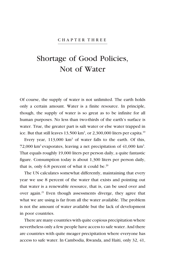#### CHAPTER THREE

# Shortage of Good Policies, Not of Water

Of course, the supply of water is not unlimited. The earth holds only a certain amount. Water is a finite resource. In principle, though, the supply of water is so great as to be infinite for all human purposes. No less than two-thirds of the earth's surface is water. True, the greater part is salt water or else water trapped in ice. But that still leaves  $13{,}500~\mathrm{km^3},$  or  $2{,}300{,}000$  liters per capita.<sup>19</sup>

Every year,  $113,000 \text{ km}^3$  of water falls to the earth. Of this, 72,000 km<sup>3</sup> evaporates, leaving a net precipitation of  $41,000$  km<sup>3</sup>. That equals roughly 19,000 liters per person daily, a quite fantastic figure. Consumption today is about 1,300 liters per person daily, that is, only  $6.8$  percent of what it could be.<sup>20</sup>

The UN calculates somewhat differently, maintaining that every year we use 8 percent of the water that exists and pointing out that water is a renewable resource, that is, can be used over and over again.<sup>21</sup> Even though assessments diverge, they agree that what we are using is far from all the water available. The problem is not the amount of water available but the lack of development in poor countries.

There are many countries with quite copious precipitation where nevertheless only a few people have access to safe water. And there are countries with quite meager precipitation where everyone has access to safe water. In Cambodia, Rwanda, and Haiti, only 32, 41,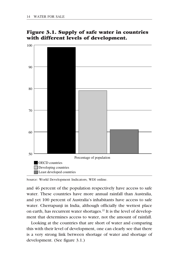

## **Figure 3.1. Supply of safe water in countries with different levels of development.**

Source: World Development Indicators, WDI online.

and 46 percent of the population respectively have access to safe water. These countries have more annual rainfall than Australia, and yet 100 percent of Australia's inhabitants have access to safe water. Cherrapunji in India, although officially the wettest place on earth, has recurrent water shortages.<sup>22</sup> It is the level of development that determines access to water, not the amount of rainfall.

Looking at the countries that are short of water and comparing this with their level of development, one can clearly see that there is a very strong link between shortage of water and shortage of development. (See figure 3.1.)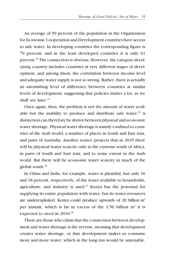An average of 99 percent of the population in the Organization for Economic Cooperation and Development countries have access to safe water. In developing countries the corresponding figure is 79 percent, and in the least developed countries it is only 61 percent.23 The connection is obvious. However, the category *developing country* includes countries at very different stages of development, and among them, the correlation between income level and adequate water supply is not so strong. Rather, there is actually an astonishing level of difference between countries at similar levels of development, suggesting that policies matter a lot, as we shall see later.<sup>24</sup>

Once again, then, the problem is not the amount of water available but the inability to produce and distribute safe water.<sup>25</sup> A distinction can therefore be drawn between *physical* and *economic* water shortage. *Physical* water shortage is mainly confined to countries of the Arab world, a number of places in South and East Asia, and parts of Australia. Another source projects that in 2025 there will be *physical* water scarcity only in the extreme south of Africa, in parts of South and East Asia, and to some extent in the Arab world. But there will be *economic* water scarcity in much of the global south.26

In China and India, for example, water is plentiful, but only 16 and 18 percent, respectively, of the water available to households, agriculture, and industry is used.<sup>27</sup> Kenya has the potential for supplying its entire population with water, but its water resources are underexploited. Kenya could produce upwards of 20 billion  $m<sup>3</sup>$ per annum, which is far in excess of the  $3.56$  billion m<sup>3</sup> it is expected to need in 2010.<sup>28</sup>

There are those who claim that the connection between development and water shortage is the reverse, meaning that development creates water shortage, or that development makes us consume more and more water, which in the long run would be untenable.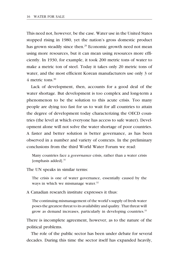This need not, however, be the case. Water use in the United States stopped rising in 1980, yet the nation's gross domestic product has grown steadily since then.<sup>29</sup> Economic growth need not mean using more resources, but it can mean using resources more efficiently. In 1930, for example, it took 200 metric tons of water to make a metric ton of steel. Today it takes only 20 metric tons of water, and the most efficient Korean manufacturers use only 3 or 4 metric tons.<sup>30</sup>

Lack of development, then, accounts for a good deal of the water shortage. But development is too complex and long-term a phenomenon to be the solution to this acute crisis. Too many people are dying too fast for us to wait for all countries to attain the degree of development today characterizing the OECD countries (the level at which everyone has access to safe water). Development alone will not solve the water shortage of poor countries. A faster and better solution is better governance, as has been observed in a number and variety of contexts. In the preliminary conclusions from the third World Water Forum we read:

Many countries face a *governance* crisis, rather than a water crisis [emphasis added].<sup>31</sup>

The UN speaks in similar terms:

The crisis is one of water governance, essentially caused by the ways in which we mismanage water.<sup>32</sup>

A Canadian research institute expresses it thus:

The continuing mismanagement of the world's supply of fresh water poses the greatest threat to its availability and quality. That threat will grow as demand increases, particularly in developing countries.<sup>33</sup>

There is incomplete agreement, however, as to the nature of the political problems.

The role of the public sector has been under debate for several decades. During this time the sector itself has expanded heavily,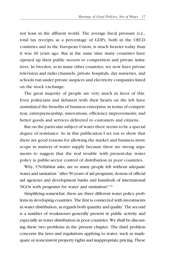not least in the affluent world. The average fiscal pressure (i.e., total tax receipts as a percentage of GDP), both in the OECD countries and in the European Union, is much heavier today than it was 30 years ago. But at the same time many countries have opened up their public sectors to competition and private initiatives. In Sweden, as in many other countries, we now have private television and radio channels, private hospitals, day nurseries, and schools run under private auspices and electricity companies listed on the stock exchange.

The great majority of people are very much in favor of this. Even politicians and debaters with their hearts on the left have assimilated the benefits of business enterprise in terms of competition, entrepreneurship, innovations, efficiency improvements, and better goods and services delivered to customers and citizens.

But on the particular subject of water there seems to be a special degree of resistance. So in this publication I set out to show that there are good reasons for allowing the market and business more scope in matters of water supply because there are strong arguments to suggest that the real trouble with present-day water policy is public-sector control of distribution in poor countries.

Why, UN-Habitat asks, are so many people left without adequate water and sanitation ''after 50 years of aid programs, dozens of official aid agencies and development banks and hundreds of international NGOs with programs for water and sanitation?"<sup>34</sup>

Simplifying somewhat, there are three different water policy problems in developing countries. The first is connected with investments in water distribution, as regards both quantity and quality. The second is a number of weaknesses generally present in public activity and especially in water distribution in poor countries. We shall be discussing these two problems in the present chapter. The third problem concerns the laws and regulations applying to water, such as inadequate or nonexistent property rights and inappropriate pricing. These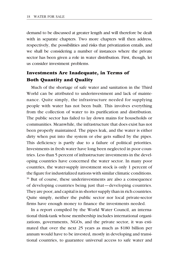demand to be discussed at greater length and will therefore be dealt with in separate chapters. Two more chapters will then address, respectively, the possibilities and risks that privatization entails, and we shall be considering a number of instances where the private sector has been given a role in water distribution. First, though, let us consider investment problems.

## **Investments Are Inadequate, in Terms of Both Quantity and Quality**

Much of the shortage of safe water and sanitation in the Third World can be attributed to underinvestment and lack of maintenance. Quite simply, the infrastructure needed for supplying people with water has not been built. This involves everything from the collection of water to its purification and distribution. The public sector has failed to lay down mains for households or communities. Meanwhile, the infrastructure that does exist has not been properly maintained. The pipes leak, and the water is either dirty when put into the system or else gets sullied by the pipes. This deficiency is partly due to a failure of political priorities. Investments in fresh water have long been neglected in poor countries. Less than 5 percent of infrastructure investments in the developing countries have concerned the water sector. In many poor countries, the water-supply investment stock is only 1 percent of the figure for industrialized nations with similar climatic conditions. <sup>36</sup> But of course, these underinvestments are also a consequence of developing countries being just that—developing countries. They are poor, and capital is in shorter supply than in rich countries. Quite simply, neither the public sector nor local private-sector firms have enough money to finance the investments needed.

In a report compiled by the World Water Council, an international think-tank whose membership includes international organizations, governments, NGOs, and the private sector, it was estimated that over the next 25 years as much as \$180 billion per annum would have to be invested, mostly in developing and transitional countries, to guarantee universal access to safe water and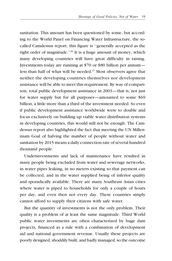sanitation. This amount has been questioned by some, but according to the World Panel on Financing Water Infrastructure, the socalled Camdessus report, this figure is ''generally accepted as the right order of magnitude.''36 It is a huge amount of money, which many developing countries will have great difficulty in raising. Investments today are running at \$70 or \$80 billion per annum less than half of what will be needed.37 Most observers agree that neither the developing countries themselves nor development assistance will be able to meet this requirement. By way of comparison, total public development assistance in 2003—that is, not just for water supply but for all purposes—amounted to some \$69 billion, a little more than a third of the investment needed. So even if public development assistance worldwide were to double and focus exclusively on building up viable water distribution systems in developing countries, this would still not be enough. The Camdessus report also highlighted the fact that meeting the UN Millennium Goal of halving the number of people without water and sanitation by 2015 means a daily connection rate of several hundred thousand people.

Underinvestments and lack of maintenance have resulted in many people being excluded from water and sewerage networks, in water pipes leaking, in no meters existing so that payment can be collected, and in the water supplied being of inferior quality and sporadically available. There are many Southeast Asian cities where water is piped to households for only a couple of hours per day, and even then not every day. These countries simply cannot afford to supply their citizens with safe water.

But the quantity of investments is not the only problem. Their quality is a problem of at least the same magnitude. Third World public water investments are often characterized by huge dam projects, financed as a rule with a combination of development aid and national government revenue. Usually these projects are poorly designed, shoddily built, and badly managed, so the outcome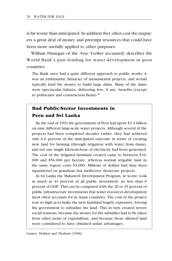is far worse than anticipated. In addition they often cost the taxpayers a great deal of money and preempt resources that could have been more usefully applied to other purposes.

William Finnegan of the *New Yorker* accurately describes the World Bank's past lending for water development in poor countries:

The Bank once had a quite different approach to public works: it was an enthusiastic financier of monumental projects, and would typically lend the money to build large dams. Many of the dams were spectacular failures, delivering few, if any, benefits (except to politicians and construction firms).<sup>38</sup>

# **Bad Public-Sector Investments in Peru and Sri Lanka**

By the end of 1993 the government of Peru had spent \$3.4 billion on nine different large-scale water projects. Although several of the projects had been completed decades earlier, they had achieved only 6.6 percent of the anticipated outcome in terms of creating new land for farming (through irrigation with water from dams), and not one single kilowatt-hour of electricity had been generated. The cost of the irrigated farmland created came to between \$10, 000 and \$56,000 per hectare, whereas normal irrigable land in the same region costs \$3,000. Millions of dollars had thus been squandered on grandiose but ineffective showcase projects.

In Sri Lanka the Mahaweli Development Program, at worst, took as much as 44 percent of all public investment, no less than 6 percent of GDP. This can be compared with the 20 or 25 percent of public infrastructure investments that water resources development most often accounts for in Asian countries. The cost of the project rose so high as to make the new farmland hugely expensive, forcing the government to subsidize the land. This in turn created severe social tensions, because the money for the subsidies had to be taken from other items of expenditure, and because those allotted land were considered to have obtained unfair advantages.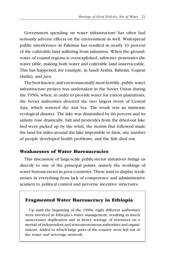Government spending on water infrastructure has often had seriously adverse effects on the environment as well. Widespread public interference in Pakistan has resulted in nearly 10 percent of the cultivable land suffering from salination. When the groundwater of coastal regions is overexploited, saltwater penetrates the water table, making both water and cultivable land unserviceable. This has happened, for example, in Saudi Arabia, Bahrain, Gujarat (India), and Java.

The best-known, and environmentally most horrific, public water infrastructure project was undertaken in the Soviet Union during the 1950s, when, in order to provide water for cotton plantations, the Soviet authorities diverted the two largest rivers of Central Asia, which watered the Aral Sea. The result was an immense ecological disaster. The lake was diminished by 66 percent and its salinity rose drastically. Salt and pesticides from the dried-out lake bed were picked up by the wind, the storms that followed made the land for miles around the lake impossible to farm, any number of people developed health problems, and the fish died out.

#### **Weaknesses of Water Bureaucracies**

This discussion of large-scale public-sector initiatives brings us directly to one of the principal points, namely the workings of water bureaucracies in poor countries. These tend to display weaknesses in everything from lack of competence and administrative acumen to political control and perverse incentive structures.

#### **Fragmented Water Bureaucracy in Ethiopia**

Up until the beginning of the 1990s, eight different authorities were involved in Ethiopia's water management, resulting in much unnecessary duplication and in heavy wastage of resources on a myriad of independent and semi-autonomous authorities and organizations. Added to which large parts of the country were left out of the water and sewerage network.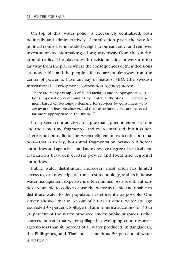On top of this, water policy is excessively centralized, both politically and administratively. Centralization paves the way for political control, lends added weight to bureaucracy, and removes investment decisionmaking a long way away from the on-theground reality. The players with decisionmaking powers are too far away from the places where the consequences of their decisions are noticeable, and the people affected are too far away from the center of power to have any say in matters. SIDA (the Swedish International Development Cooperation Agency) notes:

There are many examples of failed facilities and inappropriate solutions imposed on communities by central authorities.... Development based on bottom-up demand for services by consumers who are aware of feasible choices and their associated costs are believed far more appropriate in the future.<sup>39</sup>

It may seem contradictory to argue that a phenomenon is at one and the same time fragmented and overcentralized, but it is not. There is no contradiction between deficient bureaucratic coordination—that is to say, horizontal fragmentation between different authorities and agencies—and an excessive degree of vertical centralization between central power and local and regional authorities.

Public water distribution, moreover, most often has limited access to, or knowledge of, the latest technology, and its in-house water management expertise is often minimal. As a result, authorities are unable to collect or use the water available and unable to distribute water to the population as efficiently as possible. One survey showed that in 32 out of 50 Asian cities, water spillage exceeded 30 percent. Spillage in Latin America accounts for 40 to 70 percent of the water produced under public auspices. Other sources indicate that water spillage in developing countries averages no less than 40 percent of all water produced. In Bangladesh, the Philippines, and Thailand, as much as 50 percent of water is wasted  $40$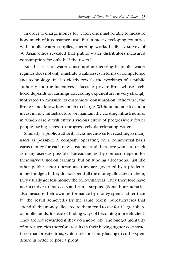In order to charge money for water, one must be able to measure how much of it consumers use. But in most developing countries with public water supplies, metering works badly. A survey of 50 Asian cities revealed that public water distributors measured consumption for only half the users. $41$ 

But this lack of water consumption metering in public water régimes does not only illustrate weaknesses in terms of competence and technology. It also clearly reveals the workings of a public authority and the incentives it faces. A private firm, whose livelihood depends on earnings exceeding expenditure, is very strongly motivated to measure its customers' consumption; otherwise, the firm will not know how much to charge. Without income it cannot invest in new infrastructure, or maintain the existing infrastructure, in which case it will enter a vicious circle of progressively fewer people having access to progressively deteriorating water.

Similarly, a public authority lacks incentives for reaching as many users as possible. A company operating on a commercial basis earns money for each new customer and therefore wants to reach as many users as possible. Bureaucracies, by contrast, depend for their survival not on earnings, but on funding allocations. Just like other public-sector operations, they are governed by a predetermined budget. If they do not spend all the money allocated to them, they usually get less money the following year. They therefore have no incentive to cut costs and run a surplus. (Some bureaucracies also measure their own performance by money spent, rather than by the result achieved.) By the same token, bureaucracies that spend all the money allocated to them tend to ask for a larger share of public funds, instead of finding ways of becoming more efficient. They are not rewarded if they do a good job. The budget mentality of bureaucracies therefore results in their having higher cost structures than private firms, which are constantly having to curb expenditure in order to post a profit.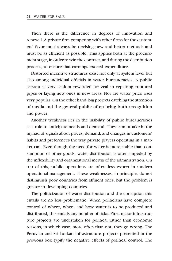Then there is the difference in degrees of innovation and renewal. A private firm competing with other firms for the customers' favor must always be devising new and better methods and must be as efficient as possible. This applies both at the procurement stage, in order to win the contract, and during the distribution process, to ensure that earnings exceed expenditure.

Distorted incentive structures exist not only at system level but also among individual officials in water bureaucracies. A public servant is very seldom rewarded for zeal in repairing ruptured pipes or laying new ones in new areas. Nor are water price rises very popular. On the other hand, big projects catching the attention of media and the general public often bring both recognition and power.

Another weakness lies in the inability of public bureaucracies as a rule to anticipate needs and demand. They cannot take in the myriad of signals about prices, demand, and changes in customers' habits and preferences the way private players operating in a market can. Even though the need for water is more stable than consumption of other goods, water distribution is often impeded by the inflexibility and organizational inertia of the administration. On top of this, public operations are often less expert in modern operational management. These weaknesses, in principle, do not distinguish poor countries from affluent ones, but the problem is greater in developing countries.

The politicization of water distribution and the corruption this entails are no less problematic. When politicians have complete control of where, when, and how water is to be produced and distributed, this entails any number of risks. First, major infrastructure projects are undertaken for political rather than economic reasons, in which case, more often than not, they go wrong. The Peruvian and Sri Lankan infrastructure projects presented in the previous box typify the negative effects of political control. The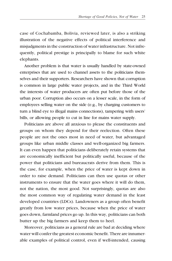case of Cochabamba, Bolivia, reviewed later, is also a striking illustration of the negative effects of political interference and misjudgments in the construction of water infrastructure. Not infrequently, political prestige is principally to blame for such white elephants.

Another problem is that water is usually handled by state-owned enterprises that are used to channel assets to the politicians themselves and their supporters. Researchers have shown that corruption is common in large public water projects, and in the Third World the interests of water producers are often put before those of the urban poor. Corruption also occurs on a lesser scale, in the form of employees selling water on the side (e.g., by charging customers to turn a blind eye to illegal mains connections), tampering with users' bills, or allowing people to cut in line for mains water supply.

Politicians are above all anxious to please the constituents and groups on whom they depend for their reelection. Often these people are not the ones most in need of water, but advantaged groups like urban middle classes and well-organized big farmers. It can even happen that politicians deliberately retain systems that are economically inefficient but politically useful, because of the power that politicians and bureaucrats derive from them. This is the case, for example, when the price of water is kept down in order to raise demand. Politicians can then use quotas or other instruments to ensure that the water goes where it will do them, not the nation, the most good. Not surprisingly, quotas are also the most common way of regulating water demand in the least developed countries (LDCs). Landowners as a group often benefit greatly from low water prices, because when the price of water goes down, farmland prices go up. In this way, politicians can both butter up the big farmers and keep them to heel.

Moreover, politicians as a general rule are bad at deciding where water will confer the greatest economic benefit. There are innumerable examples of political control, even if well-intended, causing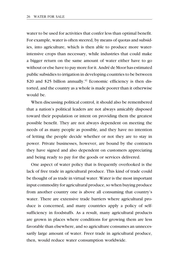water to be used for activities that confer less than optimal benefit. For example, water is often steered, by means of quotas and subsidies, into agriculture, which is then able to produce more waterintensive crops than necessary, while industries that could make a bigger return on the same amount of water either have to go without or else have to pay more for it. André de Moor has estimated public subsidies to irrigation in developing countries to be between \$20 and \$25 billion annually.<sup>42</sup> Economic efficiency is then distorted, and the country as a whole is made poorer than it otherwise would be.

When discussing political control, it should also be remembered that a nation's political leaders are not always amicably disposed toward their population or intent on providing them the greatest possible benefit. They are not always dependent on meeting the needs of as many people as possible, and they have no intention of letting the people decide whether or not they are to stay in power. Private businesses, however, are bound by the contracts they have signed and also dependent on customers appreciating and being ready to pay for the goods or services delivered.

One aspect of water policy that is frequently overlooked is the lack of free trade in agricultural produce. This kind of trade could be thought of as trade in virtual water. Water is the most important input commodity for agricultural produce, so when buying produce from another country one is above all consuming that country's water. There are extensive trade barriers where agricultural produce is concerned, and many countries apply a policy of selfsufficiency in foodstuffs. As a result, many agricultural products are grown in places where conditions for growing them are less favorable than elsewhere, and so agriculture consumes an unnecessarily large amount of water. Freer trade in agricultural produce, then, would reduce water consumption worldwide.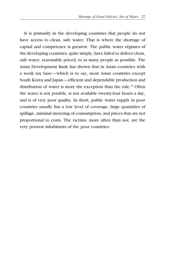It is primarily in the developing countries that people do not have access to clean, safe water. That is where the shortage of capital and competence is greatest. The public water régimes of the developing countries, quite simply, have failed to deliver clean, safe water, reasonably priced, to as many people as possible. The Asian Development Bank has shown that in Asian countries with a weak tax base—which is to say, most Asian countries except South Korea and Japan—efficient and dependable production and distribution of water is more the exception than the rule. $43$  Often the water is not potable, is not available twenty-four hours a day, and is of very poor quality. In short, public water supply in poor countries usually has a low level of coverage, large quantities of spillage, minimal metering of consumption, and prices that are not proportional to costs. The victims, more often than not, are the very poorest inhabitants of the poor countries.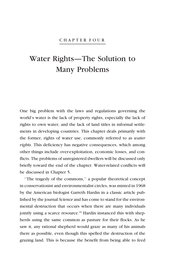#### CHAPTER FOUR

# Water Rights—The Solution to Many Problems

One big problem with the laws and regulations governing the world's water is the lack of property rights, especially the lack of rights to own water, and the lack of land titles in informal settlements in developing countries. This chapter deals primarily with the former, rights of water use, commonly referred to as *water rights*. This deficiency has negative consequences, which among other things include over-exploitation, economic losses, and conflicts. The problems of unregistered dwellers will be discussed only briefly toward the end of the chapter. Water-related conflicts will be discussed in Chapter 5.

''The tragedy of the commons,'' a popular theoretical concept in conservationist and environmentalist circles, was minted in 1968 by the American biologist Garreth Hardin in a classic article published by the journal *Science* and has come to stand for the environmental destruction that occurs when there are many individuals jointly using a scarce resource.<sup>44</sup> Hardin instanced this with shepherds using the same common as pasture for their flocks. As he saw it, any rational shepherd would graze as many of his animals there as possible, even though this spelled the destruction of the grazing land. This is because the benefit from being able to feed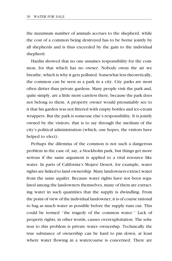the maximum number of animals accrues to the shepherd, while the cost of a common being destroyed has to be borne jointly by all shepherds and is thus exceeded by the gain to the individual shepherd.

Hardin showed that no one assumes responsibility for the common, for that which has no owner. Nobody owns the air we breathe, which is why it gets polluted. Somewhat less theoretically, the common can be seen as a park in a city. City parks are most often dirtier than private gardens. Many people visit the park and, quite simply, are a little more careless there, because the park does not belong to them. A property owner would presumably see to it that his garden was not littered with empty bottles and ice-cream wrappers. But the park is someone else's responsibility. It is jointly owned by the visitors, that is to say through the medium of the city's political administration (which, one hopes, the visitors have helped to elect).

Perhaps the dilemma of the common is not such a dangerous problem in the case of, say, a Stockholm park, but things get more serious if the same argument is applied to a vital resource like water. In parts of California's Mojave Desert, for example, water rights are linked to land ownership. Many landowners extract water from the same aquifer. Because water rights have not been regulated among the landowners themselves, many of them are extracting water in such quantities that the supply is dwindling. From the point of view of the individual landowner, it is of course rational to bag as much water as possible before the supply runs out. This could be termed ''the tragedy of the common water.'' Lack of property rights, in other words, causes overexploitation. The solution to this problem is private water ownership. Technically the true substance of ownership can be hard to pin down, at least where water flowing in a watercourse is concerned. There are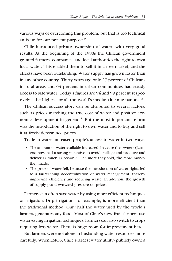various ways of overcoming this problem, but that is too technical an issue for our present purpose.<sup>45</sup>

Chile introduced private ownership of water, with very good results. At the beginning of the 1980s the Chilean government granted farmers, companies, and local authorities the right to own local water. This enabled them to sell it in a free market, and the effects have been outstanding. Water supply has grown faster than in any other country. Thirty years ago only 27 percent of Chileans in rural areas and 63 percent in urban communities had steady access to safe water. Today's figures are 94 and 99 percent respectively—the highest for all the world's medium-income nations.<sup>46</sup>

The Chilean success story can be attributed to several factors, such as prices matching the true cost of water and positive economic development in general.<sup>47</sup> But the most important reform was the introduction of the right to own water and to buy and sell it at freely determined prices.

Trade in water increased people's access to water in two ways:

- The amount of water available increased, because the owners (farmers) now had a strong incentive to avoid spillage and produce and deliver as much as possible. The more they sold, the more money they made.
- The price of water fell, because the introduction of water rights led to a far-reaching decentralization of water management, thereby improving efficiency and reducing waste. In addition, the growth of supply put downward pressure on prices.

Farmers can often save water by using more efficient techniques of irrigation. Drip irrigation, for example, is more efficient than the traditional method. Only half the water used by the world's farmers generates any food. Most of Chile's new fruit farmers use water-saving irrigation techniques. Farmers can also switch to crops requiring less water. There is huge room for improvement here.

But farmers were not alone in husbanding water resources more carefully. When EMOS, Chile's largest water utility (publicly owned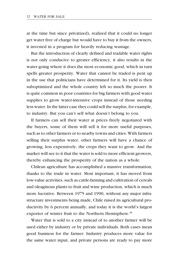at the time but since privatized), realized that it could no longer get water free of charge but would have to buy it from the owners, it invested in a program for heavily reducing wastage.

But the introduction of clearly defined and tradable water rights is not only conducive to greater efficiency, it also results in the water going where it does the most economic good, which in turn spells greater prosperity. Water that cannot be traded is pent up in the use that politicians have determined for it. Its yield is then suboptimized and the whole country left so much the poorer. It is quite common in poor countries for big farmers with good water supplies to grow water-intensive crops instead of those needing less water. In the latter case they could sell the surplus, for example, to industry. But you can't sell what doesn't belong to you.

If farmers can sell their water at prices freely negotiated with the buyers, some of them will sell it for more useful purposes, such as to other farmers or to nearby towns and cities. With farmers selling their surplus water, other farmers will have a chance of growing, less expensively, the crops they want to grow. And the market will see to it that the water is sold to more efficient growers, thereby enhancing the prosperity of the nation as a whole.

Chilean agriculture has accomplished a massive transformation, thanks to the trade in water. Most important, it has moved from low-value activities, such as cattle-farming and cultivation of cereals and oleaginous plants to fruit and wine production, which is much more lucrative. Between 1975 and 1990, without any major infrastructure investments being made, Chile raised its agricultural productivity by 6 percent annually, and today it is the world's largest exporter of winter fruit to the Northern Hemisphere.<sup>48</sup>

Water that is sold to a city instead of to another farmer will be used either by industry or by private individuals. Both cases mean good business for the farmer. Industry produces more value for the same water input, and private persons are ready to pay more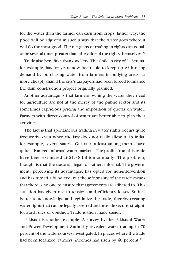for the water than the farmer can earn from crops. Either way, the price will be adjusted in such a way that the water goes where it will do the most good. The net gains of trading in rights can equal, or be several times greater than, the value of the rights themselves.<sup>49</sup>

Trade also benefits urban dwellers. The Chilean city of La Serena, for example, has for years now been able to keep up with rising demand by purchasing water from farmers in outlying areas far more cheaply than if the city's taxpayers had been forced to finance the dam construction project originally planned.

Another advantage is that farmers owning the water they need for agriculture are not at the mercy of the public sector and its sometimes capricious pricing and imposition of quotas on water. Farmers with direct control of water are better able to plan their activities.

The fact is that spontaneous trading in water rights occurs quite frequently, even when the law does not really allow it. In India, for example, several states—Gujarat not least among them—have quite advanced informal water markets. The profits from this trade have been estimated at \$1.38 billion annually. The problem, though, is that the trade is illegal, or rather, informal. The government, perceiving its advantages, has opted for non-intervention and has turned a blind eye. But the informality of the trade means that there is no one to ensure that agreements are adhered to. This situation has given rise to tensions and efficiency losses. So it is better to acknowledge and legitimize the trade, thereby creating water rights that can be legally asserted and provide secure, straightforward rules of conduct. Trade is then made easier.

Pakistan is another example. A survey by the Pakistani Water and Power Development Authority revealed water trading in 70 percent of the watercourses investigated. In places where the trade had been legalized, farmers' incomes had risen by 40 percent.<sup>50</sup>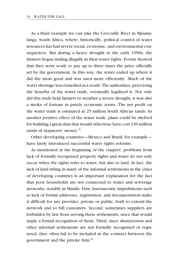As a third example we can take the Crocodile River in Mpumalanga, South Africa, where, historically, political control of water resources has had severe social, economic, and environmental consequences. But during a heavy drought in the early 1990s, the farmers began trading illegally in their water rights. Events showed that they were ready to pay up to three times the price officially set by the government. In this way, the water ended up where it did the most good and was used more efficiently. Much of the water shortage was remedied as a result. The authorities, perceiving the benefits of the water trade, eventually legalized it. Not only did this trade help farmers to weather a severe drought, it was also a stroke of fortune in purely economic terms. The net profit on the water trade is estimated at 25 million South African rands. As another positive effect of the water trade, plans could be shelved for building a great dam that would otherwise have cost 230 million rands of taxpayers' money.<sup>51</sup>

Other developing countries—Mexico and Brazil, for example have lately introduced successful water rights reforms.

As mentioned at the beginning of the chapter, problems from lack of formally recognized property rights and water do not only occur when the rights refer to water, but also to land. In fact, the lack of land titling in many of the informal settlements in the cities of developing countries is an important explanation for the fact that poor households are not connected to water and sewerage networks, notably in Manila. First, bureaucratic impediments such as lack of formal addresses, registration, and documentation make it difficult for any provider, private or public, both to extend the network and to bill customers. Second, sometimes suppliers are forbidden by law from serving these settlements, since that would imply a formal recognition of them. Third, since shantytowns and other informal settlements are not formally recognized or registered, they often fail to be included in the contract between the government and the private firm.<sup>52</sup>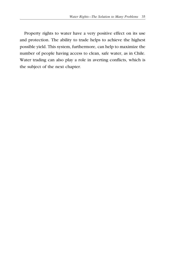Property rights to water have a very positive effect on its use and protection. The ability to trade helps to achieve the highest possible yield. This system, furthermore, can help to maximize the number of people having access to clean, safe water, as in Chile. Water trading can also play a role in averting conflicts, which is the subject of the next chapter.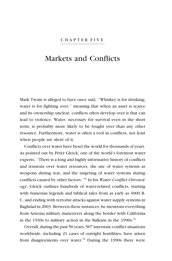### CHAPTER FIVE

## Markets and Conflicts

Mark Twain is alleged to have once said, ''Whiskey is for drinking; water is for fighting over," meaning that when an asset is scarce and its ownership unclear, conflicts often develop over it that can lead to violence. Water, necessary for survival even in the short term, is probably more likely to be fought over than any other resource. Furthermore, water is often a tool in conflicts, not least when people are short of it.

Conflicts over water have beset the world for thousands of years. As pointed out by Peter Gleick, one of the world's foremost water experts, ''There is a long and highly informative history of conflicts and tensions over water resources, the use of water systems as weapons during war, and the targeting of water systems during conflicts caused by other factors.''53 In his *Water Conflict Chronology*, Gleick outlines hundreds of water-related conflicts, starting with Sumerian legends and biblical tales from as early as 3000 B. C. and ending with terrorist attacks against water supply systems in Baghdad in 2003. Between these instances, he mentions everything from Arizona military maneuvers along the border with California in the 1930s to military action in the Balkans in the 1990s.<sup>54</sup>

Overall, during the past 50 years, 507 interstate conflict situations worldwide, including 21 cases of outright hostilities, have arisen from disagreements over water.<sup>55</sup> During the 1990s there were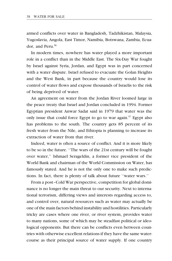armed conflicts over water in Bangladesh, Tadzhikistan, Malaysia, Yugoslavia, Angola, East Timor, Namibia, Botswana, Zambia, Ecuador, and Peru.<sup>56</sup>

In modern times, nowhere has water played a more important role in a conflict than in the Middle East. The Six-Day War fought by Israel against Syria, Jordan, and Egypt was in part concerned with a water dispute. Israel refused to evacuate the Golan Heights and the West Bank, in part because the country would lose its control of water flows and expose thousands of Israelis to the risk of being deprived of water.

An agreement on water from the Jordan River loomed large in the peace treaty that Israel and Jordan concluded in 1994. Former Egyptian president Anwar Sadat said in 1979 that water was the only issue that could force Egypt to go to war again.57 Egypt also has problems to the south. The country gets 85 percent of its fresh water from the Nile, and Ethiopia is planning to increase its extraction of water from that river.

Indeed, water is often a source of conflict. And it is more likely to be so in the future. ''The wars of the 21st century will be fought over water,'' Ishmael Serageldin, a former vice president of the World Bank and chairman of the World Commission on Water, has famously stated. And he is not the only one to make such predictions. In fact, there is plenty of talk about future ''water wars.''

From a post–Cold War perspective, competition for global dominance is no longer the main threat to our security. Next to international terrorism, differing views and interests regarding access to, and control over, natural resources such as water may actually be one of the main factors behind instability and hostilities. Particularly tricky are cases where one river, or river system, provides water to many nations, some of which may be steadfast political or ideological opponents. But there can be conflicts even between countries with otherwise excellent relations if they have the same watercourse as their principal source of water supply. If one country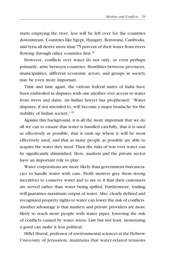starts emptying the river, less will be left over for the countries downstream. Countries like Egypt, Hungary, Botswana, Cambodia, and Syria all derive more than 75 percent of their water from rivers flowing through other countries first.<sup>58</sup>

However, conflicts over water do not only, or even perhaps primarily, arise between countries. Hostilities between provinces, municipalities, different economic actors, and groups in society may be even more important.

Time and time again, the various federal states of India have been embroiled in disputes with one another over access to water from rivers and dams. An Indian lawyer has prophesied: ''Water disputes, if not attended to, will become a major headache for the stability of Indian society.''59

Against this background, it is all the more important that we do all we can to ensure that water is handled carefully, that it is used as effectively as possible, that it ends up where it will be most effectively used, and that as many people as possible are able to acquire the water they need. Then the risks of war over water can be significantly diminished. Here, markets and the private sector have an important role to play.

Water corporations are more likely than government bureaucracies to handle water with care. Profit motives give them strong incentives to conserve water and to see to it that their customers are served rather than water being spilled. Furthermore, trading will guarantee maximum output of water. Also, clearly defined and recognized property rights to water can lower the risk of conflicts. Another advantage is that markets and private providers are more likely to reach more people with water pipes, lowering the risk of conflicts caused by water stress. Last but not least, monetizing a good can make it less political.

Hillel Shuval, professor of environmental sciences at the Hebrew University of Jerusalem, maintains that water-related tensions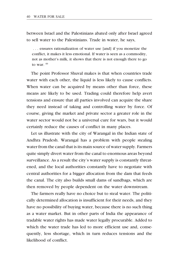between Israel and the Palestinians abated only after Israel agreed to sell water to the Palestinians. Trade in water, he says,

. . . ensures rationalization of water use [and] if you monetize the conflict, it makes it less emotional. If water is seen as a commodity, not as mother's milk, it shows that there is not enough there to go to war. <sup>60</sup>

The point Professor Shuval makes is that when countries trade water with each other, the liquid is less likely to cause conflicts. When water can be acquired by means other than force, these means are likely to be used. Trading could therefore help avert tensions and ensure that all parties involved can acquire the share they need instead of taking and controlling water by force. Of course, giving the market and private sector a greater role in the water sector would not be a universal cure for wars, but it would certainly reduce the causes of conflict in many places.

Let us illustrate with the city of Warangal in the Indian state of Andhra Pradesh. Warangal has a problem with people stealing water from the canal that is its main source of water supply. Farmers quite simply divert water from the canal to enormous areas beyond surveillance. As a result the city's water supply is constantly threatened, and the local authorities constantly have to negotiate with central authorities for a bigger allocation from the dam that feeds the canal. The city also builds small dams of sandbags, which are then removed by people dependent on the water downstream.

The farmers really have no choice but to steal water. The politically determined allocation is insufficient for their needs, and they have no possibility of buying water, because there is no such thing as a water market. But in other parts of India the appearance of tradable water rights has made water legally procurable. Added to which the water trade has led to more efficient use and, consequently, less shortage, which in turn reduces tensions and the likelihood of conflict.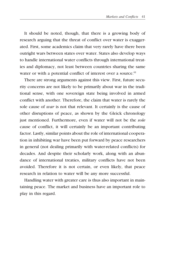It should be noted, though, that there is a growing body of research arguing that the threat of conflict over water is exaggerated. First, some academics claim that very rarely have there been outright wars between states over water. States also develop ways to handle international water conflicts through international treaties and diplomacy, not least between countries sharing the same water or with a potential conflict of interest over a source.<sup>61</sup>

There are strong arguments against this view. First, future security concerns are not likely to be primarily about war in the traditional sense, with one sovereign state being involved in armed conflict with another. Therefore, the claim that water is rarely the sole cause of *war* is not that relevant. It certainly is the cause of other disruptions of peace, as shown by the Gleick chronology just mentioned. Furthermore, even if water will not be the *sole* cause of conflict, it will certainly be an important contributing factor. Lastly, similar points about the role of international cooperation in inhibiting war have been put forward by peace researchers in general (not dealing primarily with water-related conflicts) for decades. And despite their scholarly work, along with an abundance of international treaties, military conflicts have not been avoided. Therefore it is not certain, or even likely, that peace research in relation to water will be any more successful.

Handling water with greater care is thus also important in maintaining peace. The market and business have an important role to play in this regard.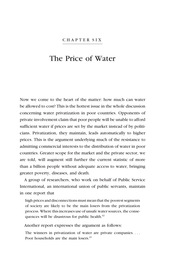#### CHAPTER SIX

### The Price of Water

Now we come to the heart of the matter: how much can water be allowed to cost? This is the hottest issue in the whole discussion concerning water privatization in poor countries. Opponents of private involvement claim that poor people will be unable to afford sufficient water if prices are set by the market instead of by politicians. Privatization, they maintain, leads automatically to higher prices. This is the argument underlying much of the resistance to admitting commercial interests to the distribution of water in poor countries. Greater scope for the market and the private sector, we are told, will augment still further the current statistic of more than a billion people without adequate access to water, bringing greater poverty, diseases, and death.

A group of researchers, who work on behalf of Public Service International, an international union of public servants, maintain in one report that

high prices and disconnections must mean that the poorest segments of society are likely to be the main losers from the privatization process. Where this increases use of unsafe water sources, the consequences will be disastrous for public health.<sup>62</sup>

Another report expresses the argument as follows:

The winners in privatization of water are private companies.... Poor households are the main losers.<sup>63</sup>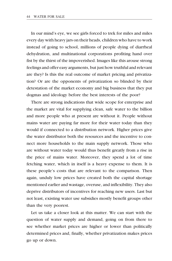In our mind's eye, we see girls forced to trek for miles and miles every day with heavy jars on their heads, children who have to work instead of going to school, millions of people dying of diarrheal dehydration, and multinational corporations profiting hand over fist by the thirst of the impoverished. Images like this arouse strong feelings and offer easy arguments, but just how truthful and relevant are they? Is this the real outcome of market pricing and privatization? Or are the opponents of privatization so blinded by their detestation of the market economy and big business that they put dogmas and ideology before the best interests of the poor?

There are strong indications that wide scope for enterprise and the market are vital for supplying clean, safe water to the billion and more people who at present are without it. People without mains water are paying far more for their water today than they would if connected to a distribution network. Higher prices give the water distributor both the resources and the incentive to connect more households to the main supply network. Those who are without water today would thus benefit greatly from a rise in the price of mains water. Moreover, they spend a lot of time fetching water, which in itself is a heavy expense to them. It is these people's costs that are relevant to the comparison. Then again, unduly low prices have created both the capital shortage mentioned earlier and wastage, overuse, and inflexibility. They also deprive distributors of incentives for reaching new users. Last but not least, existing water use subsidies mostly benefit groups other than the very poorest.

Let us take a closer look at this matter. We can start with the question of water supply and demand, going on from there to see whether market prices are higher or lower than politically determined prices and, finally, whether privatization makes prices go up or down.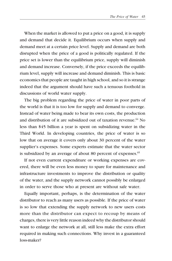When the market is allowed to put a price on a good, it is supply and demand that decide it. Equilibrium occurs when supply and demand meet at a certain price level. Supply and demand are both disrupted when the price of a good is politically regulated. If the price set is lower than the equilibrium price, supply will diminish and demand increase. Conversely, if the price exceeds the equilibrium level, supply will increase and demand diminish. This is basic economics that people are taught in high school, and so it is strange indeed that the argument should have such a tenuous foothold in discussions of world water supply.

The big problem regarding the price of water in poor parts of the world is that it is too low for supply and demand to converge. Instead of water being made to bear its own costs, the production and distribution of it are subsidized out of taxation revenue.<sup>64</sup> No less than \$45 billion a year is spent on subsidizing water in the Third World. In developing countries, the price of water is so low that on average it covers only about 30 percent of the water supplier's expenses. Some experts estimate that the water sector is subsidized by an average of about 80 percent of expenses.<sup>65</sup>

If not even current expenditure or working expenses are covered, there will be even less money to spare for maintenance and infrastructure investments to improve the distribution or quality of the water, and the supply network cannot possibly be enlarged in order to serve those who at present are without safe water.

Equally important, perhaps, is the determination of the water distributor to reach as many users as possible. If the price of water is so low that extending the supply network to new users costs more than the distributor can expect to recoup by means of charges, there is very little reason indeed why the distributor should want to enlarge the network at all, still less make the extra effort required in making such connections. Why invest in a guaranteed loss-maker?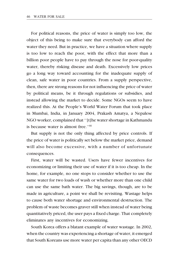For political reasons, the price of water is simply too low, the object of this being to make sure that everybody can afford the water they need. But in practice, we have a situation where supply is too low to reach the poor, with the effect that more than a billion poor people have to pay through the nose for poor-quality water, thereby risking disease and death. Excessively low prices go a long way toward accounting for the inadequate supply of clean, safe water in poor countries. From a supply perspective, then, there are strong reasons for not influencing the price of water by political means, be it through regulations or subsidies, and instead allowing the market to decide. Some NGOs seem to have realized this. At the People's World Water Forum that took place in Mumbai, India, in January 2004, Prakash Amatya, a Nepalese NGO worker, complained that ''[t]he water shortage in Kathmandu is because water is almost free."<sup>66</sup>

But supply is not the only thing affected by price controls. If the price of water is politically set below the market price, demand will also become excessive, with a number of unfortunate consequences.

First, water will be wasted. Users have fewer incentives for economizing or limiting their use of water if it is too cheap. In the home, for example, no one stops to consider whether to use the same water for two loads of wash or whether more than one child can use the same bath water. The big savings, though, are to be made in agriculture, a point we shall be revisiting. Wastage helps to cause both water shortage and environmental destruction. The problem of waste becomes graver still when instead of water being quantitatively priced, the user pays a fixed charge. That completely eliminates any incentives for economizing.

South Korea offers a blatant example of water wastage. In 2002, when the country was experiencing a shortage of water, it emerged that South Koreans use more water per capita than any other OECD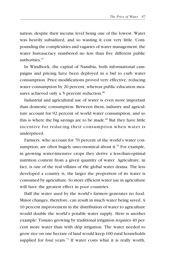nation, despite their income level being one of the lowest. Water was heavily subsidized, and so wasting it cost very little. Compounding the complexities and vagaries of water management, the water bureaucracy numbered no less than five different public authorities. $67$ 

In Windhoek, the capital of Namibia, both informational campaigns and pricing have been deployed in a bid to curb water consumption. Price modifications proved very effective, reducing water consumption by 20 percent, whereas public education measures achieved only a 5 percent reduction.<sup>68</sup>

Industrial and agricultural use of water is even more important than domestic consumption. Between them, industry and agriculture account for 92 percent of world water consumption, and so this is where the big savings are to be made.<sup> $69$ </sup> But they have little incentive for reducing their consumption when water is underpriced.

Farmers, who account for 70 percent of the world's water consumption, are often hugely uneconomical about it.<sup>70</sup> For example, in growing water-intensive crops they derive a less-than-optimal nutrition content from a given quantity of water. Agriculture, in fact, is one of the real villains of the global water drama. The less developed a country is, the larger the proportion of its water is consumed by agriculture. So more efficient water use in agriculture will have the greatest effect in poor countries.

Half the water used by the world's farmers generates no food. Minor changes, therefore, can result in much water being saved. A 10 percent improvement in the distribution of water to agriculture would double the world's potable water supply. Here is another example: Tomato growing by traditional irrigation requires 40 percent more water than with drip irrigation. The water needed to grow rice on one hectare of land would keep 100 rural households supplied for four years.<sup>71</sup> If water costs what it is really worth,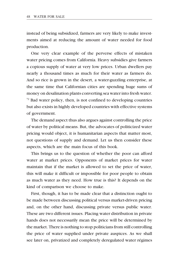instead of being subsidized, farmers are very likely to make investments aimed at reducing the amount of water needed for food production.

One very clear example of the perverse effects of mistaken water pricing comes from California. Heavy subsidies give farmers a copious supply of water at very low prices. Urban dwellers pay nearly a thousand times as much for their water as farmers do. And so rice is grown in the desert, a water-guzzling enterprise, at the same time that Californian cities are spending huge sums of money on desalination plants converting sea water into fresh water.  $72$  Bad water policy, then, is not confined to developing countries but also exists in highly developed countries with effective systems of government.

The demand aspect thus also argues against controlling the price of water by political means. But, the advocates of politicized water pricing would object, it is humanitarian aspects that matter most, not questions of supply and demand. Let us then consider these aspects, which are the main focus of this book.

This brings us to the question of whether the poor can afford water at market prices. Opponents of market prices for water maintain that if the market is allowed to set the price of water, this will make it difficult or impossible for poor people to obtain as much water as they need. How true is this? It depends on the kind of comparison we choose to make.

First, though, it has to be made clear that a distinction ought to be made between discussing political versus market-driven pricing and, on the other hand, discussing private versus public water. These are two different issues. Placing water distribution in private hands does not necessarily mean the price will be determined by the market. There is nothing to stop politicians from still controlling the price of water supplied under private auspices. As we shall see later on, privatized and completely deregulated water régimes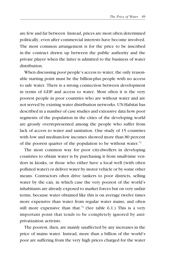are few and far between. Instead, prices are most often determined politically, even after commercial interests have become involved. The most common arrangement is for the price to be inscribed in the contract drawn up between the public authority and the private player when the latter is admitted to the business of water distribution.

When discussing poor people's access to water, the only reasonable starting point must be the billion-plus people with no access to safe water. There is a strong connection between development in terms of GDP and access to water. Most often it is the very poorest people in poor countries who are without water and are not served by existing water distribution networks. UN-Habitat has described in a number of case studies and extensive data how poor segments of the population in the cities of the developing world are grossly overrepresented among the people who suffer from lack of access to water and sanitation. One study of 15 countries with low and medium-low incomes showed more than 80 percent of the poorest quarter of the population to be without water.73

The most common way for poor city-dwellers in developing countries to obtain water is by purchasing it from small-time vendors in kiosks, or those who either have a local well (with often polluted water) or deliver water by motor vehicle or by some other means. Contractors often drive tankers to poor districts, selling water by the can, in which case the very poorest of the world's inhabitants are already exposed to market forces but on very unfair terms, because water obtained like this is on average twelve times more expensive than water from regular water mains, and often still more expensive than that.<sup>74</sup> (See table 6.1.) This is a very important point that tends to be completely ignored by antiprivatization activists.

The poorest, then, are mainly unaffected by any increases in the price of mains water. Instead, more than a billion of the world's poor are suffering from the very high prices charged for the water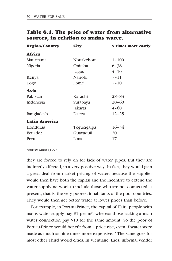| <b>Region/Country</b> | City        | x times more costly |
|-----------------------|-------------|---------------------|
| <b>Africa</b>         |             |                     |
| Mauritania            | Nouakchott  | $1 - 100$           |
| Nigeria               | Onitsha     | $6 - 38$            |
|                       | Lagos       | $4 - 10$            |
| Kenya                 | Nairobi     | $7 - 11$            |
| Togo                  | Lomé        | $7 - 10$            |
| Asia                  |             |                     |
| Pakistan              | Karachi     | $28 - 83$           |
| Indonesia             | Surabaya    | $20 - 60$           |
|                       | Jakarta     | $4 - 60$            |
| Bangladesh            | Dacca       | $12 - 25$           |
| Latin America         |             |                     |
| Honduras              | Tegucigalpa | $16 - 34$           |
| Ecuador               | Guayaquil   | 20                  |
| Peru                  | Lima        | 17                  |

**Table 6.1. The price of water from alternative sources, in relation to mains water.**

Source: Moor (1997).

they are forced to rely on for lack of water pipes. But they are indirectly affected, in a very positive way. In fact, they would gain a great deal from market pricing of water, because the supplier would then have both the capital and the incentive to extend the water supply network to include those who are not connected at present, that is, the very poorest inhabitants of the poor countries. They would then get better water at lower prices than before.

For example, in Port-au-Prince, the capital of Haiti, people with mains water supply pay \$1 per  $m^3$ , whereas those lacking a main water connection pay \$10 for the same amount. So the poor of Port-au-Prince would benefit from a price rise, even if water were made as much as nine times more expensive.<sup>75</sup> The same goes for most other Third World cities. In Vientiane, Laos, informal vendor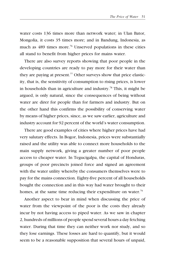water costs 136 times more than network water; in Ulan Bator, Mongolia, it costs 35 times more; and in Bandung, Indonesia, as much as 489 times more.76 Unserved populations in these cities all stand to benefit from higher prices for mains water.

There are also survey reports showing that poor people in the developing countries are ready to pay more for their water than they are paying at present.<sup>77</sup> Other surveys show that price elasticity, that is, the sensitivity of consumption to rising prices, is lower in households than in agriculture and industry.<sup>78</sup> This, it might be argued, is only natural, since the consequences of being without water are direr for people than for farmers and industry. But on the other hand this confirms the possibility of conserving water by means of higher prices, since, as we saw earlier, agriculture and industry account for 92 percent of the world's water consumption.

There are good examples of cities where higher prices have had very salutary effects. In Bogor, Indonesia, prices were substantially raised and the utility was able to connect more households to the main supply network, giving a greater number of poor people access to cheaper water. In Tegucigalpa, the capital of Honduras, groups of poor precincts joined force and signed an agreement with the water utility whereby the consumers themselves were to pay for the mains connection. Eighty-five percent of all households bought the connection and in this way had water brought to their homes, at the same time reducing their expenditure on water.<sup>79</sup>

Another aspect to bear in mind when discussing the price of water from the viewpoint of the poor is the costs they already incur by not having access to piped water. As we saw in chapter 2, hundreds of millions of people spend several hours a day fetching water. During that time they can neither work nor study, and so they lose earnings. These losses are hard to quantify, but it would seem to be a reasonable supposition that several hours of unpaid,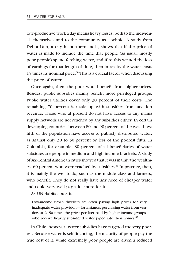low-productive work a day means heavy losses, both to the individuals themselves and to the community as a whole. A study from Dehra Dun, a city in northern India, shows that if the price of water is made to include the time that people (as usual, mostly poor people) spend fetching water, and if to this we add the loss of earnings for that length of time, then in reality the water costs 15 times its nominal price. $80$  This is a crucial factor when discussing the price of water.

Once again, then, the poor would benefit from higher prices. Besides, public subsidies mainly benefit more privileged groups. Public water utilities cover only 30 percent of their costs. The remaining 70 percent is made up with subsidies from taxation revenue. Those who at present do not have access to any mains supply network are not reached by any subsidies either. In certain developing countries, between 80 and 90 percent of the wealthiest fifth of the population have access to publicly distributed water, as against only 30 to 50 percent or less of the poorest fifth. In Colombia, for example, 80 percent of all beneficiaries of water subsidies are people in medium and high income brackets. A study of six Central American cities showed that it was mainly the wealthiest 60 percent who were reached by subsidies. $81$  In practice, then, it is mainly the well-to-do, such as the middle class and farmers, who benefit. They do not really have any need of cheaper water and could very well pay a lot more for it.

As UN-Habitat puts it:

Low-income urban dwellers are often paying high prices for very inadequate water provision—for instance, purchasing water from vendors at 2–50 times the price per liter paid by higher-income groups, who receive heavily subsidized water piped into their homes.<sup>82</sup>

In Chile, however, water subsidies have targeted the very poorest. Because water is self-financing, the majority of people pay the true cost of it, while extremely poor people are given a reduced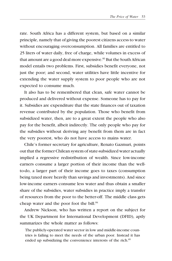rate. South Africa has a different system, but based on a similar principle, namely that of giving the poorest citizens access to water without encouraging overconsumption. All families are entitled to 25 liters of water daily, free of charge, while volumes in excess of that amount are a good deal more expensive.<sup>83</sup> But the South African model entails two problems. First, subsidies benefit everyone, not just the poor; and second, water utilities have little incentive for extending the water supply system to poor people who are not expected to consume much.

It also has to be remembered that clean, safe water cannot be produced and delivered without expense. Someone has to pay for it. Subsidies are expenditure that the state finances out of taxation revenue contributed by the population. Those who benefit from subsidized water, then, are to a great extent the people who also pay for the benefit, albeit indirectly. The only people who pay for the subsidies without deriving any benefit from them are in fact the very poorest, who do not have access to mains water.

Chile's former secretary for agriculture, Renato Gazmuri, points out that the former Chilean system of state-subsidized water actually implied a regressive redistribution of wealth. Since low-income earners consume a larger portion of their income than the wellto-do, a larger part of their income goes to taxes (consumption being taxed more heavily than savings and investments). And since low-income earners consume less water and thus obtain a smaller share of the subsidies, water subsidies in practice imply a transfer of resources from the poor to the better-off. The middle class gets cheap water and the poor foot the bill.<sup>84</sup>

Andrew Nickson, who has written a report on the subject for the UK Department for International Development (DFID), aptly summarizes the whole matter as follows:

The publicly-operated water sector in low and middle-income countries is failing to meet the needs of the urban poor. Instead it has ended up subsidizing the convenience interests of the rich.<sup>85</sup>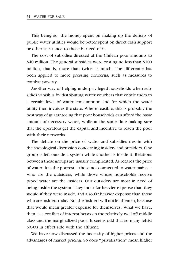This being so, the money spent on making up the deficits of public water utilities would be better spent on direct cash support or other assistance to those in need of it.

The cost of subsidies directed at the Chilean poor amounts to \$40 million. The general subsidies were costing no less than \$100 million, that is, more than twice as much. The difference has been applied to more pressing concerns, such as measures to combat poverty.

Another way of helping underprivileged households when subsidies vanish is by distributing water vouchers that entitle them to a certain level of water consumption and for which the water utility then invoices the state. Where feasible, this is probably the best way of guaranteeing that poor households can afford the basic amount of necessary water, while at the same time making sure that the operators get the capital and incentive to reach the poor with their networks.

The debate on the price of water and subsidies ties in with the sociological discussion concerning insiders and outsiders. One group is left outside a system while another is inside it. Relations between these groups are usually complicated. As regards the price of water, it is the poorest—those not connected to water mains who are the outsiders, while those whose households receive piped water are the insiders. Our outsiders are most in need of being inside the system. They incur far heavier expense than they would if they were inside, and also far heavier expense than those who are insiders today. But the insiders will not let them in, because that would mean greater expense for themselves. What we have, then, is a conflict of interest between the relatively well-off middle class and the marginalized poor. It seems odd that so many leftist NGOs in effect side with the affluent.

We have now discussed the necessity of higher prices and the advantages of market pricing. So does ''privatization'' mean higher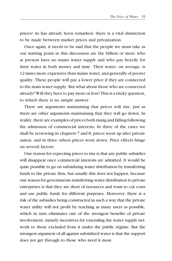prices? As has already been remarked, there is a vital distinction to be made between market prices and privatization.

Once again, it needs to be said that the people we must take as our starting point in this discussion are the billion or more who at present have no mains water supply and who pay heavily for their water in both money and time. Their water, on average, is 12 times more expensive than mains water, and generally of poorer quality. These people will pay a lower price if they are connected to the main water supply. But what about those who are connected already? Will they have to pay more or less? This is a tricky question, to which there is no simple answer.

There are arguments maintaining that prices will rise, just as there are other arguments maintaining that they will go down. In reality, there are examples of prices both rising and falling following the admission of commercial interests. In three of the cases we shall be reviewing in chapters 7 and 8, prices went up after privatization, and in three others prices went down. Price effects hinge on several factors.

One reason for expecting prices to rise is that any public subsidies will disappear once commercial interests are admitted. It would be quite possible to go on subsidizing water distribution by transferring funds to the private firm, but usually this does not happen, because one reason for governments transferring water distribution to private enterprises is that they are short of resources and want to cut costs and use public funds for different purposes. Moreover, there is a risk of the subsidies being constructed in such a way that the private water utility will not profit by reaching as many users as possible, which in turn eliminates one of the strongest benefits of private involvement, namely incentives for extending the water supply network to those excluded from it under the public régime. But the strongest argument of all against subsidized water is that the support does not get through to those who need it most.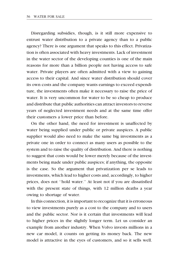Disregarding subsidies, though, is it still more expensive to entrust water distribution to a private agency than to a public agency? There is one argument that speaks to this effect. Privatization is often associated with heavy investments. Lack of investment in the water sector of the developing counties is one of the main reasons for more than a billion people not having access to safe water. Private players are often admitted with a view to gaining access to their capital. And since water distribution should cover its own costs and the company wants earnings to exceed expenditure, the investments often make it necessary to raise the price of water. It is very uncommon for water to be so cheap to produce and distribute that public authorities can attract investors to reverse years of neglected investment needs and at the same time offer their customers a lower price than before.

On the other hand, the need for investment is unaffected by water being supplied under public or private auspices. A public supplier would also need to make the same big investments as a private one in order to connect as many users as possible to the system and to raise the quality of distribution. And there is nothing to suggest that costs would be lower merely because of the investments being made under public auspices; if anything, the opposite is the case. So the argument that privatization per se leads to investments, which lead to higher costs and, accordingly, to higher prices, does not ''hold water.'' At least not if you are dissatisfied with the present state of things, with 12 million deaths a year owing to shortage of water.

In this connection, it is important to recognize that it is erroneous to view investments purely as a cost to the company and to users and the public sector. Nor is it certain that investments will lead to higher prices in the slightly longer term. Let us consider an example from another industry. When Volvo invests millions in a new car model, it counts on getting its money back. The new model is attractive in the eyes of customers, and so it sells well.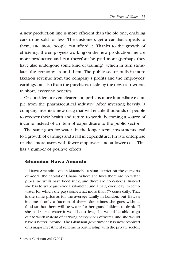A new production line is more efficient than the old one, enabling cars to be sold for less. The customers get a car that appeals to them, and more people can afford it. Thanks to the growth of efficiency, the employees working on the new production line are more productive and can therefore be paid more (perhaps they have also undergone some kind of training), which in turn stimulates the economy around them. The public sector pulls in more taxation revenue from the company's profits and the employees' earnings and also from the purchases made by the new car owners. In short, everyone benefits.

Or consider an even clearer and perhaps more immediate example from the pharmaceutical industry. After investing heavily, a company invents a new drug that will enable thousands of people to recover their health and return to work, becoming a source of income instead of an item of expenditure to the public sector.

The same goes for water. In the longer term, investments lead to a growth of earnings and a fall in expenditure. Private enterprise reaches more users with fewer employees and at lower cost. This has a number of positive effects.

#### **Ghanaian Hawa Amandu**

Hawa Amandu lives in Maamobi, a slum district on the outskirts of Accra, the capital of Ghana. Where she lives there are no water pipes, no wells have been sunk, and there are no cisterns. Instead she has to walk just over a kilometer and a half, every day, to fetch water for which she pays somewhat more than 75 cents daily. That is the same price as for the average family in London, but Hawa's income is only a fraction of theirs. Sometimes she goes without food so that there will be water for her grandchildren to drink. If she had mains water it would cost less, she would be able to go out to work instead of carrying heavy loads of water, and she would have a better income. The Ghanaian government has now resolved on a major investment scheme in partnership with the private sector.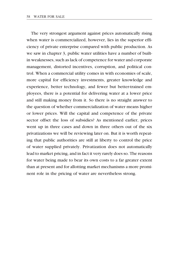The very strongest argument against prices automatically rising when water is commercialized, however, lies in the superior efficiency of private enterprise compared with public production. As we saw in chapter 3, public water utilities have a number of builtin weaknesses, such as lack of competence for water and corporate management, distorted incentives, corruption, and political control. When a commercial utility comes in with economies of scale, more capital for efficiency investments, greater knowledge and experience, better technology, and fewer but better-trained employees, there is a potential for delivering water at a lower price and still making money from it. So there is no straight answer to the question of whether commercialization of water means higher or lower prices. Will the capital and competence of the private sector offset the loss of subsidies? As mentioned earlier, prices went up in three cases and down in three others out of the six privatizations we will be reviewing later on. But it is worth repeating that public authorities are still at liberty to control the price of water supplied privately. Privatization does not automatically lead to market pricing, and in fact it very rarely does so. The reasons for water being made to bear its own costs to a far greater extent than at present and for allotting market mechanisms a more prominent role in the pricing of water are nevertheless strong.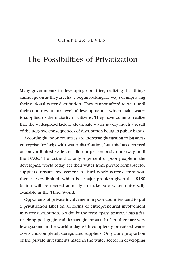#### CHAPTER SEVEN

## The Possibilities of Privatization

Many governments in developing countries, realizing that things cannot go on as they are, have begun looking for ways of improving their national water distribution. They cannot afford to wait until their countries attain a level of development at which mains water is supplied to the majority of citizens. They have come to realize that the widespread lack of clean, safe water is very much a result of the negative consequences of distribution being in public hands.

Accordingly, poor countries are increasingly turning to business enterprise for help with water distribution, but this has occurred on only a limited scale and did not get seriously underway until the 1990s. The fact is that only 3 percent of poor people in the developing world today get their water from private formal-sector suppliers. Private involvement in Third World water distribution, then, is very limited, which is a major problem given that \$180 billion will be needed annually to make safe water universally available in the Third World.

Opponents of private involvement in poor countries tend to put a privatization label on all forms of entrepreneurial involvement in water distribution. No doubt the term ''privatization'' has a farreaching pedagogic and demagogic impact. In fact, there are very few systems in the world today with completely privatized water assets and completely deregulated suppliers. Only a tiny proportion of the private investments made in the water sector in developing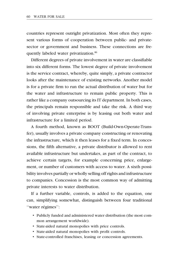countries represent outright privatization. Most often they represent various forms of cooperation between public- and privatesector or government and business. These connections are frequently labeled water privatization.<sup>86</sup>

Different degrees of private involvement in water are classifiable into six different forms. The lowest degree of private involvement is the service contract, whereby, quite simply, a private contractor looks after the maintenance of existing networks. Another model is for a private firm to run the actual distribution of water but for the water and infrastructure to remain public property. This is rather like a company outsourcing its IT department. In both cases, the principals remain responsible and take the risk. A third way of involving private enterprise is by leasing out both water and infrastructure for a limited period.

A fourth method, known as BOOT (Build-Own-Operate-Transfer), usually involves a private company constructing or renovating the infrastructure, which it then leases for a fixed term. In concessions, the fifth alternative, a private distributor is allowed to rent available infrastructure but undertakes, as part of the contract, to achieve certain targets, for example concerning price, enlargement, or number of customers with access to water. A sixth possibility involves partially or wholly selling off rights and infrastructure to companies. Concession is the most common way of admitting private interests to water distribution.

If a further variable, controls, is added to the equation, one can, simplifying somewhat, distinguish between four traditional "water régimes":

- Publicly funded and administered water distribution (the most common arrangement worldwide).
- State-aided natural monopolies with price controls.
- State-aided natural monopolies with profit controls.
- State-controlled franchises, leasing or concession agreements.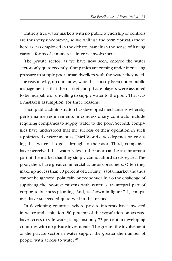Entirely free water markets with no public ownership or controls are thus very uncommon, so we will use the term ''privatization'' here as it is employed in the debate, namely in the sense of having various forms of commercial-interest involvement.

The private sector, as we have now seen, entered the water sector only quite recently. Companies are coming under increasing pressure to supply poor urban dwellers with the water they need. The reason why, up until now, water has mostly been under public management is that the market and private players were assumed to be incapable or unwilling to supply water to the poor. That was a mistaken assumption, for three reasons.

First, public administration has developed mechanisms whereby performance requirements in concessionary contracts include requiring companies to supply water to the poor. Second, companies have understood that the success of their operation in such a politicized environment as Third World cities depends on ensuring that water also gets through to the poor. Third, companies have perceived that water sales to the poor can be an important part of the market that they simply cannot afford to disregard. The poor, then, have great commercial value as consumers. Often they make up no less than 50 percent of a country's total market and thus cannot be ignored, politically or economically. So the challenge of supplying the poorest citizens with water is an integral part of corporate business planning. And, as shown in figure 7.1, companies have succeeded quite well in this respect.

In developing countries where private interests have invested in water and sanitation, 80 percent of the population on average have access to safe water, as against only 73 percent in developing countries with no private investments. The greater the involvement of the private sector in water supply, the greater the number of people with access to water.87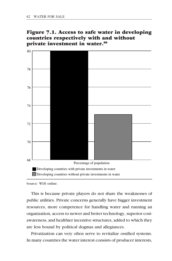# **Figure 7.1. Access to safe water in developing countries respectively with and without private investment in water.88**



Source: WDI online.

This is because private players do not share the weaknesses of public utilities. Private concerns generally have bigger investment resources, more competence for handling water and running an organization, access to newer and better technology, superior costawareness, and healthier incentive structures, added to which they are less bound by political dogmas and allegiances.

Privatization can very often serve to revitalize ossified systems. In many countries the water interest consists of producer interests,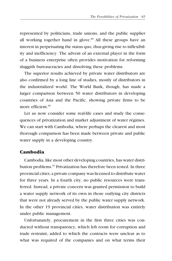represented by politicians, trade unions, and the public supplier all working together hand in glove.<sup>89</sup> All these groups have an interest in perpetuating the status quo, thus giving rise to inflexibility and inefficiency. The advent of an external player in the form of a business enterprise often provides motivation for reforming sluggish bureaucracies and dissolving these problems.

The superior results achieved by private water distributors are also confirmed by a long line of studies, mostly of distributors in the industrialized world. The World Bank, though, has made a larger comparison between 50 water distributors in developing countries of Asia and the Pacific, showing private firms to be more efficient.<sup>90</sup>

Let us now consider some real-life cases and study the consequences of privatization and market adjustment of water régimes. We can start with Cambodia, where perhaps the clearest and most thorough comparison has been made between private and public water supply in a developing country.

# **Cambodia**

Cambodia, like most other developing countries, has water distribution problems.<sup>91</sup> Privatization has therefore been tested. In three provincial cities, a private company was licensed to distribute water for three years. In a fourth city, no public resources were transferred. Instead, a private concern was granted permission to build a water supply network of its own in those outlying city districts that were not already served by the public water supply network. In the other 19 provincial cities, water distribution was entirely under public management.

Unfortunately, procurement in the first three cities was conducted without transparency, which left room for corruption and trade restraint, added to which the contracts were unclear as to what was required of the companies and on what terms their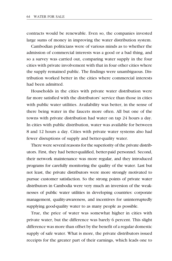contracts would be renewable. Even so, the companies invested large sums of money in improving the water distribution system.

Cambodian politicians were of various minds as to whether the admission of commercial interests was a good or a bad thing, and so a survey was carried out, comparing water supply in the four cities with private involvement with that in four other cities where the supply remained public. The findings were unambiguous. Distribution worked better in the cities where commercial interests had been admitted.

Households in the cities with private water distribution were far more satisfied with the distributors' service than those in cities with public water utilities. Availability was better, in the sense of there being water in the faucets more often. All but one of the towns with private distribution had water on tap 24 hours a day. In cities with public distribution, water was available for between 8 and 12 hours a day. Cities with private water systems also had fewer disruptions of supply and better-quality water.

There were several reasons for the superiority of the private distributors. First, they had better-qualified, better-paid personnel. Second, their network maintenance was more regular, and they introduced programs for carefully monitoring the quality of the water. Last but not least, the private distributors were more strongly motivated to pursue customer satisfaction. So the strong points of private water distributors in Cambodia were very much an inversion of the weaknesses of public water utilities in developing countries: corporate management, quality-awareness, and incentives for uninterruptedly supplying good-quality water to as many people as possible.

True, the price of water was somewhat higher in cities with private water, but the difference was barely 6 percent. This slight difference was more than offset by the benefit of a regular domestic supply of safe water. What is more, the private distributors issued receipts for the greater part of their earnings, which leads one to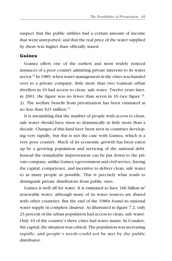suspect that the public utilities had a certain amount of income that went unreported, and that the real price of the water supplied by them was higher than officially stated.

# **Guinea**

Guinea offers one of the earliest and most widely noticed instances of a poor country admitting private interests to its water sector.<sup>92</sup> In 1989, when water management in the cities was handed over to a private company, little more than two Guinean urban dwellers in 10 had access to clean, safe water. Twelve years later, in 2001, the figure was no fewer than seven in 10 (see figure 7. 2). The welfare benefit from privatization has been estimated at no less than \$23 million  $93$ 

It is astonishing that the number of people with access to clean, safe water should have risen so dramatically in little more than a decade. Changes of this kind have been seen in countries developing very rapidly, but this is not the case with Guinea, which is a very poor country. Much of its economic growth has been eaten up by a growing population and servicing of the national debt. Instead the remarkable improvement can be put down to the private company, unlike Guinea's government and civil service, having the capital, competence, and incentive to deliver clean, safe water to as many people as possible. This is precisely what tends to distinguish private distributors from public ones.

Guinea is well off for water. It is estimated to have 166 billion  $m<sup>3</sup>$ renewable water, although many of its water sources are shared with other countries. But the end of the 1980s found its national water supply in complete disarray. As illustrated in figure 7.2, only 23 percent of the urban population had access to clean, safe water. Only 10 of the country's three cities had water mains. In Conakry, the capital, the situation was critical. The population was increasing rapidly, and people's needs could not be met by the public distributor.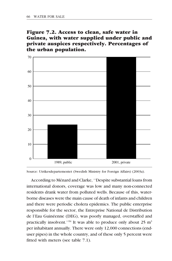# **Figure 7.2. Access to clean, safe water in Guinea, with water supplied under public and private auspices respectively. Percentages of the urban population.**



Source: Utrikesdepartementet (Swedish Ministry for Foreign Affairs) (2003a).

According to Ménard and Clarke, "Despite substantial loans from international donors, coverage was low and many non-connected residents drank water from polluted wells. Because of this, waterborne diseases were the main cause of death of infants and children and there were periodic cholera epidemics. The public enterprise responsible for the sector, the Entreprise National de Distribution de l'Eau Guinéenne (DEG), was poorly managed, overstaffed and practically insolvent."<sup>94</sup> It was able to produce only about 25 m<sup>3</sup> per inhabitant annually. There were only 12,000 connections (enduser pipes) in the whole country, and of these only 5 percent were fitted with meters (see table 7.1).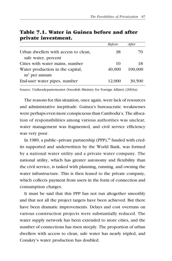|                                                        | <b>Before</b> | After   |
|--------------------------------------------------------|---------------|---------|
| Urban dwellers with access to clean.                   | 38            | 70      |
| safe water, percent<br>Cities with water mains, number | 10            | 18      |
| Water production in the capital,                       | 40,000        | 100,000 |
| $m3$ per annum<br>End-user water pipes, number         | 12,000        | 30,500  |

**Table 7.1. Water in Guinea before and after private investment.**

Source: Utrikesdepartementet (Swedish Ministry for Foreign Affairs) (2003a).

The reasons for this situation, once again, were lack of resources and administrative ineptitude. Guinea's bureaucratic weaknesses were perhaps even more conspicuous than Cambodia's. The allocation of responsibilities among various authorities was unclear, water management was fragmented, and civil service efficiency was very poor.

In 1989, a public–private partnership  $(PPP)$ ,<sup>95</sup> funded with credits supported and underwritten by the World Bank, was formed by a national water utility and a private water company. The national utility, which has greater autonomy and flexibility than the civil service, is tasked with planning, running, and owning the water infrastructure. This is then leased to the private company, which collects payment from users in the form of connection and consumption charges.

It must be said that this PPP has not run altogether smoothly and that not all the project targets have been achieved. But there have been dramatic improvements. Delays and cost overruns on various construction projects were substantially reduced. The water supply network has been extended to more cities, and the number of connections has risen steeply. The proportion of urban dwellers with access to clean, safe water has nearly tripled, and Conakry's water production has doubled.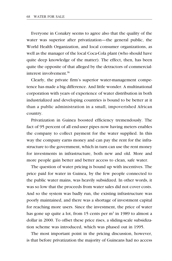Everyone in Conakry seems to agree also that the quality of the water was superior after privatization—the general public, the World Health Organization, and local consumer organizations, as well as the manager of the local Coca-Cola plant (who should have quite deep knowledge of the matter). The effect, then, has been quite the opposite of that alleged by the detractors of commercialinterest involvement.<sup>96</sup>

Clearly, the private firm's superior water-management competence has made a big difference. And little wonder. A multinational corporation with years of experience of water distribution in both industrialized and developing countries is bound to be better at it than a public administration in a small, impoverished African country.

Privatization in Guinea boosted efficiency tremendously. The fact of 95 percent of all end-user pipes now having meters enables the company to collect payment for the water supplied. In this way the company earns money and can pay the rent for the infrastructure to the government, which in turn can use the rent money for investments in infrastructure, both new and old. More and more people gain better and better access to clean, safe water.

The question of water pricing is bound up with incentives. The price paid for water in Guinea, by the few people connected to the public water mains, was heavily subsidized. In other words, it was so low that the proceeds from water sales did not cover costs. And so the system was badly run, the existing infrastructure was poorly maintained, and there was a shortage of investment capital for reaching more users. Since the investment, the price of water has gone up quite a lot, from 15 cents per  $m<sup>3</sup>$  in 1989 to almost a dollar in 2000. To offset these price rises, a sliding-scale subsidization scheme was introduced, which was phased out in 1995.

The most important point in the pricing discussion, however, is that before privatization the majority of Guineans had no access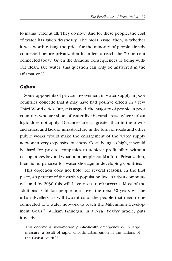to mains water at all. They do now. And for these people, the cost of water has fallen drastically. The moral issue, then, is whether it was worth raising the price for the minority of people already connected before privatization in order to reach the 70 percent connected today. Given the dreadful consequences of being without clean, safe water, this question can only be answered in the affirmative.97

## **Gabon**

Some opponents of private involvement in water supply in poor countries concede that it may have had positive effects in a few Third World cities. But, it is argued, the majority of people in poor countries who are short of water live in rural areas, where urban logic does not apply. Distances are far greater than in the towns and cities, and lack of infrastructure in the form of roads and other public works would make the enlargement of the water supply network a very expensive business. Costs being so high, it would be hard for private companies to achieve profitability without raising prices beyond what poor people could afford. Privatization, then, is no panacea for water shortage in developing countries.

This objection does not hold, for several reasons. In the first place, 48 percent of the earth's population live in urban communities, and by 2030 this will have risen to 60 percent. Most of the additional 3 billion people born over the next 50 years will be urban dwellers, as will two-thirds of the people that need to be connected to a water network to reach the Millennium Development Goals.98 William Finnegan, in a *New Yorker* article, puts it neatly:

This enormous slow-motion public-health emergency is, in large measure, a result of rapid, chaotic urbanization in the nations of the Global South.99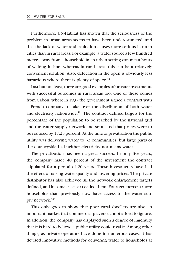Furthermore, UN-Habitat has shown that the seriousness of the problem in urban areas seems to have been underestimated, and that the lack of water and sanitation causes more serious harm in cities than in rural areas. For example, a water source a few hundred meters away from a household in an urban setting can mean hours of waiting in line, whereas in rural areas this can be a relatively convenient solution. Also, defecation in the open is obviously less hazardous where there is plenty of space.<sup>100</sup>

Last but not least, there are good examples of private investments with successful outcomes in rural areas too. One of these comes from Gabon, where in 1997 the government signed a contract with a French company to take over the distribution of both water and electricity nationwide.<sup>101</sup> The contract defined targets for the percentage of the population to be reached by the national grid and the water supply network and stipulated that prices were to be reduced by 17.25 percent. At the time of privatization the public utility was delivering water to 32 communities, but large parts of the countryside had neither electricity nor mains water.

The privatization has been a great success. In only five years, the company made 40 percent of the investment the contract stipulated for a period of 20 years. These investments have had the effect of raising water quality and lowering prices. The private distributor has also achieved all the network enlargement targets defined, and in some cases exceeded them. Fourteen percent more households than previously now have access to the water supply network.102

This only goes to show that poor rural dwellers are also an important market that commercial players cannot afford to ignore. In addition, the company has displayed such a degree of ingenuity that it is hard to believe a public utility could rival it. Among other things, as private operators have done in numerous cases, it has devised innovative methods for delivering water to households at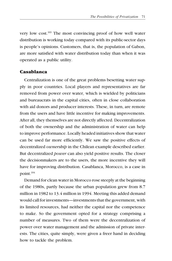very low cost.103 The most convincing proof of how well water distribution is working today compared with its public-sector days is people's opinions. Customers, that is, the population of Gabon, are more satisfied with water distribution today than when it was operated as a public utility.

# **Casablanca**

Centralization is one of the great problems besetting water supply in poor countries. Local players and representatives are far removed from power over water, which is wielded by politicians and bureaucrats in the capital cities, often in close collaboration with aid donors and producer interests. These, in turn, are remote from the users and have little incentive for making improvements. After all, they themselves are not directly affected. Decentralization of both the ownership and the administration of water can help to improve performance. Locally headed initiatives show that water can be used far more efficiently. We saw the positive effects of decentralized *ownership* in the Chilean example described earlier. But decentralized *power* can also yield positive results. The closer the decisionmakers are to the users, the more incentive they will have for improving distribution. Casablanca, Morocco, is a case in point.104

Demand for clean water in Morocco rose steeply at the beginning of the 1980s, partly because the urban population grew from 8.7 million in 1982 to 13.4 million in 1994. Meeting this added demand would call for investments—investments that the government, with its limited resources, had neither the capital nor the competence to make. So the government opted for a strategy comprising a number of measures. Two of them were the decentralization of power over water management and the admission of private interests. The cities, quite simply, were given a freer hand in deciding how to tackle the problem.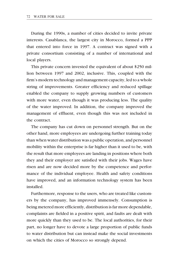During the 1990s, a number of cities decided to invite private interests. Casablanca, the largest city in Morocco, formed a PPP that entered into force in 1997. A contract was signed with a private consortium consisting of a number of international and local players.

This private concern invested the equivalent of about \$250 million between 1997 and 2002, inclusive. This, coupled with the firm's modern technology and management capacity, led to a whole string of improvements. Greater efficiency and reduced spillage enabled the company to supply growing numbers of customers with more water, even though it was producing less. The quality of the water improved. In addition, the company improved the management of effluent, even though this was not included in the contract.

The company has cut down on personnel strength. But on the other hand, more employees are undergoing further training today than when water distribution was a public operation, and personnel mobility within the enterprise is far higher than it used to be, with the result that more employees are landing in positions where both they and their employer are satisfied with their jobs. Wages have risen and are now decided more by the competence and performance of the individual employee. Health and safety conditions have improved, and an information technology system has been installed.

Furthermore, response to the users, who are treated like customers by the company, has improved immensely. Consumption is being metered more efficiently, distribution is far more dependable, complaints are fielded in a positive spirit, and faults are dealt with more quickly than they used to be. The local authorities, for their part, no longer have to devote a large proportion of public funds to water distribution but can instead make the social investments on which the cities of Morocco so strongly depend.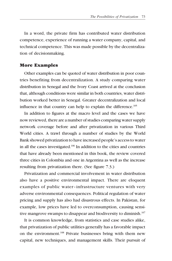In a word, the private firm has contributed water distribution competence, experience of running a water company, capital, and technical competence. This was made possible by the decentralization of decisionmaking.

#### **More Examples**

Other examples can be quoted of water distribution in poor countries benefiting from decentralization. A study comparing water distribution in Senegal and the Ivory Coast arrived at the conclusion that, although conditions were similar in both countries, water distribution worked better in Senegal. Greater decentralization and local influence in that country can help to explain the difference.<sup>105</sup>

In addition to figures at the macro level and the cases we have now reviewed, there are a number of studies comparing water supply network coverage before and after privatization in various Third World cities. A trawl through a number of studies by the World Bank showed privatization to have increased people's access to water in all the cases investigated.106 In addition to the cities and countries that have already been mentioned in this book, the review covered three cities in Colombia and one in Argentina as well as the increase resulting from privatization there. (See figure 7.3.)

Privatization and commercial involvement in water distribution also have a positive environmental impact. There are eloquent examples of public water–infrastructure ventures with very adverse environmental consequences. Political regulation of water pricing and supply has also had disastrous effects. In Pakistan, for example, low prices have led to overconsumption, causing sensitive mangrove swamps to disappear and biodiversity to diminish.<sup>107</sup>

It is common knowledge, from statistics and case studies alike, that privatization of public utilities generally has a favorable impact on the environment.108 Private businesses bring with them new capital, new techniques, and management skills. Their pursuit of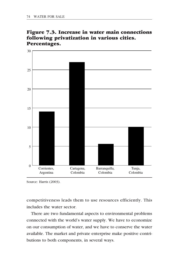# **Figure 7.3. Increase in water main connections following privatization in various cities. Percentages.**



Source: Harris (2003).

competitiveness leads them to use resources efficiently. This includes the water sector.

There are two fundamental aspects to environmental problems connected with the world's water supply. We have to economize on our consumption of water, and we have to conserve the water available. The market and private enterprise make positive contributions to both components, in several ways.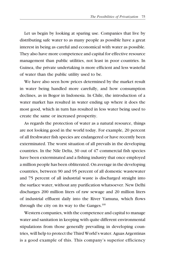Let us begin by looking at sparing use. Companies that live by distributing safe water to as many people as possible have a great interest in being as careful and economical with water as possible. They also have more competence and capital for effective resource management than public utilities, not least in poor countries. In Guinea, the private undertaking is more efficient and less wasteful of water than the public utility used to be.

We have also seen how prices determined by the market result in water being handled more carefully, and how consumption declines, as in Bogor in Indonesia. In Chile, the introduction of a water market has resulted in water ending up where it does the most good, which in turn has resulted in less water being used to create the same or increased prosperity.

As regards the protection of water as a natural resource, things are not looking good in the world today. For example, 20 percent of all freshwater fish species are endangered or have recently been exterminated. The worst situation of all prevails in the developing countries. In the Nile Delta, 30 out of 47 commercial fish species have been exterminated and a fishing industry that once employed a million people has been obliterated. On average in the developing countries, between 90 and 95 percent of all domestic wastewater and 75 percent of all industrial waste is discharged straight into the surface water, without any purification whatsoever. New Delhi discharges 200 million liters of raw sewage and 20 million liters of industrial effluent daily into the River Yamuna, which flows through the city on its way to the Ganges.<sup>109</sup>

Western companies, with the competence and capital to manage water and sanitation in keeping with quite different environmental stipulations from those generally prevailing in developing countries, will help to protect the Third World's water. Aguas Argentinas is a good example of this. This company's superior efficiency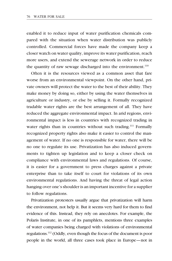enabled it to reduce input of water purification chemicals compared with the situation when water distribution was publicly controlled. Commercial forces have made the company keep a closer watch on water quality, improve its water purification, reach more users, and extend the sewerage network in order to reduce the quantity of raw sewage discharged into the environment. $110$ 

Often it is the resources viewed as a common asset that fare worse from an environmental viewpoint. On the other hand, private owners will protect the water to the best of their ability. They make money by doing so, either by using the water themselves in agriculture or industry, or else by selling it. Formally recognized tradable water rights are the best arrangement of all. They have reduced the aggregate environmental impact. In arid regions, environmental impact is less in countries with recognized trading in water rights than in countries without such trading.<sup>111</sup> Formally recognized property rights also make it easier to control the management of water. If no one is responsible for water, there will be no one to regulate its use. Privatization has also induced governments to tighten up legislation and to keep a closer check on compliance with environmental laws and regulations. Of course, it is easier for a government to press charges against a private enterprise than to take itself to court for violations of its own environmental regulations. And having the threat of legal action hanging over one's shoulder is an important incentive for a supplier to follow regulations.

Privatization protesters usually argue that privatization will harm the environment, not help it. But it seems very hard for them to find evidence of this. Instead, they rely on anecdotes. For example, the Polaris Institute, in one of its pamphlets, mentions three examples of water companies being charged with violations of environmental regulations.112 (Oddly, even though the focus of the document is poor people in the world, all three cases took place in Europe—not in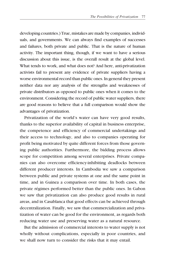developing countries.) True, mistakes are made by companies, individuals, and governments. We can always find examples of successes and failures, both private and public. That is the nature of human activity. The important thing, though, if we want to have a serious discussion about this issue, is the overall result at the global level. What tends to work, and what does not? And here, anti-privatization activists fail to present any evidence of private suppliers having a worse environmental record than public ones. In general they present neither data nor any analysis of the strengths and weaknesses of private distributors as opposed to public ones when it comes to the environment. Considering the record of public water suppliers, there are good reasons to believe that a full comparison would show the advantages of privatization.

Privatization of the world's water can have very good results, thanks to the superior availability of capital in business enterprise, the competence and efficiency of commercial undertakings and their access to technology, and also to companies operating for profit being motivated by quite different forces from those governing public authorities. Furthermore, the bidding process allows scope for competition among several enterprises. Private companies can also overcome efficiency-inhibiting deadlocks between different producer interests. In Cambodia we saw a comparison between public and private systems at one and the same point in time, and in Guinea a comparison over time. In both cases, the private régimes performed better than the public ones. In Gabon we saw that privatization can also produce good results in rural areas, and in Casablanca that good effects can be achieved through decentralization. Finally, we saw that commercialization and privatization of water can be good for the environment, as regards both reducing water use and preserving water as a natural resource.

But the admission of commercial interests to water supply is not wholly without complications, especially in poor countries, and we shall now turn to consider the risks that it may entail.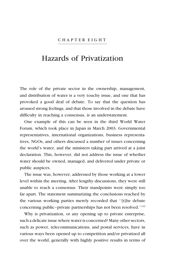# CHAPTER EIGHT

# Hazards of Privatization

The role of the private sector in the ownership, management, and distribution of water is a very touchy issue, and one that has provoked a good deal of debate. To say that the question has aroused strong feelings, and that those involved in the debate have difficulty in reaching a consensus, is an understatement.

One example of this can be seen in the third World Water Forum, which took place in Japan in March 2003. Governmental representatives, international organizations, business representatives, NGOs, and others discussed a number of issues concerning the world's water, and the ministers taking part arrived at a joint declaration. This, however, did not address the issue of whether water should be owned, managed, and delivered under private or public auspices.

The issue was, however, addressed by those working at a lower level within the meeting. After lengthy discussions, they were still unable to reach a consensus. Their standpoints were simply too far apart. The statement summarizing the conclusions reached by the various working parties merely recorded that ''[t]he debate concerning public–private partnerships has not been resolved.''113

Why is privatization, or any opening up to private enterprise, such a delicate issue where water is concerned? Many other sectors, such as power, telecommunications, and postal services, have in various ways been opened up to competition and/or privatized all over the world, generally with highly positive results in terms of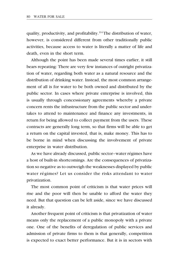quality, productivity, and profitability.114 The distribution of water, however, is considered different from other traditionally public activities, because access to water is literally a matter of life and death, even in the short term.

Although the point has been made several times earlier, it still bears repeating: There are very few instances of outright privatization of water, regarding both water as a natural resource and the distribution of drinking water. Instead, the most common arrangement of all is for water to be both owned and distributed by the public sector. In cases where private enterprise is involved, this is usually through concessionary agreements whereby a private concern rents the infrastructure from the public sector and undertakes to attend to maintenance and finance any investments, in return for being allowed to collect payment from the users. These contracts are generally long term, so that firms will be able to get a return on the capital invested, that is, make money. This has to be borne in mind when discussing the involvement of private enterprise in water distribution.

As we have already discussed, public sector–water régimes have a host of built-in shortcomings. Are the consequences of privatization so negative as to outweigh the weaknesses displayed by public water régimes? Let us consider the risks attendant to water privatization.

The most common point of criticism is that water prices will rise and the poor will then be unable to afford the water they need. But that question can be left aside, since we have discussed it already.

Another frequent point of criticism is that privatization of water means only the replacement of a public monopoly with a private one. One of the benefits of deregulation of public services and admission of private firms to them is that generally, competition is expected to exact better performance. But it is in sectors with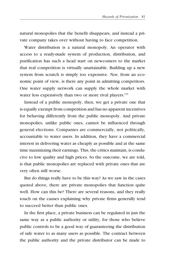natural monopolies that the benefit disappears, and instead a private company takes over without having to face competition.

Water distribution is a natural monopoly. An operator with access to a ready-made system of production, distribution, and purification has such a head start on newcomers to the market that real competition is virtually unattainable. Building up a new system from scratch is simply too expensive. Nor, from an economic point of view, is there any point in admitting competitors. One water supply network can supply the whole market with water less expensively than two or more rival players.<sup>115</sup>

Instead of a public monopoly, then, we get a private one that is equally exempt from competition and has no apparent incentives for behaving differently from the public monopoly. And private monopolies, unlike public ones, cannot be influenced through general elections. Companies are commercially, not politically, accountable to water users. In addition, they have a commercial interest in delivering water as cheaply as possible and at the same time maximizing their earnings. This, the critics maintain, is conducive to low quality and high prices. So the outcome, we are told, is that public monopolies are replaced with private ones that are very often still worse.

But do things really have to be this way? As we saw in the cases quoted above, there are private monopolies that function quite well. How can this be? There are several reasons, and they really touch on the causes explaining why private firms generally tend to succeed better than public ones.

In the first place, a private business can be regulated in just the same way as a public authority or utility, for those who believe public controls to be a good way of guaranteeing the distribution of safe water to as many users as possible. The contract between the public authority and the private distributor can be made to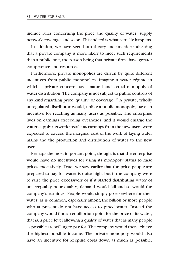include rules concerning the price and quality of water, supply network coverage, and so on. This indeed is what actually happens.

In addition, we have seen both theory and practice indicating that a private company is more likely to meet such requirements than a public one, the reason being that private firms have greater competence and resources.

Furthermore, private monopolies are driven by quite different incentives from public monopolies. Imagine a water régime in which a private concern has a natural and actual monopoly of water distribution. The company is not subject to public controls of any kind regarding price, quality, or coverage.116 A private, wholly unregulated distributor would, unlike a public monopoly, have an incentive for reaching as many users as possible. The enterprise lives on earnings exceeding overheads, and it would enlarge the water supply network insofar as earnings from the new users were expected to exceed the marginal cost of the work of laying water mains and the production and distribution of water to the new users.

Perhaps the most important point, though, is that the enterprise would have no incentives for using its monopoly status to raise prices excessively. True, we saw earlier that the price people are prepared to pay for water is quite high, but if the company were to raise the price excessively or if it started distributing water of unacceptably poor quality, demand would fall and so would the company's earnings. People would simply go elsewhere for their water, as is common, especially among the billion or more people who at present do not have access to piped water. Instead the company would find an equilibrium point for the price of its water, that is, a price level allowing a quality of water that as many people as possible are willing to pay for. The company would then achieve the highest possible income. The private monopoly would also have an incentive for keeping costs down as much as possible,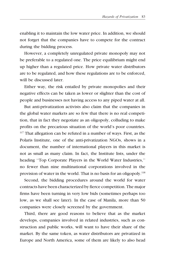enabling it to maintain the low water price. In addition, we should not forget that the companies have to compete for the contract during the bidding process.

However, a completely unregulated private monopoly may not be preferable to a regulated one. The price equilibrium might end up higher than a regulated price. How private water distributors are to be regulated, and how these regulations are to be enforced, will be discussed later.

Either way, the risk entailed by private monopolies and their negative effects can be taken as lower or slighter than the cost of people and businesses not having access to any piped water at all.

But anti-privatization activists also claim that the companies in the global water markets are so few that there is no real competition, that in fact they negotiate as an oligopoly, colluding to make profits on the precarious situation of the world's poor countries. <sup>117</sup> That allegation can be refuted in a number of ways. First, as the Polaris Institute, one of the anti-privatization NGOs, shows in a document, the number of international players in this market is not as small as many claim. In fact, the Institute lists, under the heading ''Top Corporate Players in the World Water Industries,'' no fewer than nine multinational corporations involved in the provision of water in the world. That is no basis for an oligopoly.<sup>118</sup>

Second, the bidding procedures around the world for water contracts have been characterized by fierce competition. The major firms have been turning in very low bids (sometimes perhaps too low, as we shall see later). In the case of Manila, more than 50 companies were closely screened by the government.

Third, there are good reasons to believe that as the market develops, companies involved in related industries, such as construction and public works, will want to have their share of the market. By the same token, as water distributors are privatized in Europe and North America, some of them are likely to also head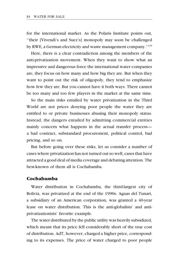for the international market. As the Polaris Institute points out, ''their [Vivendi's and Suez's] monopoly may soon be challenged by RWE, a German electricity and waste management company.''119

Here, there is a clear contradiction among the members of the anti-privatization movement. When they want to show what an impressive and dangerous force the international water companies are, they focus on how many and how big they are. But when they want to point out the risk of oligopoly, they tend to emphasize how few they are. But you cannot have it both ways. There cannot be too many and too few players in the market at the same time.

So the main risks entailed by water privatization in the Third World are not prices denying poor people the water they are entitled to or private businesses abusing their monopoly status. Instead, the dangers entailed by admitting commercial entities mainly concern what happens in the actual transfer process a bad contract, substandard procurement, political control, bad pricing, and so on.

But before going over these risks, let us consider a number of cases where privatization has not turned out so well, cases that have attracted a good deal of media coverage and debating attention. The best-known of them all is Cochabamba.

#### **Cochabamba**

Water distribution in Cochabamba, the third-largest city of Bolivia, was privatized at the end of the 1990s. Aguas del Tunari, a subsidiary of an American corporation, was granted a 40-year lease on water distribution. This is the anti-globalists' and antiprivatizationists' favorite example.

The water distributed by the public utility was heavily subsidized, which meant that its price fell considerably short of the true cost of distribution. AdT, however, charged a higher price, corresponding to its expenses. The price of water charged to poor people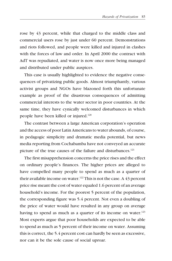rose by 43 percent, while that charged to the middle class and commercial users rose by just under 60 percent. Demonstrations and riots followed, and people were killed and injured in clashes with the forces of law and order. In April 2000 the contract with AdT was repudiated, and water is now once more being managed and distributed under public auspices.

This case is usually highlighted to evidence the negative consequences of privatizing public goods. Almost triumphantly, various activist groups and NGOs have blazoned forth this unfortunate example as proof of the disastrous consequences of admitting commercial interests to the water sector in poor countries. At the same time, they have cynically welcomed disturbances in which people have been killed or injured.120

The contrast between a large American corporation's operation and the access of poor Latin Americans to water abounds, of course, in pedagogic simplicity and dramatic media potential, but news media reporting from Cochabamba have not conveyed an accurate picture of the true causes of the failure and disturbances.<sup>121</sup>

The first misapprehension concerns the price rises and the effect on ordinary people's finances. The higher prices are alleged to have compelled many people to spend as much as a quarter of their available income on water.<sup>122</sup> This is not the case. A 43 percent price rise meant the cost of water equaled 1.6 percent of an average household's income. For the poorest 5 percent of the population, the corresponding figure was 5.4 percent. Not even a doubling of the price of water would have resulted in any group on average having to spend as much as a quarter of its income on water. $123$ Most experts argue that poor households are expected to be able to spend as much as 5 percent of their income on water. Assuming this is correct, the 5.4 percent cost can hardly be seen as excessive, nor can it be the sole cause of social uproar.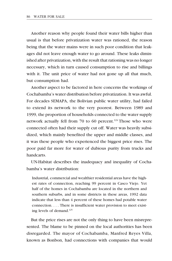Another reason why people found their water bills higher than usual is that before privatization water was rationed, the reason being that the water mains were in such poor condition that leakages did not leave enough water to go around. These leaks diminished after privatization, with the result that rationing was no longer necessary, which in turn caused consumption to rise and billings with it. The unit price of water had not gone up all that much, but consumption had.

Another aspect to be factored in here concerns the workings of Cochabamba's water distribution before privatization. It was awful. For decades SEMAPA, the Bolivian public water utility, had failed to extend its network to the very poorest. Between 1989 and 1999, the proportion of households connected to the water supply network actually fell from  $70$  to  $60$  percent.<sup>124</sup> Those who were connected often had their supply cut off. Water was heavily subsidized, which mainly benefited the upper and middle classes, and it was these people who experienced the biggest price rises. The poor paid far more for water of dubious purity from trucks and handcarts.

UN-Habitat describes the inadequacy and inequality of Cochabamba's water distribution:

Industrial, commercial and wealthier residential areas have the highest rates of connection, reaching 99 percent in Casco Viejo. Yet half of the homes in Cochabamba are located in the northern and southern suburbs, and in some districts in these areas, 1992 data indicate that less than 4 percent of these homes had potable water connection.... There is insufficient water provision to meet existing levels of demand.125

But the price rises are not the only thing to have been misrepresented. The blame to be pinned on the local authorities has been disregarded. The mayor of Cochabamba, Manfred Reyes Villa, known as Bonbon, had connections with companies that would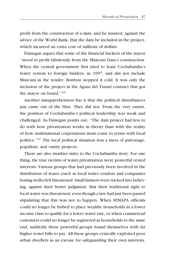profit from the construction of a dam, and he insisted, against the advice of the World Bank, that the dam be included in the project, which incurred an extra cost of millions of dollars.

Finnegan argues that some of the financial backers of the mayor ''stood to profit fabulously from the Misicuni Dam's construction. When the central government first tried to lease Cochabamba's water system to foreign bidders, in 1997, and did not include Misicuni in the tender, Bonbon stopped it cold. It was only the inclusion of the project in the Aguas del Tunari contract that got the mayor on board.''126

Another misapprehension has it that the political disturbances just came out of the blue. They did not. From the very outset, the position of Cochabamba's political leadership was weak and challenged. As Finnegan points out, ''The dam project had less to do with how privatization works in theory than with the reality of how multinational corporations must come to terms with local politics.''127 The local political situation was a mess of patronage, populism, and vanity projects.

There are also murkier sides to the Cochabamba story. For one thing, the true victims of water privatization were powerful vested interests. Various groups that had previously been involved in the distribution of water (such as local water vendors and companies boring wells) felt threatened. Small farmers were tricked into believing, against their better judgment, that their traditional right to local water was threatened, even though a law had just been passed stipulating that this was not to happen. When SEMAPA officials could no longer be bribed to place wealthy households in a lower income class to qualify for a lower water rate, or when commercial customers could no longer be registered as households to the same end, suddenly these powerful groups found themselves with far higher water bills to pay. All these groups cynically exploited poor urban dwellers as an excuse for safeguarding their own interests.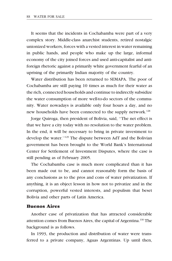It seems that the incidents in Cochabamba were part of a very complex story. Middle-class anarchist students, retired nostalgic unionized workers, forces with a vested interest in water remaining in public hands, and people who make up the large, informal economy of the city joined forces and used anti-capitalist and antiforeign rhetoric against a primarily white government fearful of an uprising of the primarily Indian majority of the country.

Water distribution has been returned to SEMAPA. The poor of Cochabamba are still paying 10 times as much for their water as the rich, connected households and continue to indirectly subsidize the water consumption of more well-to-do sectors of the community. Water nowadays is available only four hours a day, and no new households have been connected to the supply network.<sup>128</sup>

Jorge Quiroga, then president of Bolivia, said, ''The net effect is that we have a city today with no resolution to the water problem. In the end, it will be necessary to bring in private investment to develop the water.''129 The dispute between AdT and the Bolivian government has been brought to the World Bank's International Center for Settlement of Investment Disputes, where the case is still pending as of February 2005.

The Cochabamba case is much more complicated than it has been made out to be, and cannot reasonably form the basis of any conclusions as to the pros and cons of water privatization. If anything, it is an object lesson in how not to privatize and in the corruption, powerful vested interests, and populism that beset Bolivia and other parts of Latin America.

## **Buenos Aires**

Another case of privatization that has attracted considerable attention comes from Buenos Aires, the capital of Argentina.130 The background is as follows.

In 1993, the production and distribution of water were transferred to a private company, Aguas Argentinas. Up until then,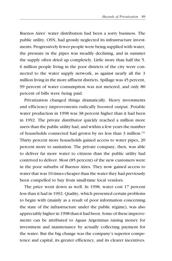Buenos Aires' water distribution had been a sorry business. The public utility, OSN, had grossly neglected its infrastructure investments. Progressively fewer people were being supplied with water, the pressure in the pipes was steadily declining, and in summer the supply often dried up completely. Little more than half the 5. 6 million people living in the poor districts of the city were connected to the water supply network, as against nearly all the 3 million living in the more affluent districts. Spillage was 45 percent, 99 percent of water consumption was not metered, and only 80 percent of bills were being paid.

Privatization changed things dramatically. Heavy investments and efficiency improvements radically boosted output. Potable water production in 1998 was 38 percent higher than it had been in 1992. The private distributor quickly reached a million more users than the public utility had, and within a few years the number of households connected had grown by no less than 3 million.<sup>131</sup> Thirty percent more households gained access to water pipes, 20 percent more to sanitation. The private company, then, was able to deliver far more water to citizens than the public utility had contrived to deliver. Most (85 percent) of the new customers were in the poor suburbs of Buenos Aires. They now gained access to water that was 10 times cheaper than the water they had previously been compelled to buy from small-time local vendors.

The price went down as well. In 1998, water cost 17 percent less than it had in 1992. Quality, which presented certain problems to begin with (mainly as a result of poor information concerning the state of the infrastructure under the public régime), was also appreciably higher in 1998 than it had been. Some of these improvements can be attributed to Aguas Argentinas raising money for investment and maintenance by actually collecting payment for the water. But the big change was the company's superior competence and capital, its greater efficiency, and its clearer incentives.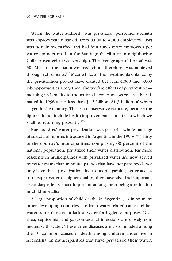When the water authority was privatized, personnel strength was approximately halved, from 8,000 to 4,000 employees. OSN was heavily overstaffed and had four times more employees per water connection than the Santiago distributor in neighboring Chile. Absenteeism was very high. The average age of the staff was 50. Most of the manpower reduction, therefore, was achieved through retirements.132 Meanwhile, all the investments entailed by the privatization project have created between 4,000 and 5,000 job opportunities altogether. The welfare effects of privatization meaning its benefits to the national economy—were already estimated in 1996 at no less than \$1.5 billion, \$1.3 billion of which stayed in the country. This is a conservative estimate, because the figures do not include health improvements, a matter to which we shall be returning presently.<sup>133</sup>

Buenos Aires' water privatization was part of a whole package of structural reforms introduced in Argentina in the 1990s.<sup>134</sup> Thirty of the country's municipalities, comprising 60 percent of the national population, privatized their water distribution. Far more residents in municipalities with privatized water are now served by water mains than in municipalities that have not privatized. Not only have these privatizations led to people gaining better access to cheaper water of higher quality, they have also had important secondary effects, most important among them being a reduction in child mortality.

A large proportion of child deaths in Argentina, as in so many other developing countries, are from water-related causes, either water-borne diseases or lack of water for hygienic purposes. Diarrhea, septicemia, and gastrointestinal infections are closely connected with water. These three diseases are also included among the 10 common causes of death among children under five in Argentina. In municipalities that have privatized their water,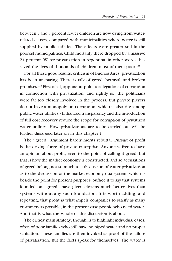between 5 and 7 percent fewer children are now dying from waterrelated causes, compared with municipalities where water is still supplied by public utilities. The effects were greater still in the poorest municipalities. Child mortality there dropped by a massive 24 percent. Water privatization in Argentina, in other words, has saved the lives of thousands of children, most of them poor.<sup>135</sup>

For all these good results, criticism of Buenos Aires' privatization has been unsparing. There is talk of greed, betrayal, and broken promises.136 First of all, opponents point to allegations of corruption in connection with privatization, and rightly so: the politicians were far too closely involved in the process. But private players do not have a monopoly on corruption, which is also rife among public water utilities. (Enhanced transparency and the introduction of full cost recovery reduce the scope for corruption of privatized water utilities. How privatizations are to be carried out will be further discussed later on in this chapter.)

The ''greed'' argument hardly merits rebuttal. Pursuit of profit is the driving force of private enterprise. Anyone is free to have an opinion about profit, even to the point of calling it greed, but that is how the market economy is constructed, and so accusations of greed belong not so much to a discussion of water privatization as to the discussion of the market economy qua system, which is beside the point for present purposes. Suffice it to say that systems founded on ''greed'' have given citizens much better lives than systems without any such foundation. It is worth adding, and repeating, that profit is what impels companies to satisfy as many customers as possible, in the present case people who need water. And that is what the whole of this discussion is about.

The critics' main strategy, though, is to highlight individual cases, often of poor families who still have no piped water and no proper sanitation. These families are then invoked as proof of the failure of privatization. But the facts speak for themselves. The water is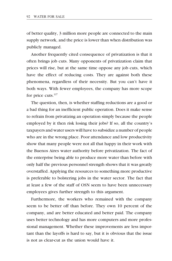of better quality, 3 million more people are connected to the main supply network, and the price is lower than when distribution was publicly managed.

Another frequently cited consequence of privatization is that it often brings job cuts. Many opponents of privatization claim that prices will rise, but at the same time oppose any job cuts, which have the effect of reducing costs. They are against both these phenomena, regardless of their necessity. But you can't have it both ways. With fewer employees, the company has more scope for price cuts.137

The question, then, is whether staffing reductions are a good or a bad thing for an inefficient public operation. Does it make sense to refrain from privatizing an operation simply because the people employed by it then risk losing their jobs? If so, all the country's taxpayers and water users will have to subsidize a number of people who are in the wrong place. Poor attendance and low productivity show that many people were not all that happy in their work with the Buenos Aires water authority before privatization. The fact of the enterprise being able to produce more water than before with only half the previous personnel strength shows that it was greatly overstaffed. Applying the resources to something more productive is preferable to bolstering jobs in the water sector. The fact that at least a few of the staff of OSN seem to have been unnecessary employees gives further strength to this argument.

Furthermore, the workers who remained with the company seem to be better off than before. They own 10 percent of the company, and are better educated and better paid. The company uses better technology and has more computers and more professional management. Whether these improvements are less important than the layoffs is hard to say, but it is obvious that the issue is not as clear-cut as the union would have it.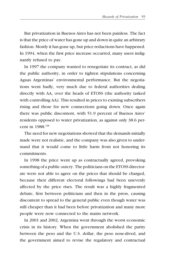But privatization in Buenos Aires has not been painless. The fact is that the price of water has gone up and down in quite an arbitrary fashion. Mostly it has gone up, but price reductions have happened. In 1994, when the first price increase occurred, many users indignantly refused to pay.

In 1997 the company wanted to renegotiate its contract, as did the public authority, in order to tighten stipulations concerning Aguas Argentinas' environmental performance. But the negotiations went badly, very much due to federal authorities dealing directly with AA, over the heads of ETOSS (the authority tasked with controlling AA). This resulted in prices to existing subscribers rising and those for new connections going down. Once again there was public discontent, with 51.9 percent of Buenos Aires' residents opposed to water privatization, as against only 38.6 percent in 1988<sup>138</sup>

The need for new negotiations showed that the demands initially made were not realistic, and the company was also given to understand that it would come to little harm from not honoring its commitments.

In 1998 the price went up as contractually agreed, provoking something of a public outcry. The politicians on the ETOSS directorate were not able to agree on the prices that should be charged, because their different electoral followings had been unevenly affected by the price rises. The result was a highly fragmented debate, first between politicians and then in the press, causing discontent to spread to the general public even though water was still cheaper than it had been before privatization and many more people were now connected to the mains network.

In 2001 and 2002, Argentina went through the worst economic crisis in its history. When the government abolished the parity between the peso and the U.S. dollar, the peso nose-dived, and the government aimed to revise the regulatory and contractual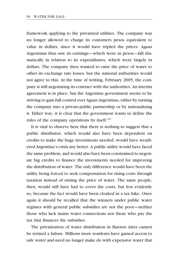framework applying to the privatized utilities. The company was no longer allowed to charge its customers pesos equivalent to value in dollars, since it would have tripled the prices. Aguas Argentinas thus saw its earnings—which were in pesos—fall dramatically in relation to its expenditures, which were largely in dollars. The company then wanted to raise the price of water to offset its exchange rate losses, but the national authorities would not agree to this. At the time of writing, February 2005, the company is still negotiating its contract with the authorities. An interim agreement is in place, but the Argentine government seems to be striving to gain full control over Aguas Argentinas, either by turning the company into a private-public partnership or by nationalizing it. Either way, it is clear that the government wants to define the rules of the company operations by itself.139

It is vital to observe here that there is nothing to suggest that a public distributor, which would also have been dependent on credits to make the huge investments needed, would have weathered Argentina's crisis any better. A public utility would have faced the same problem, and would also have been constrained to negotiate big credits to finance the investments needed for improving the distribution of water. The only difference would have been the utility being forced to seek compensation for rising costs through taxation instead of raising the price of water. The same people, then, would still have had to cover the costs, but less evidently so, because the fact would have been cloaked in a tax hike. Once again it should be recalled that the winners under public water régimes with general public subsidies are not the poor—neither those who lack mains water connections nor those who pay the tax that finances the subsidies.

The privatization of water distribution in Buenos Aires cannot be termed a failure. Millions more residents have gained access to safe water and need no longer make do with expensive water that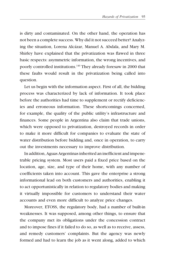is dirty and contaminated. On the other hand, the operation has not been a complete success. Why did it not succeed better? Analyzing the situation, Lorena Alcázar, Manuel A. Abdala, and Mary M. Shirley have explained that the privatization was flawed in three basic respects: asymmetric information, the wrong incentives, and poorly controlled institutions.140 They already foresaw in 2000 that these faults would result in the privatization being called into question.

Let us begin with the information aspect. First of all, the bidding process was characterized by lack of information. It took place before the authorities had time to supplement or rectify deficiencies and erroneous information. These shortcomings concerned, for example, the quality of the public utility's infrastructure and finances. Some people in Argentina also claim that trade unions, which were opposed to privatization, destroyed records in order to make it more difficult for companies to evaluate the state of water distribution before bidding and, once in operation, to carry out the investments necessary to improve distribution.

In addition, Aguas Argentinas inherited an inefficient and impenetrable pricing system. Most users paid a fixed price based on the location, age, size, and type of their home, with any number of coefficients taken into account. This gave the enterprise a strong informational lead on both customers and authorities, enabling it to act opportunistically in relation to regulatory bodies and making it virtually impossible for customers to understand their water accounts and even more difficult to analyze price changes.

Moreover, ETOSS, the regulatory body, had a number of built-in weaknesses. It was supposed, among other things, to ensure that the company met its obligations under the concession contract and to impose fines if it failed to do so, as well as to receive, assess, and remedy customers' complaints. But the agency was newly formed and had to learn the job as it went along, added to which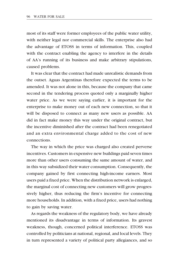most of its staff were former employees of the public water utility, with neither legal nor commercial skills. The enterprise also had the advantage of ETOSS in terms of information. This, coupled with the contract enabling the agency to interfere in the details of AA's running of its business and make arbitrary stipulations, caused problems.

It was clear that the contract had made unrealistic demands from the outset. Aguas Argentinas therefore expected the terms to be amended. It was not alone in this, because the company that came second in the tendering process quoted only a marginally higher water price. As we were saying earlier, it is important for the enterprise to make money out of each new connection, so that it will be disposed to connect as many new users as possible. AA did in fact make money this way under the original contract, but the incentive diminished after the contract had been renegotiated and an extra environmental charge added to the cost of new connections.

The way in which the price was charged also created perverse incentives. Customers in expensive new buildings paid seven times more than other users consuming the same amount of water, and in this way subsidized their water consumption. Consequently, the company gained by first connecting high-income earners. Most users paid a fixed price. When the distribution network is enlarged, the marginal cost of connecting new customers will grow progressively higher, thus reducing the firm's incentive for connecting more households. In addition, with a fixed price, users had nothing to gain by saving water.

As regards the weakness of the regulatory body, we have already mentioned its disadvantage in terms of information. Its gravest weakness, though, concerned political interference. ETOSS was controlled by politicians at national, regional, and local levels. They in turn represented a variety of political party allegiances, and so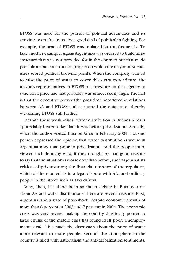ETOSS was used for the pursuit of political advantages and its activities were frustrated by a good deal of political in-fighting. For example, the head of ETOSS was replaced far too frequently. To take another example, Aguas Argentinas was ordered to build infrastructure that was not provided for in the contract but that made possible a road construction project on which the mayor of Buenos Aires scored political brownie points. When the company wanted to raise the price of water to cover this extra expenditure, the mayor's representatives in ETOSS put pressure on that agency to sanction a price rise that probably was unnecessarily high. The fact is that the executive power (the president) interfered in relations between AA and ETOSS and supported the enterprise, thereby weakening ETOSS still further.

Despite these weaknesses, water distribution in Buenos Aires is appreciably better today than it was before privatization. Actually, when the author visited Buenos Aires in February 2004, not one person expressed the opinion that water distribution is worse in Argentina now than prior to privatization. And the people interviewed include many who, if they thought so, had good reasons to say that the situation is worse now than before, such as journalists critical of privatization; the financial director of the regulator, which at the moment is in a legal dispute with AA; and ordinary people in the street such as taxi drivers.

Why, then, has there been so much debate in Buenos Aires about AA and water distribution? There are several reasons. First, Argentina is in a state of post-shock, despite economic growth of more than 8 percent in 2003 and 7 percent in 2004. The economic crisis was very severe, making the country drastically poorer. A large chunk of the middle class has found itself poor. Unemployment is rife. This made the discussion about the price of water more relevant to more people. Second, the atmosphere in the country is filled with nationalism and anti-globalization sentiments.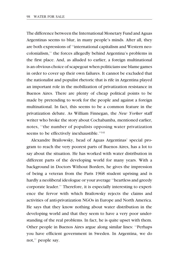The difference between the International Monetary Fund and Aguas Argentinas seems to blur, in many people's minds. After all, they are both expressions of ''international capitalism and Western neocolonialism,'' the forces allegedly behind Argentina's problems in the first place. And, as alluded to earlier, a foreign multinational is an obvious choice of scapegoat when politicians use blame games in order to cover up their own failures. It cannot be excluded that the nationalist and populist rhetoric that is rife in Argentina played an important role in the mobilization of privatization resistance in Buenos Aires. There are plenty of cheap political points to be made by pretending to work for the people and against a foreign multinational. In fact, this seems to be a common feature in the privatization debate. As William Finnegan, the *New Yorker* staff writer who broke the story about Cochabamba, mentioned earlier, notes, ''the number of populists opposing water privatization seems to be effectively inexhaustible."<sup>141</sup>

Alexandre Brailowsky, head of Aguas Argentinas' special program to reach the very poorest parts of Buenos Aires, has a lot to say about the situation. He has worked with water distribution in different parts of the developing world for many years. With a background in Doctors Without Borders, he gives the impression of being a veteran from the Paris 1968 student uprising and is hardly a neoliberal ideologue or your average ''heartless and greedy corporate leader.'' Therefore, it is especially interesting to experience the fervor with which Brailowsky rejects the claims and activities of anti-privatization NGOs in Europe and North America. He says that they know nothing about water distribution in the developing world and that they seem to have a very poor understanding of the real problems. In fact, he is quite upset with them. Other people in Buenos Aires argue along similar lines: ''Perhaps you have efficient government in Sweden. In Argentina, we do not,'' people say.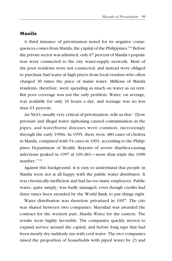### **Manila**

A third instance of privatization noted for its negative consequences comes from Manila, the capital of the Philippines.<sup>142</sup> Before the private sector was admitted, only 67 percent of Manila's population were connected to the city water-supply network. Most of the poor residents were not connected, and instead were obliged to purchase bad water at high prices from local vendors who often charged 30 times the price of mains water. Millions of Manila residents, therefore, were spending as much on water as on rent. But poor coverage was not the only problem. Water, on average, was available for only 16 hours a day, and wastage was no less than 63 percent.

An NGO, usually very critical of privatization, tells us that ''[l]ow pressure and illegal water siphoning caused contamination in the pipes, and waterborne diseases were common, increasingly through the early 1990s. In 1995, there were 480 cases of cholera in Manila, compared with 54 cases in 1991, according to the Philippines Department of Health. Reports of severe diarrhea-causing infections peaked in 1997 at 109,483—more than triple the 1990 number."<sup>143</sup>

Against this background, it is easy to understand that people in Manila were not at all happy with the public water distributor. It was chronically inefficient and had far too many employees. Public water, quite simply, was badly managed, even though credits had three times been awarded by the World Bank to put things right.

Water distribution was therefore privatized in 1997. The city was shared between two companies. Maynilad was awarded the contract for the western part, Manila Water for the eastern. The results were highly favorable. The companies quickly moved to expand service around the capital, and before long taps that had been mostly dry suddenly ran with cool water. The two companies raised the proportion of households with piped water by 23 and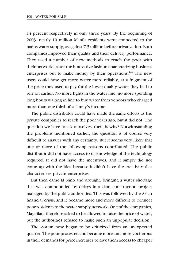14 percent respectively in only three years. By the beginning of 2003, nearly 10 million Manila residents were connected to the mains water supply, as against 7.3 million before privatization. Both companies improved their quality and their delivery performance. They used a number of new methods to reach the poor with their networks, after the innovative fashion characterizing business enterprises out to make money by their operations.<sup>144</sup> The new users could now get more water more reliably, at a fragment of the price they used to pay for the lower-quality water they had to rely on earlier. No more fights in the water line, no more spending long hours waiting in line to buy water from vendors who charged more than one-third of a family's income.

The public distributor could have made the same efforts as the private companies to reach the poor years ago, but it did not. The question we have to ask ourselves, then, is why? Notwithstanding the problems mentioned earlier, the question is of course very difficult to answer with any certainty. But it seems very likely that one or more of the following reasons contributed. The public distributor did not have access to or knowledge of the technology required. It did not have the incentives, and it simply did not come up with the idea because it didn't have the creativity that characterizes private enterprises.

But then came El Niño and drought, bringing a water shortage that was compounded by delays in a dam construction project managed by the public authorities. This was followed by the Asian financial crisis, and it became more and more difficult to connect poor residents to the water supply network. One of the companies, Maynilad, therefore asked to be allowed to raise the price of water, but the authorities refused to make such an unpopular decision.

The system now began to be criticized from an unexpected quarter. The poor protested and became more and more vociferous in their demands for price increases to give them access to cheaper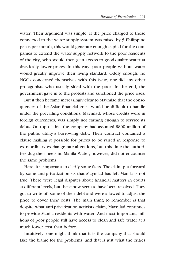water. Their argument was simple. If the price charged to those connected to the water supply system was raised by 5 Philippine pesos per month, this would generate enough capital for the companies to extend the water supply network to the poor residents of the city, who would then gain access to good-quality water at drastically lower prices. In this way, poor people without water would greatly improve their living standard. Oddly enough, no NGOs concerned themselves with this issue, nor did any other protagonists who usually sided with the poor. In the end, the government gave in to the protests and sanctioned the price rises.

But it then became increasingly clear to Maynilad that the consequences of the Asian financial crisis would be difficult to handle under the prevailing conditions. Maynilad, whose credits were in foreign currencies, was simply not earning enough to service its debts. On top of this, the company had assumed \$800 million of the public utility's borrowing debt. Their contract contained a clause making it possible for prices to be raised in response to extraordinary exchange rate alterations, but this time the authorities dug their heels in. Manila Water, however, did not encounter the same problems.

Here, it is important to clarify some facts. The claim put forward by some anti-privatizationists that Maynilad has left Manila is not true. There were legal disputes about financial matters in courts at different levels, but these now seem to have been resolved. They got to write off some of their debt and were allowed to adjust the price to cover their costs. The main thing to remember is that despite what anti-privatization activists claim, Maynilad continues to provide Manila residents with water. And most important, millions of poor people still have access to clean and safe water at a much lower cost than before.

Intuitively, one might think that it is the company that should take the blame for the problems, and that is just what the critics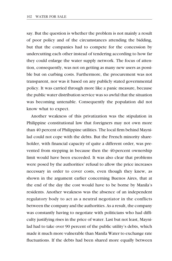say. But the question is whether the problem is not mainly a result of poor policy and of the circumstances attending the bidding, but that the companies had to compete for the concession by undercutting each other instead of tendering according to how far they could enlarge the water supply network. The focus of attention, consequently, was not on getting as many new users as possible but on curbing costs. Furthermore, the procurement was not transparent, nor was it based on any publicly stated governmental policy. It was carried through more like a panic measure, because the public water distribution service was so awful that the situation was becoming untenable. Consequently the population did not know what to expect.

Another weakness of this privatization was the stipulation in Philippine constitutional law that foreigners may not own more than 40 percent of Philippine utilities. The local firm behind Maynilad could not cope with the debts. But the French minority shareholder, with financial capacity of quite a different order, was prevented from stepping in because then the 40-percent ownership limit would have been exceeded. It was also clear that problems were posed by the authorities' refusal to allow the price increases necessary in order to cover costs, even though they knew, as shown in the argument earlier concerning Buenos Aires, that at the end of the day the cost would have to be borne by Manila's residents. Another weakness was the absence of an independent regulatory body to act as a neutral negotiator in the conflicts between the company and the authorities. As a result, the company was constantly having to negotiate with politicians who had difficulty justifying rises in the price of water. Last but not least, Maynilad had to take over 90 percent of the public utility's debts, which made it much more vulnerable than Manila Water to exchange rate fluctuations. If the debts had been shared more equally between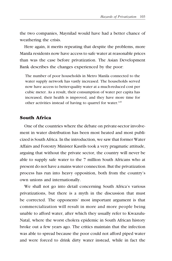the two companies, Maynilad would have had a better chance of weathering the crisis.

Here again, it merits repeating that despite the problems, more Manila residents now have access to safe water at reasonable prices than was the case before privatization. The Asian Development Bank describes the changes experienced by the poor:

The number of poor households in Metro Manila connected to the water supply network has vastly increased. The households served now have access to better-quality water at a much-reduced cost per cubic meter. As a result, their consumption of water per capita has increased, their health is improved, and they have more time for other activities instead of having to quarrel for water.<sup>145</sup>

#### **South Africa**

One of the countries where the debate on private-sector involvement in water distribution has been most heated and most publicized is South Africa. In the introduction, we saw that former Water Affairs and Forestry Minister Kasrils took a very pragmatic attitude, arguing that without the private sector, the country will never be able to supply safe water to the 7 million South Africans who at present do not have a mains water connection. But the privatization process has run into heavy opposition, both from the country's own unions and internationally.

We shall not go into detail concerning South Africa's various privatizations, but there is a myth in the discussion that must be corrected. The opponents' most important argument is that commercialization will result in more and more people being unable to afford water, after which they usually refer to Kwazulu-Natal, where the worst cholera epidemic in South African history broke out a few years ago. The critics maintain that the infection was able to spread because the poor could not afford piped water and were forced to drink dirty water instead, while in fact the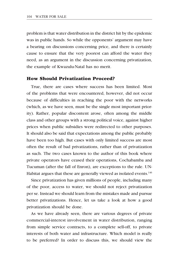problem is that water distribution in the district hit by the epidemic was in public hands. So while the opponents' argument may have a bearing on discussions concerning price, and there is certainly cause to ensure that the very poorest can afford the water they need, as an argument in the discussion concerning privatization, the example of Kwazulu-Natal has no merit.

### **How Should Privatization Proceed?**

True, there are cases where success has been limited. Most of the problems that were encountered, however, did not occur because of difficulties in reaching the poor with the networks (which, as we have seen, must be the single most important priority). Rather, popular discontent arose, often among the middle class and other groups with a strong political voice, against higher prices when public subsidies were redirected to other purposes. It should also be said that expectations among the public probably have been too high. But cases with only limited success are most often the result of bad privatizations, rather than of privatization as such. The two cases known to the author of this book where private operators have ceased their operations, Cochabamba and Tucuman (after the fall of Enron), are exceptions to the rule. UN-Habitat argues that these are generally viewed as isolated events.<sup>146</sup>

Since privatization has given millions of people, including many of the poor, access to water, we should not reject privatization per se. Instead we should learn from the mistakes made and pursue better privatizations. Hence, let us take a look at how a good privatization should be done.

As we have already seen, there are various degrees of private commercial-interest involvement in water distribution, ranging from simple service contracts, to a complete sell-off, to private interests of both water and infrastructure. Which model is really to be preferred? In order to discuss this, we should view the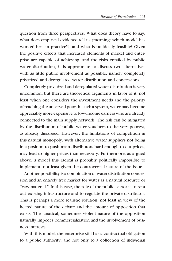question from three perspectives. What does theory have to say, what does empirical evidence tell us (meaning: which model has worked best in practice?), and what is politically feasible? Given the positive effects that increased elements of market and enterprise are capable of achieving, and the risks entailed by public water distribution, it is appropriate to discuss two alternatives with as little public involvement as possible, namely completely privatized and deregulated water distribution and concessions.

Completely privatized and deregulated water distribution is very uncommon, but there are theoretical arguments in favor of it, not least when one considers the investment needs and the priority of reaching the unserved poor. In such a system, water may become appreciably more expensive to low-income earners who are already connected to the main supply network. The risk can be mitigated by the distribution of public water vouchers to the very poorest, as already discussed. However, the limitations of competition in this natural monopoly, with alternative water suppliers not being in a position to push main distributors hard enough to cut prices, may lead to higher prices than necessary. Furthermore, as argued above, a model this radical is probably politically impossible to implement, not least given the controversial nature of the issue.

Another possibility is a combination of water distribution concession and an entirely free market for water as a natural resource or ''raw material.'' In this case, the role of the public sector is to rent out existing infrastructure and to regulate the private distributor. This is perhaps a more realistic solution, not least in view of the heated nature of the debate and the amount of opposition that exists. The fanatical, sometimes violent nature of the opposition naturally impedes commercialization and the involvement of business interests.

With this model, the enterprise still has a contractual obligation to a public authority, and not only to a collection of individual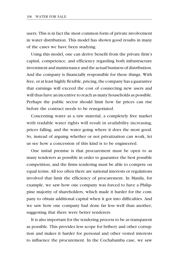users. This is in fact the most common form of private involvement in water distribution. This model has shown good results in many of the cases we have been studying.

Using this model, one can derive benefit from the private firm's capital, competence, and efficiency regarding both infrastructure investment and maintenance and the actual business of distribution. And the company is financially responsible for these things. With free, or at least highly flexible, pricing, the company has a guarantee that earnings will exceed the cost of connecting new users and will thus have an incentive to reach as many households as possible. Perhaps the public sector should limit how far prices can rise before the contract needs to be renegotiated.

Concerning water as a raw material, a completely free market with tradable water rights will result in availability increasing, prices falling, and the water going where it does the most good. So, instead of arguing whether or not privatization can work, let us see how a concession of this kind is to be engineered.

One initial premise is that procurement must be open to as many tenderers as possible in order to guarantee the best possible competition, and the firms tendering must be able to compete on equal terms. All too often there are national interests or regulations involved that limit the efficiency of procurement. In Manila, for example, we saw how one company was forced to have a Philippine majority of shareholders, which made it harder for the company to obtain additional capital when it got into difficulties. And we saw how one company had done far less well than another, suggesting that there were better tenderers.

It is also important for the tendering process to be as transparent as possible. This provides less scope for bribery and other corruption and makes it harder for personal and other vested interests to influence the procurement. In the Cochabamba case, we saw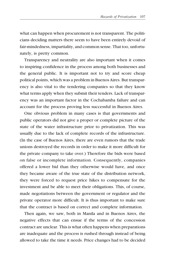what can happen when procurement is not transparent. The politicians deciding matters there seem to have been entirely devoid of fair-mindedness, impartiality, and common sense. That too, unfortunately, is pretty common.

Transparency and neutrality are also important when it comes to inspiring confidence in the process among both businesses and the general public. It is important not to try and score cheap political points, which was a problem in Buenos Aires. But transparency is also vital to the tendering companies so that they know what terms apply when they submit their tenders. Lack of transparency was an important factor in the Cochabamba failure and can account for the process proving less successful in Buenos Aires.

One obvious problem in many cases is that governments and public operators did not give a proper or complete picture of the state of the water infrastructure prior to privatization. This was usually due to the lack of complete records of the infrastructure. (In the case of Buenos Aires, there are even rumors that the trade unions destroyed the records in order to make it more difficult for the private company to take over.) Therefore the bids were based on false or incomplete information. Consequently, companies offered a lower bid than they otherwise would have, and once they became aware of the true state of the distribution network, they were forced to request price hikes to compensate for the investment and be able to meet their obligations. This, of course, made negotiations between the government or regulator and the private operator more difficult. It is thus important to make sure that the contract is based on correct and complete information.

Then again, we saw, both in Manila and in Buenos Aires, the negative effects that can ensue if the terms of the concession contract are unclear. This is what often happens when preparations are inadequate and the process is rushed through instead of being allowed to take the time it needs. Price changes had to be decided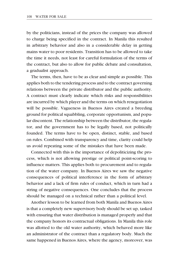by the politicians, instead of the prices the company was allowed to charge being specified in the contract. In Manila this resulted in arbitrary behavior and also in a considerable delay in getting mains water to poor residents. Transition has to be allowed to take the time it needs, not least for careful formulation of the terms of the contract, but also to allow for public debate and consultation, a gradualist approach.

The terms, then, have to be as clear and simple as possible. This applies both to the tendering process and to the contract governing relations between the private distributor and the public authority. A contract must clearly indicate which risks and responsibilities are incurred by which player and the terms on which renegotiation will be possible. Vagueness in Buenos Aires created a breeding ground for political squabbling, corporate opportunism, and popular discontent. The relationship between the distributor, the regulator, and the government has to be legally based, not politically founded. The terms have to be open, distinct, stable, and based on rules. Combined with transparency and time, clarity could help us avoid repeating some of the mistakes that have been made.

Connected with this is the importance of depoliticizing the process, which is not allowing prestige or political point-scoring to influence matters. This applies both to procurement and to regulation of the water company. In Buenos Aires we saw the negative consequences of political interference in the form of arbitrary behavior and a lack of firm rules of conduct, which in turn had a string of negative consequences. One concludes that the process should be managed on a technical rather than a political level.

Another lesson to be learned from both Manila and Buenos Aires is that a completely new supervisory body should be set up, tasked with ensuring that water distribution is managed properly and that the company honors its contractual obligations. In Manila this role was allotted to the old water authority, which behaved more like an administrator of the contract than a regulatory body. Much the same happened in Buenos Aires, where the agency, moreover, was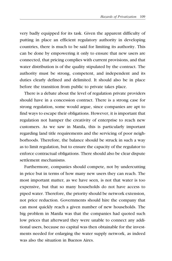very badly equipped for its task. Given the apparent difficulty of putting in place an efficient regulatory authority in developing countries, there is much to be said for limiting its authority. This can be done by empowering it only to ensure that new users are connected, that pricing complies with current provisions, and that water distribution is of the quality stipulated by the contract. The authority must be strong, competent, and independent and its duties clearly defined and delimited. It should also be in place before the transition from public to private takes place.

There is a debate about the level of regulation private providers should have in a concession contract. There is a strong case for strong regulation, some would argue, since companies are apt to find ways to escape their obligations. However, it is important that regulation not hamper the creativity of enterprise to reach new customers. As we saw in Manila, this is particularly important regarding land title requirements and the servicing of poor neighborhoods. Therefore, the balance should be struck in such a way as to limit regulation, but to ensure the capacity of the regulator to enforce contractual obligations. There should also be clear dispute settlement mechanisms.

Furthermore, companies should compete, not by undercutting in price but in terms of how many new users they can reach. The most important matter, as we have seen, is not that water is too expensive, but that so many households do not have access to piped water. Therefore, the priority should be network extension, not price reduction. Governments should hire the company that can most quickly reach a given number of new households. The big problem in Manila was that the companies had quoted such low prices that afterward they were unable to connect any additional users, because no capital was then obtainable for the investments needed for enlarging the water supply network, as indeed was also the situation in Buenos Aires.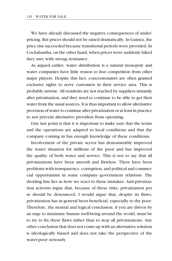We have already discussed the negative consequences of underpricing. But prices should not be raised dramatically. In Guinea, the price rise succeeded because transitional periods were provided. In Cochabamba, on the other hand, when prices were suddenly hiked they met with strong resistance.

As argued earlier, water distribution is a natural monopoly and water companies have little reason to fear competition from other major players. Despite this fact, concessionaires are often granted exclusive rights to serve customers in their service area. This is probably unwise. All residents are not reached by suppliers instantly after privatization, and they need to continue to be able to get their water from the usual sources. It is thus important to allow alternative provision of water to continue after privatization or at least in practice to not prevent alternative providers from operating.

One last point is that it is important to make sure that the terms and the operations are adapted to local conditions and that the company coming in has enough knowledge of these conditions.

Involvement of the private sector has demonstrably improved the water situation for millions of the poor and has improved the quality of both water and service. This is not to say that all privatizations have been smooth and flawless. There have been problems with transparency, corruption, and political and commercial opportunism in some company–government relations. The dividing line lies in how we react to these mistakes. Anti-privatization activists argue that, because of these risks, privatization per se should be denounced. I would argue that, despite its flaws, privatization has in general been beneficial, especially to the poor. Therefore, the neutral and logical conclusion, if you are driven by an urge to maximize human well-being around the world, must be to try to fix these flaws rather than to stop all privatizations. Any other conclusion that does not come up with an alternative solution is ideologically biased and does not take the perspective of the water-poor seriously.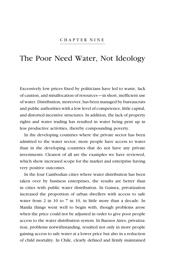### CHAPTER NINE

# The Poor Need Water, Not Ideology

Excessively low prices fixed by politicians have led to waste, lack of caution, and misallocation of resources—in short, inefficient use of water. Distribution, moreover, has been managed by bureaucrats and public authorities with a low level of competence, little capital, and distorted incentive structures. In addition, the lack of property rights and water trading has resulted in water being pent up in less productive activities, thereby compounding poverty.

In the developing countries where the private sector has been admitted to the water sector, more people have access to water than in the developing countries that do not have any private investments. Clearest of all are the examples we have reviewed, which show increased scope for the market and enterprise having very positive outcomes.

In the four Cambodian cities where water distribution has been taken over by business enterprises, the results are better than in cities with public water distribution. In Guinea, privatization increased the proportion of urban dwellers with access to safe water from 2 in 10 to 7 in 10, in little more than a decade. In Manila things went well to begin with, though problems arose when the price could not be adjusted in order to give poor people access to the water distribution system. In Buenos Aires, privatization, problems notwithstanding, resulted not only in more people gaining access to safe water at a lower price but also in a reduction of child mortality. In Chile, clearly defined and firmly maintained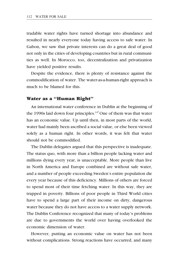tradable water rights have turned shortage into abundance and resulted in nearly everyone today having access to safe water. In Gabon, we saw that private interests can do a great deal of good not only in the cities of developing countries but in rural communities as well. In Morocco, too, decentralization and privatization have yielded positive results.

Despite the evidence, there is plenty of resistance against the commodification of water. The water-as-a-human-right approach is much to be blamed for this.

### **Water as a ''Human Right''**

An international water conference in Dublin at the beginning of the 1990s laid down four principles.<sup>147</sup> One of them was that water has an economic value. Up until then, in most parts of the world, water had mainly been ascribed a social value, or else been viewed solely as a human right. In other words, it was felt that water should not be commodified.

The Dublin delegates argued that this perspective is inadequate. The status quo, with more than a billion people lacking water and millions dying every year, is unacceptable. More people than live in North America and Europe combined are without safe water, and a number of people exceeding Sweden's entire population die every year because of this deficiency. Millions of others are forced to spend most of their time fetching water. In this way, they are trapped in poverty. Billions of poor people in Third World cities have to spend a large part of their income on dirty, dangerous water because they do not have access to a water supply network. The Dublin Conference recognized that many of today's problems are due to governments the world over having overlooked the economic dimension of water.

However, putting an economic value on water has not been without complications. Strong reactions have occurred, and many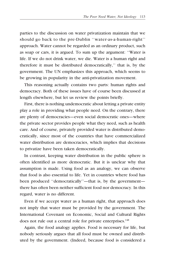parties to the discussion on water privatization maintain that we should go back to the pre-Dublin ''water-as-a-human-right'' approach. Water cannot be regarded as an ordinary product, such as soap or cars, it is argued. To sum up the argument: ''Water is life. If we do not drink water, we die. Water is a human right and therefore it must be distributed democratically,'' that is, by the government. The UN emphasizes this approach, which seems to be growing in popularity in the anti-privatization movement.

This reasoning actually contains two parts: human rights and democracy. Both of these issues have of course been discussed at length elsewhere, but let us review the points briefly.

First, there is nothing undemocratic about letting a private entity play a role in providing what people need. On the contrary, there are plenty of democracies—even social democratic ones—where the private sector provides people what they need, such as health care. And of course, privately provided water is distributed democratically, since most of the countries that have commercialized water distribution are democracies, which implies that decisions to privatize have been taken democratically.

In contrast, keeping water distribution in the public sphere is often identified as more democratic. But it is unclear why that assumption is made. Using food as an analogy, we can observe that food is also essential to life. Yet in countries where food has been produced ''democratically''—that is, by the government there has often been neither sufficient food nor democracy. In this regard, water is no different.

Even if we accept water as a human right, that approach does not imply that water must be provided by the government. The International Covenant on Economic, Social and Cultural Rights does not rule out a central role for private enterprises.<sup>148</sup>

Again, the food analogy applies. Food is necessary for life, but nobody seriously argues that all food must be owned and distributed by the government. (Indeed, because food is considered a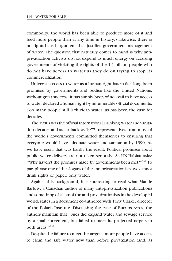commodity, the world has been able to produce more of it and feed more people than at any time in history.) Likewise, there is no rights-based argument that justifies government management of water. The question that naturally comes to mind is why antiprivatization activists do not expend as much energy on accusing governments of violating the rights of the 1.1 billion people who do not have access to water as they do on trying to stop its commercialization.

Universal access to water as a human right has in fact long been promised by governments and bodies like the United Nations, without great success. It has simply been of no avail to have access to water declared a human right by innumerable official documents. Too many people still lack clean water, as has been the case for decades.

The 1980s was the official International Drinking Water and Sanitation decade, and as far back as 1977, representatives from most of the world's governments committed themselves to ensuring that everyone would have adequate water and sanitation by 1990. As we have seen, that was hardly the result. Political promises about public water delivery are not taken seriously. As UN-Habitat asks: ''Why haven't the promises made by governments been met?''149 To paraphrase one of the slogans of the anti-privatizationists, we cannot drink rights or paper, only water.

Against this background, it is interesting to read what Maude Barlow, a Canadian author of many anti-privatization publications and something of a star of the anti-privatizationists in the developed world, states in a document co-authored with Tony Clarke, director of the Polaris Institute. Discussing the case of Buenos Aires, the authors maintain that ''Suez did expand water and sewage service by a small increment, but failed to meet its projected targets in both areas<sup>"150</sup>

Despite the failure to meet the targets, more people have access to clean and safe water now than before privatization (and, as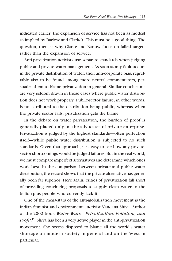indicated earlier, the expansion of service has not been as modest as implied by Barlow and Clarke). This must be a good thing. The question, then, is why Clarke and Barlow focus on failed targets rather than the expansion of service.

Anti-privatization activists use separate standards when judging public and private water management. As soon as any fault occurs in the private distribution of water, their anti-corporate bias, regrettably also to be found among more neutral commentators, persuades them to blame privatization in general. Similar conclusions are very seldom drawn in those cases where public water distribution does not work properly. Public-sector failure, in other words, is not attributed to the distribution being public, whereas when the private sector fails, privatization gets the blame.

In the debate on water privatization, the burden of proof is generally placed only on the advocates of private enterprise. Privatization is judged by the highest standards—often perfection itself—while public water distribution is subjected to no such standards. Given that approach, it is easy to see how any privatesector shortcomings would be judged failures. But in the real world, we must compare imperfect alternatives and determine which ones work best. In the comparison between private and public water distribution, the record shows that the private alternative has generally been far superior. Here again, critics of privatization fall short of providing convincing proposals to supply clean water to the billion-plus people who currently lack it.

One of the mega-stars of the anti-globalization movement is the Indian feminist and environmental activist Vandana Shiva. Author of the 2002 book *Water Wars—Privatization, Pollution, and Profit,*<sup>151</sup> Shiva has been a very active player in the anti-privatization movement. She seems disposed to blame all the world's water shortage on modern society in general and on the West in particular.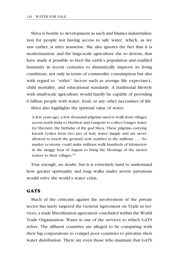Shiva is hostile to development as such and blames industrialization for people not having access to safe water, which, as we saw earlier, is utter nonsense. She also ignores the fact that it is modernization, and the large-scale agriculture she so detests, that have made it possible to feed the earth's population and enabled humanity in recent centuries to dramatically improve its living conditions, not only in terms of commodity consumption but also with regard to "softer" factors such as average life expectancy, child mortality, and educational standards. A traditional lifestyle with small-scale agriculture would hardly be capable of providing 6 billion people with water, food, or any other necessities of life. Shiva also highlights the spiritual value of water:

A few years ago, a few thousand pilgrims used to walk from villages across north India to Hardwar and Gangotri to collect Ganges water for Shivratri, the birthday of the god Shiva. These pilgrims carrying kavads (yokes from two jars of holy water dangle and are never allowed to touch the ground) now number in the millions. . . . No market economy could make millions walk hundreds of kilometers in the muggy heat of August to bring the blessings of the sacred waters to their villages*.* 152

True enough, no doubt, but it is extremely hard to understand how greater spirituality and long walks under severe privations would solve the world's water crisis.

### **GATS**

Much of the criticism against the involvement of the private sector has lately targeted the General Agreement on Trade in Services, a trade liberalization agreement concluded within the World Trade Organization. Water is one of the services to which GATS refers. The affluent countries are alleged to be conspiring with their big corporations to compel poor countries to privatize their water distribution. There are even those who maintain that GATS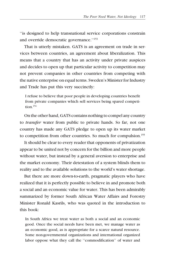''is designed to help transnational service corporations constrain and override democratic governance.''153

That is utterly mistaken. GATS is an agreement on trade in services between countries, an agreement about liberalization. This means that a country that has an activity under private auspices and decides to open up that particular activity to competition may not prevent companies in other countries from competing with the native enterprise on equal terms. Sweden's Minister for Industry and Trade has put this very succinctly:

I refuse to believe that poor people in developing countries benefit from private companies which sell services being spared competition $154$ 

On the other hand, GATS contains nothing to compel any country to *transfer* water from public to private hands. So far, not one country has made any GATS pledge to open up its water market to competition from other countries. So much for compulsion.155

It should be clear to every reader that opponents of privatization appear to be united not by concern for the billion and more people without water, but instead by a general aversion to enterprise and the market economy. Their detestation of a system blinds them to reality and to the available solutions to the world's water shortage.

But there are more down-to-earth, pragmatic players who have realized that it is perfectly possible to believe in and promote both a social and an economic value for water. This has been admirably summarized by former South African Water Affairs and Forestry Minister Ronald Kasrils, who was quoted in the introduction to this book:

In South Africa we treat water as both a social and an economic good. Once the social needs have been met, we manage water as an economic good, as is appropriate for a scarce natural resource. Some non-governmental organizations and international organized labor oppose what they call the ''commodification'' of water and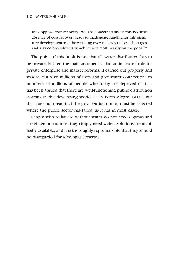thus oppose cost recovery. We are concerned about this because absence of cost recovery leads to inadequate funding for infrastructure development and the resulting overuse leads to local shortages and service breakdowns which impact most heavily on the poor.<sup>156</sup>

The point of this book is not that all water distribution has to be private. Rather, the main argument is that an increased role for private enterprise and market reforms, if carried out properly and wisely, can save millions of lives and give water connections to hundreds of millions of people who today are deprived of it. It has been argued that there are well-functioning public distribution systems in the developing world, as in Porto Alegre, Brazil. But that does not mean that the privatization option must be rejected where the public sector has failed, as it has in most cases.

People who today are without water do not need dogmas and street demonstrations, they simply need water. Solutions are manifestly available, and it is thoroughly reprehensible that they should be disregarded for ideological reasons.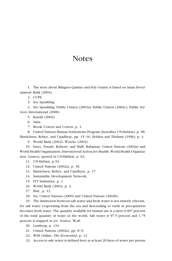### **Notes**

1. The story about Milagros Quirino and Fely Griarte is based on Asian Development Bank (2004).

2. CUPE.

3. See Spaulding.

4. See Spaulding; Public Citizen (2003a); Public Citizen (2003c); Public Services International (2000).

5. Kasrils (2002).

6. Saini.

7. Brook Cowen and Cowen, p. 1.

8. United Nations Human Settlements Program (hereafter UN-Habitat), p. 58; Hinrichsen, Robey, and Upadhyay, pp. 15–16; Holden and Thobani (1996), p. 4.

9. World Bank (2002); Woicke (2003).

10. Esrey, Potash, Roberts, and Shiff; Rahaman; United Nations (2002a) and World Health Organization; *Intersectoral Action for Health*, World Health Organization, Geneva, quoted in UN-Habitat, p. 62.

- 11. UN-Habitat, p 92.
- 12. United Nations (2002a), p. 18.
- 13. Hinrichsen, Robey, and Upadhyay, p. 17.
- 14. Sustainable Development Network.
- 15. ITT Industries, p. 1.
- 16. World Bank (2003), p. 2.
- 17. Ibid., p. 12.
- 18. See United Nations (2000) and United Nations (2002b).

19. The distinction between salt water and fresh water is not entirely relevant, for salt water evaporating from the sea and descending to earth as precipitation becomes fresh water. The quantity available for human use is a mere 0.007 percent of the total quantity of water in the world. Salt water is 97.5 percent and 1.75 percent is trapped in ice. Source: Wolf.

- 20. Lomborg, p. 134.
- 21. United Nations (2002a), pp. 8–9.
- 22. WDI Online; *The Economist*, p. 12.
- 23. Access to safe water is defined here as at least 20 liters of water per person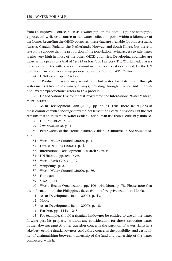from an improved source, such as a water pipe in the home, a public standpipe, a protected well, or a source or rainwater collection point within a kilometer of the home. Regarding the OECD countries, these data are available for only Australia, Austria, Canada, Finland, the Netherlands, Norway, and South Korea, but there is reason to suppose that the proportion of the population having access to safe water is also very high in most of the other OECD countries. Developing countries are those with a per capita GDI of \$9,025 or less (2001 prices). The World Bank classes these as countries with low or medium-low incomes. Least developed, by the UN definition, are the world's 49 poorest countries. Source: WDI Online.

24. UN-Habitat, pp. 120–122.

25. ''Producing'' water may sound odd, but water for distribution through water mains is treated in a variety of ways, including through filtration and chlorination. Water ''production'' refers to this process.

26. United Nations Environmental Programme and International Water Management Institute.

27. Asian Development Bank (2000), pp. 33–34. True, there are regions in these countries with a shortage of water, not least during certain seasons. But the fact remains that there is more water available for human use than is currently utilized.

28. ITT Industries, p. 2.

- 29. *The Economist*, p. 4.
- 30. Peter Gleick at the Pacific Institute, Oakland, California, in *The Economist*, p. 4.
	- 31. World Water Council (2000), p. 1.

32. United Nations (2002a), p. 4.

- 33. International Development Research Center.
- 34. UN-Habitat, pp. xvii–xviii.
- 35. World Bank (2003), p. 2.
- 36. Winpenny, p. 2.
- 37. World Water Council (2000), p. 36.
- 38. Finnegan.
- 39. SIDA, p. 11.

40. World Health Organization, pp. 106–144; Moor, p. 78. Please note that the information on the Philippines dates from before privatization in Manila.

- 41. Asian Development Bank (2000), p. 43.
- 42. Moor.
- 43. Asian Development Bank (2000), p. 18.
- 44. Harding, pp. 1243–1248.

45. For example, should a riparian landowner be entitled to use all the water flowing past his property, without any consideration for those extracting water farther downstream? Another question concerns the partition of water rights in a lake between the riparian owners. And a third concerns the possibility, and desirability, of distinguishing between ownership of the land and ownership of the water connected with it.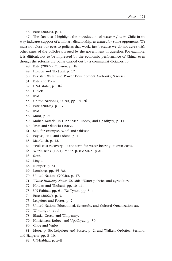46. Bate (2002b), p. 1.

47. The fact that I highlight the introduction of water rights in Chile in no way indicates support of a military dictatorship, as argued by some opponents. We must not close our eyes to policies that work, just because we do not agree with other parts of the policies pursued by the government in question. For example, it is difficult not to be impressed by the economic performance of China, even though the reforms are being carried out by a communist dictatorship.

- 48. Bate (2002a); Ohlsson, p. 18.
- 49. Holden and Thobani, p. 12.
- 50. Pakistan Water and Power Development Authority; Strosser.
- 51. Bate and Tren.
- 52. UN-Habitat, p. 104
- 53. Gleick.
- 54. Ibid.
- 55. United Nations (2002a), pp. 25–26.
- 56. Bate (2002c), p. 13.
- 57. Ibid.
- 58. Moor, p. 80.
- 59. Mohan Katarki, in Hinrichsen, Robey, and Upadhyay, p. 11.
- 60. Tren and Okonski (2003).
- 61. See, for example, Wolf, and Ohlsson.
- 62. Bayliss, Hall, and Lobina, p. 12.
- 63. MacCuish, p. 12.
- 64. ''Full cost recovery'' is the term for water bearing its own costs.
- 65. World Bank (1994); Moor, p. 83; SIDA, p 21.
- 66. Saini.
- 67. Lingle.
- 68. Kemper, p. 31.
- 69. Lomborg, pp. 35–36.
- 70. United Nations (2002a), p. 17.
- 71. *Water Industry News*; US Aid; ''Water policies and agriculture.''
- 72. Holden and Thobani, pp. 10–11.
- 73. UN-Habitat, pp. 61–72; Tynan, pp. 3–4.
- 74. Bate (2002c), p. 3.
- 75. Leipziger and Foster, p. 2.
- 76. United Nations Educational, Scientific, and Cultural Organization (a).
- 77. Whittington et al.
- 78. Bhatia, Cestti, and Winpenny.
- 79. Hinrichsen, Robey, and Upadhyay, p. 30.
- 80. Choe and Varley.

81. Moor, p. 86; Leipziger and Foster, p. 2; and Walker, Ordoñez, Serrano, and Halpern, pp. 8–10.

82. UN-Habitat, p. xvii.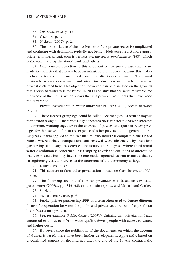- 83. *The Economist*, p. 13.
- 84. Gazmuri, p. 1.
- 85. Nickson (2002), p. 2.

86. The nomenclature of the involvement of the private sector is complicated and confusing with definitions typically not being widely accepted. A more appropriate term than privatization is perhaps *private sector participation* (PSP), which is the term used by the World Bank and others.

87. One possible objection to this argument is that private investments are made in countries that already have an infrastructure in place, because this makes it cheaper for the company to take over the distribution of water. The causal relation between access to water and private investments would then be the reverse of what is claimed here. This objection, however, can be dismissed on the grounds that access to water was measured in 2000 and investments were measured for the whole of the 1990s, which shows that it is private investments that have made the difference.

88. Private investments in water infrastructure 1990–2000, access to water in 2000.

89. These interest groupings could be called ''ice triangles,'' a term analogous to the ''iron triangle.'' The term usually denotes various constellations with interests in common, working together in the exercise of power, to acquire or retain privileges for themselves, often at the expense of other players and the general public. Originally it was applied to the so-called military-industrial complex in the United States, where debate, competition, and renewal were obstructed by the close partnership of industry, the defense bureaucracy, and Congress. Where Third World water distribution is concerned, it is tempting to dub the coalitions of interest ice triangles instead, but they have the same modus operandi as iron triangles, that is, strengthening vested interests to the detriment of the community at large.

90. Estache and Rossi.

91. This account of Cambodian privatization is based on Garn, Isham, and Kähkönen.

92. The following account of Guinean privatization is based on Utrikesdepartementet  $(2003a)$ , pp.  $313-328$  (in the main report), and Ménard and Clarke.

93. Shirley.

94. Ménard and Clarke, p. 6.

95. Public–private partnership (PPP) is a term often used to denote different forms of cooperation between the public and private sectors, not infrequently on big infrastructure projects.

96. See, for example, Public Citizen (2003b), claiming that privatization leads among other things to inferior water quality, fewer people with access to water, and higher costs.

97. However, since the publication of the documents on which the account of Guinea is based, there have been further developments. Apparently, based on unconfirmed sources on the Internet, after the end of the 10-year contract, the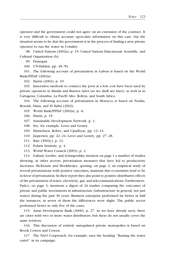operator and the government could not agree on an extension of the contract. It is very difficult to obtain accurate up-to-date information on this case, but the situation seems to be that the government is in the process of finding a new private operator to run the water in Conakry.

98. United Nations (2002a), p. 15; United Nations Educational, Scientific, and Cultural Organization (b).

99. Finnegan.

100. UN-Habitat, pp. 48–50.

101. The following account of privatization in Gabon is based on the World Bank/PPIAF (2002a).

102. Harris (2003), p. 19.

103. Innovative methods to connect the poor at a low cost have been used by private operators in Manila and Buenos Aires (as we shall see later), as well as in Cartagena, Colombia, La Paz/El Alto, Bolivia, and South Africa.

104. The following account of privatization in Morocco is based on Nouha, Berradi, Dinia, and El Habti (2002).

- 105. World Bank/PPIAF (2002a), p. iv.
- 106. Harris, p. 19.
- 107. Sustainable Development Network, p. 1.
- 108. See, for example, Lovei and Gentry.
- 109. Hinrichsen, Robey, and Upadhyay, pp. 12–14.
- 110. Jaspersen, pp. 22–24; Lovei and Gentry, pp. 27–28.
- 111. Bate (2002c), p. 12.
- 112. Polaris Institute, p. 4.
- 113. World Water Council (2003), p. 2.

114. Galiani, Gertler, and Schargrodsky mention on page 1 a number of studies showing, in other sectors, privatization measures that have led to productivity increases. McKenzie and Mookherjee, quoting, on page 2, an empirical study of several privatizations with positive outcomes, maintain that economists tend to be in favor of privatization. In their report they also point to positive distributive effects of the privatization of water, electricity, gas, and telecommunications. Furthermore, Padco, on page 3, mentions a digest of 24 studies comparing the outcomes of private and public investments in infrastructure (infrastructure in general, not just water) during the past 30 years. Business enterprise performed far better in half the instances; in seven of them the differences were slight. The public sector performed better in only five of the cases.

115. Asian Development Bank (2000), p. 27. As we have already seen, there are cities with two or more water distributors, but these do not usually cover the same territory.

116. This discussion of entirely unregulated private monopolies is based on Brook Cowen and Cowen.

117. The NGO Corpwatch, for example, uses the heading ''Busting the water cartel'' in its campaign.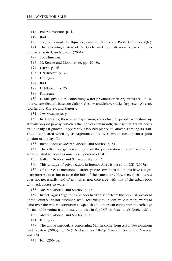118. Polaris Institute, p. 4.

119. Ibid.

120. See, for example, Earthjustice; Kruse and Shultz; and Public Citizen (2003c).

121. The following review of the Cochabamba privatization is based, unless otherwise stated, on Nickson (2001).

122. See Finnegan.

123. McKenzie and Mookherjee, pp. 29–30.

124. Harris, p. 26.

125. UN-Habitat, p. 33.

126. Finnegan.

127. Ibid.

128. UN-Habitat, p. 26.

129. Finnegan.

130. Details given here concerning water privatization in Argentina are, unless otherwise indicated, based on Galiani, Gertler, and Schargrodsky; Jaspersen; Alca´zar, Abdala, and Shirley; and Slattery.

131. *The Economist*, p. 7.

132. In Argentina, there is an expression, *Gnocchis*, for people who show up at work only on payday, which is the 29th of each month, the day that Argentineans traditionally eat gnocchi. Apparently, OSN had plenty of Gnocchis among its staff. They disappeared when Aguas Argentinas took over, which can explain a good portion of the layoffs.

133. Biche; Abdala; Alcázar, Abdala, and Shirley, p. 51.

134. The efficiency gains resulting from the privatization program as a whole are estimated to equal as much as 1 percent of GDP.

135. Galiani, Gertler, and Schargrodsky, p. 27.

136. This critique of privatization in Buenos Aires is based on ICIJ (2003a).

137. Of course, as mentioned earlier, public-servant trade unions have a legitimate interest in trying to save the jobs of their members. However, their interest does not necessarily, and often it does not, converge with that of the urban poor who lack access to water.

138. Alcázar, Abdala, and Shirley, p. 13.

139. In fact, Aguas Argentinas is under hard pressure from the populist president of the country, Nestor Kirchner, who, according to unconfirmed rumors, wants to hand over the water distribution to Spanish and American companies in exchange for favorable voting from these countries in the IMF on Argentina's foreign debt.

140. Alcázar, Abdala, and Shirley, p. 13.

141. Finnegan.

142. The above particulars concerning Manila come from Asian Development Bank Review (2003), pp. 6–7; Nickson, pp. 18–19; Slattery; Llorito and Marcon; and ICIJ.

143. ICIJ (2003b).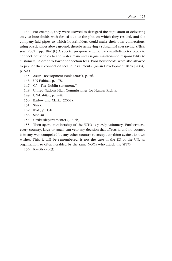144. For example, they were allowed to disregard the stipulation of delivering only to households with formal title to the plot on which they resided, and the company laid pipes to which householders could make their own connections, using plastic pipes above ground, thereby achieving a substantial cost saving. (Nickson [2002], pp. 18–19.) A special pro-poor scheme uses small-diameter pipes to connect households to the water main and assigns maintenance responsibility to customers, in order to lower connection fees. Poor households were also allowed to pay for their connection fees in installments. (Asian Development Bank [2004], p. 52.)

- 145. Asian Development Bank (2004), p. 56.
- 146. UN-Habitat, p. 178.
- 147. Cf. ''The Dublin statement.''
- 148. United Nations High Commissioner for Human Rights.
- 149. UN-Habitat, p. xviii.
- 150. Barlow and Clarke (2004).
- 151. Shiva.
- 152. Ibid., p. 158.
- 153. Sinclair.
- 154. Utrikesdepartementet (2003b).

155. Then again, membership of the WTO is purely voluntary. Furthermore, every country, large or small, can veto any decision that affects it, and no country is in any way compelled by any other country to accept anything against its own wishes. This, it will be remembered, is not the case in the EU or the UN, an organization so often heralded by the same NGOs who attack the WTO.

156. Kasrils (2003).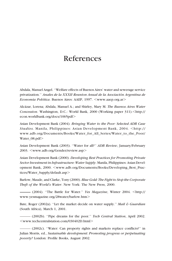## References

Abdala, Manuel Angel. ''Welfare effects of Buenos Aires' water and sewerage service privatization.'' *Anales de la XXXII Reunion Anual de la Asociacio´n Argentina de Economia Polótica*. Buenos Aires: AAEP, 1997. <www.aaep.org.ar>

Alca´zar, Lorena; Abdala, Manuel A.; and Shirley, Mary M. *The Buenos Aires Water Concession*. Washington, D.C.: World Bank, 2000 (Working paper 311).<http:// econ.worldbank.org/docs/1065pdf-

Asian Development Bank (2004). *Bringing Water to the Poor: Selected ADB Case Studies.* Manila, Philippines: Asian Development Bank, 2004. <http:// www.adb.org/Documents/Books/Water\_for\_All\_Series/Water\_to\_the\_Poor/ Water\_08.pdf>

Asian Development Bank (2003). ''Water for all?'' *ADB Review*, January/February 2003. <www.adb.org/Gender/review.asp>

Asian Development Bank (2000). *Developing Best Practices for Promoting Private Sector Investment in Infrastructure: Water Supply*. Manila, Philippines: Asian Development Bank, 2000. <www.adb.org/Documents/Books/Developing\_Best\_Practices/Water\_Supply/default.asp-

Barlow, Maude, and Clarke, Tony (2000). *Blue Gold: The Fight to Stop the Corporate Theft of the World's Water*. New York: The New Press, 2000.

(2004). "The Battle for Water." *Yes Magazine*, Winter 2004. <http:// www.yesmagazine.org/28water/barlow.htm-

Bate, Roger (2002a). ''Let the market decide on water supply.'' *Mail & Guardian* (South Africa), March 1, 2001.

(2002b). ''Pipe dreams for the poor.'' *Tech Central Station*, April 2002. www.techcentralstation.com/030402D.html-

(2002c). ''Water: Can property rights and markets replace conflicts?'' in Julian Morris, ed., *Sustainable development: Promoting progress or perpetuating poverty?* London: Profile Books, August 2002.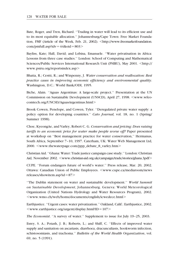Bate, Roger, and Tren, Richard. ''Trading in water will lead to its efficient use and to its most equitable allocation.'' Johannesburg/Cape Town: Free Market Foundation, FMF (Article of the Week, Feb. 21, 2002). <http://www.freemarketfoundation. com/pmfull.asp?idv= $44&\text{oid}=803>$ 

Bayliss, Kate; Hall, David; and Lobina, Emanuele. ''Water privatisation in Africa: Lessons from three case studies.'' London: School of Computing and Mathematical Sciences/Public Services International Research Unit (PSIRU), May 2001. <http:// www.psiru.org/reportsindex.asp-

Bhatia, R.; Cestti, R.; and Winpenny, J. *Water conservation and reallocation: Best practice cases in improving economic efficiency and environmental quality*. Washington, D.C.: World Bank/ODI, 1995.

Biche, Alain. ''Aguas Argentinas: A large-scale project.'' Presentation at the UN Commission on Sustainable Development (UNSCD), April 27, 1998. <www.wfeocomtech.org/UNCSD/AguasArgentinas.html-

Brook Cowen, Penelope, and Cowen, Tyler. ''Deregulated private water supply: a policy option for developing countries.'' *Cato Journal,* vol. 18, no. 1 (Spring/ Summer 1998).

Choe, KyeongAe, and Varley, Robert C. G. *Conservation and pricing: Does raising tariffs to an economic price for water make people worse off?* Paper presented at workshop on ''Best management practice for water conservation,'' Hermanus, South Africa, September 7–10, 1997. Caterham, UK: Water Web Management Ltd, 2000. <www.thewaterpage.com/ppp\_debate\_8\_varley.htm>

Christian Aid. ''Ghana: Water: Trade justice campaign case study.'' London: Christian Aid, November 2002. <www.christian-aid.org.uk/campaign/trade/stories/ghana.3pdf>

CUPE. ''Forum endangers future of world's water.'' Press release, Mar. 20, 2002. Ottawa: Canadian Union of Public Employees. www.cupe.ca/mediaroom/news releases/showitem.asp?id=87>

''The Dublin statement on water and sustainable development.'' *World Summit on Sustainable Development*, Johannesburg. Geneva: World Meteorological Organization (United Nations Hydrology and Water Resources Program), 2002. www.wmo.ch/web/homs/documents/english/icwedece.html-

Earthjustice. ''Urgent cases: water privatization.'' Oakland, Calif.: Earthjustice, 2002.  $\langle$ www.earthjustice.org/urgent/display.html?ID=107 $>$ 

*The Economist*. ''A survey of water.'' Supplement to issue for July 19–25, 2003.

Esrey, S. A.; Potash, J. B.; Roberts, L.; and Shiff, C. ''Effects of improved water supply and sanitation on ascariasis, diarrhoea, dracunculiasis, hookworm infection, schistosomiasis, and trachoma.'' *Bulletin of the World Health Organization*, vol. 69, no. 5 (1991).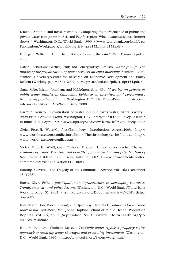Estache, Antonio, and Rossi, Martin A. ''Comparing the performance of public and private water companies in Asia and Pacific region: What a stochastic cost frontier shows." Washington, D.C.: World Bank, 1999. <www.worldbank.org/html/dec/ Publications/Workpapers/wps2000series/wps2152./wps.2152.pdf-

Finnegan, William. ''Letter from Bolivia: Leasing the rain.'' *New Yorker*, April 8, 2002.

Galiani, Sebastian; Gertler, Paul; and Schargrodsky, Ernesto. *Water for life: The impact of the privatization of water services on child mortality*. Stanford, Calif.: Stanford University/Center for Research on Economic Development and Policy Reform (Working paper 154), 2002. <credpr.stanford.edu/pdf/credpr154.pdf>

Garn, Mike; Isham, Jonathan; and Kähkönen, Satu. *Should we bet on private or public water utilities in Cambodia: Evidence on incentives and performance from seven provincial towns*. Washington, D.C.: The Public-Private Infrastructure Advisory Facility (PPIAF)/World Bank, 2000.

Gazmuri, Renato. ''Privatization of water in Chile saves water, fights poverty.'' *2020 Vision/News & Views*. Washington, D.C.: International Food Policy Research Institute (IFPRI), April 1995. www.ifpri.org/2020/newslet/nv\_0495./nv\_0495g.htm-

Gleick, Peter H. "Water Conflict Chronology—Introduction," August 2003. <http:// www.worldwater.org/conflictIntro.htm>. The chronology can be found at <http:// www.worldwater.org/conflict.htm>.

Gleick, Peter H.; Wolff, Gary; Chalecki, Elizabeth L.; and Reyes, Rachel. *The new economy of water: The risks and benefits of globalization and privatization of fresh water*. Oakland, Calif.: Pacific Institute, 2002. <www.environmentalcenter. com/articles/article1171/article1171.htm-

Harding, Garrett. ''The Tragedy of the Commons.'' *Science*, vol. 162 (December 13, 1968).

Harris, Clive. *Private participation in infrastructure in developing countries: Trends, impacts, and policy lessons*. Washington, D.C.: World Bank (World Bank Working paper 5), 2003. <rtu.worldbank.org/Documents/Private%20Participation.pdf>

Hinrichsen, Don; Robey, Bryant; and Upadhyay, Ushuma D. *Solutions for a watershort world*. Baltimore, Md.: Johns Hopkins School of Public Health, Population Reports, vol. 26, no. 1 (September 1998). <www.infoforhealth.org/pr/ m14edsum.shtml>

Holden, Paul, and Thobani, Mateen. *Tradable water rights: A property rights approach to resolving water shortages and promoting investments*. Washington, D.C.: World Bank, 1996. <http://www.eri-la.org/Papers/water.html>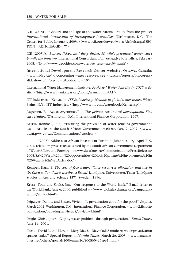ICIJ (2003a). ''Cholera and the age of the water barons.'' Study from the project *International Consortium of Investigative Journalists*. Washington, D.C.: The Center for Public Integrity, 2003. <www.icij.org/dtaweb/water/default.aspx?SEC- $TION = ARTICLE&AID = 7>$ 

ICIJ (2003b). *Loaves, fishes, and dirty dishes: Manila's privatized water can't handle the pressure.* International Consortium of Investigative Journalists, February 2003. <http://www.geocities.com/waterose\_test/water03.html)>

International Development Research Center website, Ottawa, Canada: <www.idrc.ca/>; concerning water reserves, see <idrc.ca/reports/photoreps/ slideshow.cfm?rep\_id=.&pphot\_id=10>

International Water Management Institute, *Projected Water Scarcity in 2025* website. <http://www.iwmi.cgiar.org/home/wsmap.htm#A1>

ITT Industries. ''Kenya,'' in *ITT Industries guidebook to global water issues*. White Plains, N.Y.: ITT Industries. <http://www.itt.com/waterbook/Kenya.asp>

Jaspersen, F. ''Aguas Argentinas,'' in *The private sector and development: Five case studies*. Washington, D.C.: International Finance Corporation, 1997.

Kasrils, Ronnie (2002). ''Ensuring the provision of water remains government's task." Article on the South African Government website, Oct. 9, 2002. <wwwdwaf.pwv.gov.za/Communications/Articles/-

(2003). Address to African Investment Forum in Johannesburg, April 7–9, 2003, related in press release issued by the South African Government Department of Water Affairs and Forestry. www.dwaf.gov.za/Communications/PressReleases/ 2003/SA%20View%20on%20opportunities%20for%20private%20involvement%20in %20Water%20in%20Africa.doc>

Kemper, Karin E. *The cost of free water: Water resources allocation and use in the Curu valley, Ceará, northeast Brazil*. Linköping: Universitetet/Tema (Linköping Studies in Arts and Science 137), Sweden, 1996.

Kruse, Tom, and Shultz, Jim. ''Our response to the World Bank.'' E-mail letter to the World Bank, June 6, 2000, published at  $\langle$ www.globalexchange.org/campaigns/ wbimf/Shultz.html>.

Leipziger, Danny, and Foster, Vivien. ''Is privatization good for the poor?'' *Impact*, March 2002. Washington, D.C.: International Finance Corporation. <www2.ifc.org/ publications/pubs/impact/issue2/dl-vf/dl-vf.html-

Lingle, Christopher. ''Coping water problems through privatization.'' *Korea Times*, June 14, 2001.

Llorito, David L., and Marcon, Meryl Mae S. ''Maynilad: A model in water privatization springs leaks." Special Report in *Manila Times*, March 26, 2003. <www.manilatimes.net/others/special/2003/mar/26/200330326spe1.html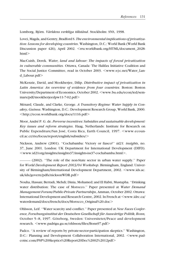Lomborg, Björn. *Världens verkliga tillstånd*. Stockholm: SNS, 1998.

Lovei, Magda, and Gentry, Bradford S. *The environmental implications of privatization: Lessons for developing countries*. Washington, D.C.: World Bank (World Bank Discussion paper 426), April 2002. <rtu.worldbank.org/HTML/document 2028html>

MacCuish, Derek. *Water, land and labour: The impacts of forced privatization in vulnerable communities*. Ottawa, Canada: The Halifax Initiative Coalition and The Social Justice Committee, read in October 2003. <www.s-j-c.net/Water\_Land\_Labour.pdf-

McKenzie, David, and Mookherjee, Dilip. *Distributive impact of privatization in Latin America: An overview of evidence from four countries*. Boston: Boston University/Department of Economics, October 2002. <www.bu.edu/econ/ied/seminars/pdf/mookherjeedpw11-7-02.pdf-

Ménard, Claude, and Clarke, George. A Transitory Regime: Water Supply in Con*akry, Guinea*. Washington, D.C.: Development Research Group, World Bank, 2000. http://econ.worldbank.org/docs/1116.pdf-

Moor. André P. G. de. *Perverse incentives: Subsidies and sustainable development: Key issues and reform strategies*. Haag, Netherlands: Institute for Research on Public Expenditure/San José, Costa Rica, Earth Council, 1997. <www.ecouncil.ac.cr/rio/focus/report/english/subsidies/-

Nickson, Andrew (2001). ''Cochabamba: Victory or fiasco?'' *id21. insights*, no. 37, June 2001. London: UK Department for International Development (DIFD). <www.id21org/insights/insights37/insights-iss37-cochabamba.html>.

(2002). ''The role of the non-State sector in urban water supply.'' Paper for *World Development Report 2003/04 Workshop*. Birmingham, England: University of Birmingham/International Development Department, 2002. <www.ids.ac. uk/ids/govern/pdfs/nicksonWDR.pdf-

Nouha, Hassan; Berradi, Mehdi; Dinia, Mohamed; and El Habti, Mustapha. ''Drinking water distribution: The case of Morocco.'' Paper presented at *Water Demand Management Forum/Public-Private Partnerships*, Amman, October 2002. Ottawa: International Development and Research Centre, 2002. In French at <www.idrc.ca/ waterdemand/docs/french/docs/Morocco\_Original%20.doc-

Ohlsson, Leif. ''Water scarcity and conflict.'' Paper presented at *New Faces Conference, Forschungsinstitut der Deutschen Gesellschaft fu¨r Auswa¨rtige Politik, Bonn,* October 5-8, 1997. Göteborg, Sweden: Universitetet/Peace and development research. <www.padrigu.gu.se/ohlsson/files/Bonn97.pdf>

Padco. ''A review of reports by private-sector-participation skeptics.'' Washington, D.C.: Planning and Development Collaboration International, 2002. <www.padcoinc.com/PSP%20Skeptics%20Report20Dec%2002%2012pdf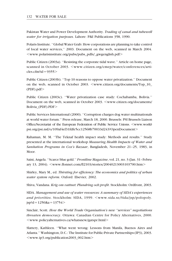Pakistan Water and Power Development Authority. *Trading of canal and tubewell water for irrigation purposes*. Lahore: P&I Publications 358, 1990.

Polaris Institute. ''Global Water Grab: How corporations are planning to take control of local water services,'' 2003. Document on the web, scanned in March 2004. www.polarisinstitute.org/pubs/pubs\_pdfs/\_gwgenglish.pdf-

Public Citizen (2003a). ''Resisting the corporate tidal wave.'' Article on home page, scanned in October 2003. <www.citizen.org/cmep/water/conferences/articles.cfm?id= $9355>$ 

Public Citizen (2003b). ''Top 10 reasons to oppose water privatization.'' Document on the web, scanned in October 2003. www.citizen.org/documents/Top\_10\_  $(PDF).pdf$ 

Public Citizen (2003c). ''Water privatization case study: Cochabamba, Bolivia.'' Document on the web, scanned in October 2003. <www.citizen.org/documents/ Bolivia\_(PDF).PDF-

Public Services International (2000). ''Corruption charges dog water multinationals at world water forum.'' Press release, March 18, 2000. Brussels: PSI Brussels Liaison Office/Secretariat of the European Federation of Public Service Unions. <www.worldpsi.org/psi.nsf/o/109af4ef31fdfe5cc12568b70033d243?OpenDocument-

Rahaman, M. M. ''The Teknaf health impact study: Methods and results.'' Study presented at the international workshop *Measuring Health Impacts of Water and Sanitation Programs in Cox's Bazaar*, Bangladesh, November 21–25, 1983, in Moor.

Saini, Angela. ''Scarce blue gold.'' *Frontline Magazine*, vol. 21, no. 3 (Jan. 31–February 13, 2004). www.flonnet.com/fl2103/stories/20040213003103700.htm-

Shirley, Mary M., ed. *Thirsting for efficiency: The economics and politics of urban water system reform*. Oxford: Elsevier, 2002.

Shiva, Vandana. *Krig om vattnet: Plundring och profit*. Stockholm: Ordfront, 2003.

SIDA. *Management and use of water resources: A summary of SIDA's experiences* and priorities. Stockholm: SIDA, 1999. <www.sida.se/Sida/jsp/polopoly. jsp?d = 1250&a = 13754>

Sinclair, Scott. *How the World Trade Organisation's new ''services'' negotiations threaten democracy*. Ottawa: Canadian Centre for Policy Alternatives, 2000. <www.policyalternatives.ca/whatsnew/gatspr.html>

Slattery, Kathleen. ''What went wrong: Lessons from Manila, Buenos Aires and Atlanta.'' Washington, D.C.: The Institute for Public-Private Partnerships (IP3), 2003. www.ip3.org/publication2003\_002.htm-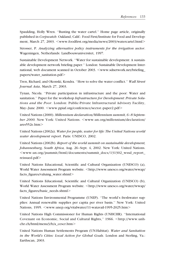Spaulding, Holly Wren. ''Busting the water cartel.'' Home page article, originally published in *Corpwatch*. Oakland, Calif.: Food First/Institute for Food and Development, March 27, 2003. <www.foodfirst.org/media/news/2003/watercartel.html>

Strosser, P. *Analyzing alternative policy instruments for the irrigation sector*. Wageningen, Netherlands: Landbouwuniversitet, 1997.

Sustainable Development Network. ''Water for sustainable development: A sustainable development network briefing paper.'' London: Sustainable Development International, web document scanned in October 2003. <www.sdnetwork.net/briefing papers/water\_sanitation.pdf-

Tren, Richard, and Okonski, Kendra. ''How to solve the water conflict.'' *Wall Street Journal Asia*, March 27, 2003.

Tynan, Nicola. ''Private participation in infrastructure and the poor: Water and sanitation.'' Paper for the workshop *Infrastructure for Development: Private Solutions and the Poor*. London: Public-Private Infrastructural Advisory Facility, May-June 2000. <www.ppiaf.org/conference/sector.-paper2.pdf>

United Nations (2000). *Millennium declaration/Millennium summit, 6*–*8 September 2000.* New York: United Nations. <www.un.org/millennium/declaration/  $ares552e.htm<sup>5</sup>$ 

United Nations (2002a). *Water for people, water for life: The United Nations world water development report*. Paris: UNESCO, 2002.

United Nations (2002b). *Report of the world summit on sustainable development, Johannesburg, South Africa,* Aug. 26–Sept. 4, 2002. New York: United Nations. www.un.org/jsummit/html/documents/summit\_docs/131302\_wssd\_report\_ reissued.pdf>

United Nations Educational, Scientific and Cultural Organization (UNESCO) (a), World Water Assessment Program website. <http://www.unesco.org/water/wwap/ facts\_figures/valuing\_water.shtml>

United Nations Educational, Scientific and Cultural Organization (UNESCO) (b), World Water Assessment Program website. <http://www.unesco.org/water/wwap/ facts\_figures/basic\_needs.shtml>

United Nations Environmental Programme (UNEP). ''The world's freshwater supplies: Annual renewable supplies per capita per river basin.'' New York: United Nations, 1995. <www.unep.org/vitalwater/11-watavail-1995-2025.htm>

United Nations High Commissioner for Human Rights (UNHCHR). ''International Covenant on Economic, Social and Cultural Rights," 1966. <http://www.unhchr.ch/html/menu3/b/a\_cescr.htm-

United Nations Human Settlements Program (UN-Habitat). *Water and Sanitation in the World's Cities: Local Action for Global Goals*. London and Sterling, Va.: Earthscan, 2003.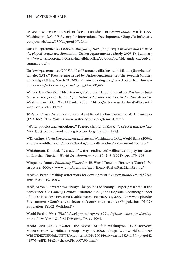US Aid. ''Water-wise: A well of facts.'' Fact sheet in *Global Issues*, March 1999. Washington, D.C.: US Agency for International Development. <http://usinfo.state. gov/journals/itgic/0399./ijge/gj-07b.htm-

Utrikesdepartementet (2003a). *Mitigating risks for foreign investments in least developed countries*. Stockholm: Utrikesdepartementet (Study 2003:1). Summary at <www.utrikes.regeringen.se/inenglish/policy/devcoop/pdf/risk\_study\_executive\_ summary.pdf>.

Utrikesdepartementet (2003b). "Leif Pagrotsky tillbakavisar kritik om tjänstehandelsavtalet GATS.'' Press release issued by Utrikesdepartementet (the Swedish Ministry for Foreign Affairs), March 21, 2003.  $\leq$ www.regeringen.se/galactica/service=irnews/ owner=sys/action=obj\_show?c\_obj\_id=50034>

Walker, Ian; Ordon˜ez, Fidel; Serrano, Pedro; and Halpern, Jonathan. *Pricing, subsidies, and the poor: Demand for improved water services in Central America*. Washington, D.C.: World Bank, 2000. <http://netec.wustl.edu/WoPEc/soft/ wopwobaiu2468.html-

*Water Industry News*, online journal published by Environmental Market Analysis (EMA Inc), New York. <www.waterindustry.org/frame-1.htm>

''Water policies and agriculture.'' Feature chapter in *The state of food and agriculture 1993*. Rome: Food and Agriculture Organization, 1993.

WDI online, *World Development Indicators*. Washington, D.C.: World Bank (2003). <www.worldbank.org/data/onlinedbs/onlinedbases.htm> (password required).

Whittington, D., et al. ''A study of water vending and willingness to pay for water in Onitsha, Nigeria.'' *World Development,* vol. 19, 2–3 (1991), pp. 179–198.

Winpenny, James. *Financing Water for All.* World Panel on Financing Water Infrastructure, 2003. <www.gwpforum.org/gwp/library/FinPanRep.MainRep.pdf>

Woicke, Peter. ''Making water work for development.'' *International Herald Tribune*, March 19, 2003.

Wolf, Aaron T. ''Water availability: The politics of sharing.'' Paper presented at the conference *The Coming Crunch*. Baltimore, Md.: Johns Hopkins Bloomberg School of Public Health/Centre for a Livable Future, February 21, 2002. <www.jhsph.edu/ Environment/Conferences\_lectures/conference\_archive/Population\_feb02/ Population\_Feb02\_Wolf.html-

World Bank (1994). *World development report 1994: Infrastructure for development*. New York: Oxford University Press, 1994.

World Bank (2002). ''Water—the essence of life.'' Washington, D.C.: DevNews Media Center (Worldbank Group), May 17, 2002. <http://web.worldbank.org/ WBSITE/EXTERNAL/NEWS/o,,contentMDK:20044610 $\sim$ menuPK:34457 $\sim$ pagePK: 34370~piPK:34424~theSitePK:4607,00.html>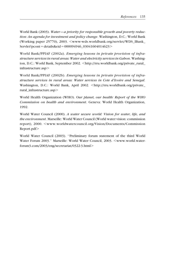World Bank (2003). *Water—a priority for responsible growth and poverty reduction: An agenda for investment and policy change*. Washington, D.C.: World Bank (Working paper 25770), 2003. <www-wds.worldbank.org/servlet/WDS\_IBank\_ Servlet?pcont=details&eid=000094946\_03041604014623>

World Bank/PPIAF (2002a). *Emerging lessons in private provision of infrastructure services in rural areas: Water and electricity services in Gabon*. Washington, D.C.: World Bank, September 2002. <http://rru.worldbank.org/private\_rural\_ infrastructure.asp-

World Bank/PPIAF (2002b). *Emerging lessons in private provision of infrastructure services in rural areas: Water services in Cote d'Ivoire and Senegal*. Washington, D.C.: World Bank, April 2002. <http://rru.worldbank.org/private\_ rural\_infrastructure.asp-

World Health Organization (WHO). *Our planet, our health: Report of the WHO Commission on health and environment*. Geneva: World Health Organization, 1992.

World Water Council (2000). *A water secure world: Vision for water, life, and the environment*. Marseille: World Water Council (World water vision: commission report), 2000. www.worldwatercouncil.org/Vision/Documents/Commission Report.pdf>

World Water Council (2003). ''Preliminary forum statement of the third World Water Forum 2003." Marseille: World Water Council, 2003. <www.world.waterforum3.com/2003/eng/secretariat/0322-3.html-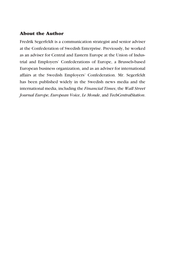## **About the Author**

Fredrik Segerfeldt is a communication strategist and senior adviser at the Confederation of Swedish Enterprise. Previously, he worked as an adviser for Central and Eastern Europe at the Union of Industrial and Employers' Confederations of Europe, a Brussels-based European business organization, and as an adviser for international affairs at the Swedish Employers' Confederation. Mr. Segerfeldt has been published widely in the Swedish news media and the international media, including the *Financial Times*, the *Wall Street Journal Europe*, *European Voice*, *Le Monde*, and *TechCentralStation*.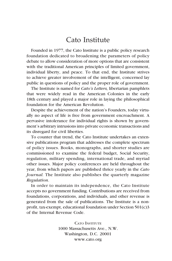# Cato Institute

Founded in 1977, the Cato Institute is a public policy research foundation dedicated to broadening the parameters of policy debate to allow consideration of more options that are consistent with the traditional American principles of limited government, individual liberty, and peace. To that end, the Institute strives to achieve greater involvement of the intelligent, concerned lay public in questions of policy and the proper role of government.

The Institute is named for *Cato's Letters,* libertarian pamphlets that were widely read in the American Colonies in the early 18th century and played a major role in laying the philosophical foundation for the American Revolution.

Despite the achievement of the nation's Founders, today virtually no aspect of life is free from government encroachment. A pervasive intolerance for individual rights is shown by government's arbitrary intrusions into private economic transactions and its disregard for civil liberties.

To counter that trend, the Cato Institute undertakes an extensive publications program that addresses the complete spectrum of policy issues. Books, monographs, and shorter studies are commissioned to examine the federal budget, Social Security, regulation, military spending, international trade, and myriad other issues. Major policy conferences are held throughout the year, from which papers are published thrice yearly in the *Cato Journal*. The Institute also publishes the quarterly magazine *Regulation*.

In order to maintain its independence, the Cato Institute accepts no government funding. Contributions are received from foundations, corporations, and individuals, and other revenue is generated from the sale of publications. The Institute is a nonprofit, tax-exempt, educational foundation under Section 501(c)3 of the Internal Revenue Code.

> CATO INSTITUTE 1000 Massachusetts Ave., N.W. Washington, D.C. 20001 www.cato.org